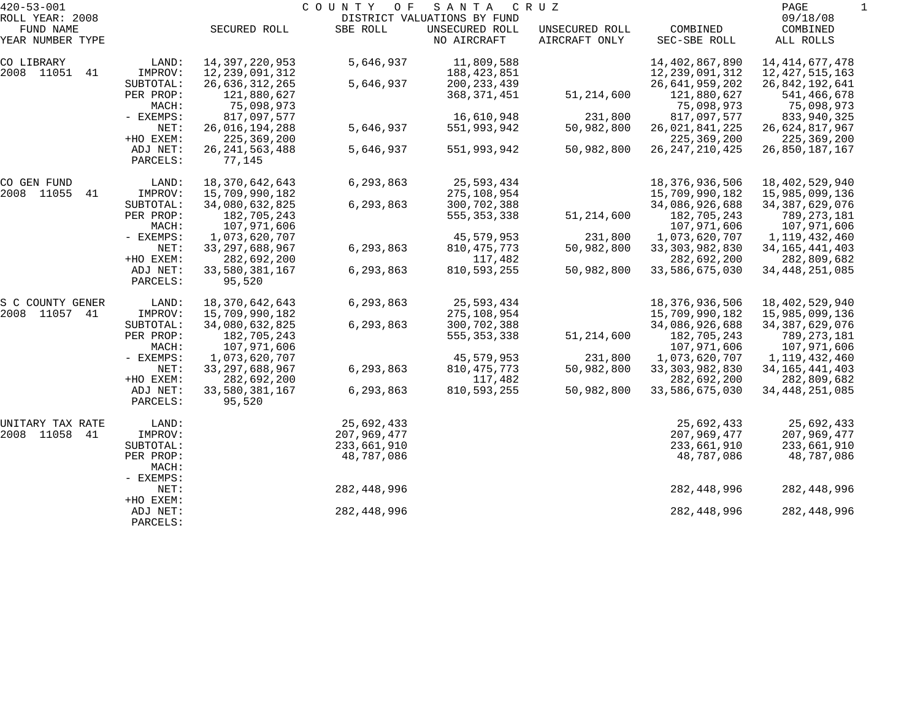| $420 - 53 - 001$             |           |                   | COUNTY<br>O F | SANTA                                         | C R U Z        |                   | PAGE                 | -1 |
|------------------------------|-----------|-------------------|---------------|-----------------------------------------------|----------------|-------------------|----------------------|----|
| ROLL YEAR: 2008<br>FUND NAME |           | SECURED ROLL      | SBE ROLL      | DISTRICT VALUATIONS BY FUND<br>UNSECURED ROLL | UNSECURED ROLL | COMBINED          | 09/18/08<br>COMBINED |    |
| YEAR NUMBER TYPE             |           |                   |               | NO AIRCRAFT                                   | AIRCRAFT ONLY  | SEC-SBE ROLL      | ALL ROLLS            |    |
| CO LIBRARY                   | LAND:     | 14,397,220,953    | 5,646,937     | 11,809,588                                    |                | 14, 402, 867, 890 | 14, 414, 677, 478    |    |
| 2008 11051 41                | IMPROV:   | 12, 239, 091, 312 |               | 188,423,851                                   |                | 12, 239, 091, 312 | 12, 427, 515, 163    |    |
|                              | SUBTOTAL: | 26,636,312,265    | 5,646,937     | 200, 233, 439                                 |                | 26,641,959,202    | 26,842,192,641       |    |
|                              | PER PROP: | 121,880,627       |               | 368, 371, 451                                 | 51,214,600     | 121,880,627       | 541,466,678          |    |
|                              | MACH:     | 75,098,973        |               |                                               |                | 75,098,973        | 75,098,973           |    |
|                              | - EXEMPS: | 817,097,577       |               | 16,610,948                                    | 231,800        | 817,097,577       | 833,940,325          |    |
|                              | NET:      | 26,016,194,288    | 5,646,937     | 551,993,942                                   | 50,982,800     | 26,021,841,225    | 26,624,817,967       |    |
|                              | +HO EXEM: | 225, 369, 200     |               |                                               |                | 225, 369, 200     | 225,369,200          |    |
|                              | ADJ NET:  | 26, 241, 563, 488 | 5,646,937     | 551,993,942                                   | 50,982,800     | 26, 247, 210, 425 | 26,850,187,167       |    |
|                              | PARCELS:  | 77,145            |               |                                               |                |                   |                      |    |
| CO GEN FUND                  | LAND:     | 18,370,642,643    | 6,293,863     | 25,593,434                                    |                | 18,376,936,506    | 18, 402, 529, 940    |    |
| 2008 11055<br>41             | IMPROV:   | 15,709,990,182    |               | 275,108,954                                   |                | 15,709,990,182    | 15,985,099,136       |    |
|                              | SUBTOTAL: | 34,080,632,825    | 6,293,863     | 300,702,388                                   |                | 34,086,926,688    | 34, 387, 629, 076    |    |
|                              | PER PROP: | 182,705,243       |               | 555, 353, 338                                 | 51, 214, 600   | 182,705,243       | 789,273,181          |    |
|                              | MACH:     | 107,971,606       |               |                                               |                | 107,971,606       | 107,971,606          |    |
|                              | - EXEMPS: | 1,073,620,707     |               | 45,579,953                                    | 231,800        | 1,073,620,707     | 1,119,432,460        |    |
|                              | NET:      | 33, 297, 688, 967 | 6,293,863     | 810, 475, 773                                 | 50,982,800     | 33, 303, 982, 830 | 34, 165, 441, 403    |    |
|                              | +HO EXEM: | 282,692,200       |               | 117,482                                       |                | 282,692,200       | 282,809,682          |    |
|                              | ADJ NET:  | 33,580,381,167    | 6,293,863     | 810,593,255                                   | 50,982,800     | 33,586,675,030    | 34, 448, 251, 085    |    |
|                              | PARCELS:  | 95,520            |               |                                               |                |                   |                      |    |
| S C COUNTY GENER             | LAND:     | 18,370,642,643    | 6,293,863     | 25,593,434                                    |                | 18,376,936,506    | 18, 402, 529, 940    |    |
| 2008 11057 41                | IMPROV:   | 15,709,990,182    |               | 275,108,954                                   |                | 15,709,990,182    | 15,985,099,136       |    |
|                              | SUBTOTAL: | 34,080,632,825    | 6,293,863     | 300,702,388                                   |                | 34,086,926,688    | 34, 387, 629, 076    |    |
|                              | PER PROP: | 182,705,243       |               | 555, 353, 338                                 | 51, 214, 600   | 182,705,243       | 789,273,181          |    |
|                              | MACH:     | 107,971,606       |               |                                               |                | 107,971,606       | 107,971,606          |    |
|                              | - EXEMPS: | 1,073,620,707     |               | 45,579,953                                    | 231,800        | 1,073,620,707     | 1,119,432,460        |    |
|                              | NET:      | 33, 297, 688, 967 | 6,293,863     | 810, 475, 773                                 | 50,982,800     | 33, 303, 982, 830 | 34, 165, 441, 403    |    |
|                              | +HO EXEM: | 282,692,200       |               | 117,482                                       |                | 282,692,200       | 282,809,682          |    |
|                              | ADJ NET:  | 33,580,381,167    | 6,293,863     | 810,593,255                                   | 50,982,800     | 33,586,675,030    | 34, 448, 251, 085    |    |
|                              | PARCELS:  | 95,520            |               |                                               |                |                   |                      |    |
| UNITARY TAX RATE             | LAND:     |                   | 25,692,433    |                                               |                | 25,692,433        | 25,692,433           |    |
| 2008 11058 41                | IMPROV:   |                   | 207,969,477   |                                               |                | 207,969,477       | 207,969,477          |    |
|                              | SUBTOTAL: |                   | 233,661,910   |                                               |                | 233,661,910       | 233,661,910          |    |
|                              | PER PROP: |                   | 48,787,086    |                                               |                | 48,787,086        | 48,787,086           |    |
|                              | MACH:     |                   |               |                                               |                |                   |                      |    |
|                              | - EXEMPS: |                   |               |                                               |                |                   |                      |    |
|                              | NET:      |                   | 282,448,996   |                                               |                | 282, 448, 996     | 282, 448, 996        |    |
|                              | +HO EXEM: |                   |               |                                               |                |                   |                      |    |
|                              | ADJ NET:  |                   | 282,448,996   |                                               |                | 282, 448, 996     | 282,448,996          |    |
|                              | PARCELS:  |                   |               |                                               |                |                   |                      |    |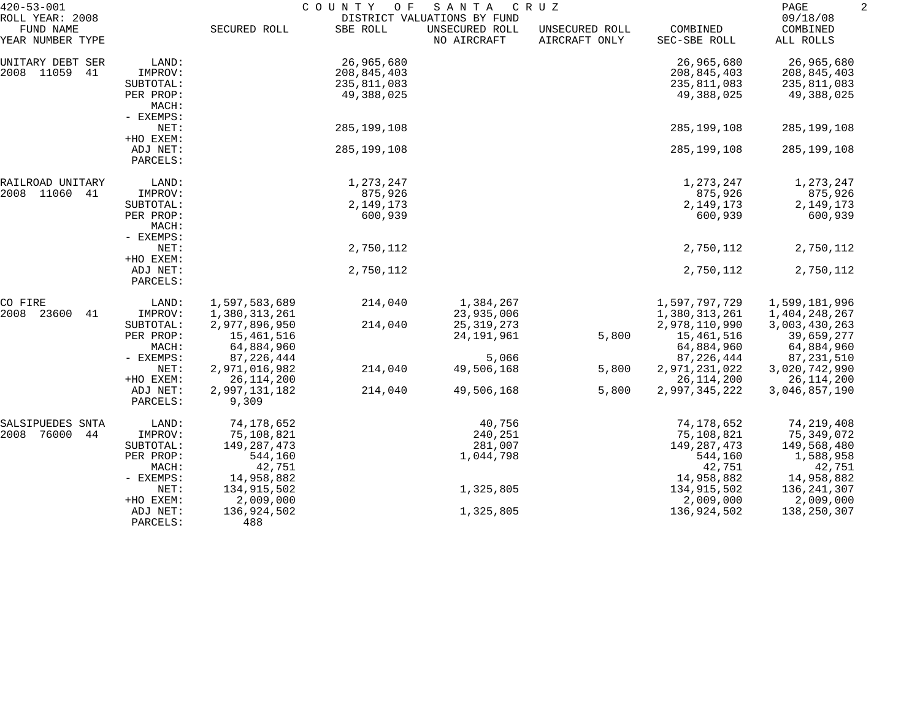| $420 - 53 - 001$<br>ROLL YEAR: 2008 |                      | COUNTY<br>C R U Z<br>O F<br>SANTA<br>DISTRICT VALUATIONS BY FUND |               |                               |                                 |                          | PAGE<br>09/18/08      |  |
|-------------------------------------|----------------------|------------------------------------------------------------------|---------------|-------------------------------|---------------------------------|--------------------------|-----------------------|--|
| FUND NAME<br>YEAR NUMBER TYPE       |                      | SECURED ROLL                                                     | SBE ROLL      | UNSECURED ROLL<br>NO AIRCRAFT | UNSECURED ROLL<br>AIRCRAFT ONLY | COMBINED<br>SEC-SBE ROLL | COMBINED<br>ALL ROLLS |  |
| UNITARY DEBT SER                    | LAND:                |                                                                  | 26,965,680    |                               |                                 | 26,965,680               | 26,965,680            |  |
| 2008 11059<br>41                    | IMPROV:              |                                                                  | 208,845,403   |                               |                                 | 208,845,403              | 208,845,403           |  |
|                                     | SUBTOTAL:            |                                                                  | 235,811,083   |                               |                                 | 235,811,083              | 235,811,083           |  |
|                                     | PER PROP:            |                                                                  | 49,388,025    |                               |                                 | 49,388,025               | 49,388,025            |  |
|                                     | MACH:                |                                                                  |               |                               |                                 |                          |                       |  |
|                                     | - EXEMPS:            |                                                                  |               |                               |                                 |                          |                       |  |
|                                     | NET:                 |                                                                  | 285, 199, 108 |                               |                                 | 285, 199, 108            | 285,199,108           |  |
|                                     | +HO EXEM:            |                                                                  |               |                               |                                 |                          |                       |  |
|                                     | ADJ NET:<br>PARCELS: |                                                                  | 285,199,108   |                               |                                 | 285, 199, 108            | 285,199,108           |  |
| RAILROAD UNITARY                    | LAND:                |                                                                  | 1,273,247     |                               |                                 | 1,273,247                | 1,273,247             |  |
| 2008 11060<br>41                    | IMPROV:              |                                                                  | 875,926       |                               |                                 | 875,926                  | 875,926               |  |
|                                     | SUBTOTAL:            |                                                                  | 2,149,173     |                               |                                 | 2,149,173                | 2,149,173             |  |
|                                     | PER PROP:            |                                                                  | 600,939       |                               |                                 | 600,939                  | 600,939               |  |
|                                     | MACH:                |                                                                  |               |                               |                                 |                          |                       |  |
|                                     | - EXEMPS:            |                                                                  |               |                               |                                 |                          |                       |  |
|                                     | NET:                 |                                                                  | 2,750,112     |                               |                                 | 2,750,112                | 2,750,112             |  |
|                                     | +HO EXEM:            |                                                                  |               |                               |                                 |                          |                       |  |
|                                     | ADJ NET:<br>PARCELS: |                                                                  | 2,750,112     |                               |                                 | 2,750,112                | 2,750,112             |  |
| CO FIRE                             | LAND:                | 1,597,583,689                                                    | 214,040       | 1,384,267                     |                                 | 1,597,797,729            | 1,599,181,996         |  |
| 2008<br>23600<br>41                 | IMPROV:              | 1,380,313,261                                                    |               | 23,935,006                    |                                 | 1,380,313,261            | 1,404,248,267         |  |
|                                     | SUBTOTAL:            | 2,977,896,950                                                    | 214,040       | 25, 319, 273                  |                                 | 2,978,110,990            | 3,003,430,263         |  |
|                                     | PER PROP:            | 15,461,516                                                       |               | 24, 191, 961                  | 5,800                           | 15,461,516               | 39,659,277            |  |
|                                     | MACH:                | 64,884,960                                                       |               |                               |                                 | 64,884,960               | 64,884,960            |  |
|                                     | - EXEMPS:            | 87,226,444                                                       |               | 5,066                         |                                 | 87, 226, 444             | 87,231,510            |  |
|                                     | NET:                 | 2,971,016,982                                                    | 214,040       | 49,506,168                    | 5,800                           | 2,971,231,022            | 3,020,742,990         |  |
|                                     | +HO EXEM:            | 26, 114, 200                                                     |               |                               | 5,800                           | 26, 114, 200             | 26, 114, 200          |  |
|                                     | ADJ NET:<br>PARCELS: | 2,997,131,182<br>9,309                                           | 214,040       | 49,506,168                    |                                 | 2,997,345,222            | 3,046,857,190         |  |
| SALSIPUEDES SNTA                    | LAND:                | 74,178,652                                                       |               | 40,756                        |                                 | 74,178,652               | 74,219,408            |  |
| 76000<br>2008<br>44                 | IMPROV:              | 75,108,821                                                       |               | 240,251                       |                                 | 75,108,821               | 75,349,072            |  |
|                                     | SUBTOTAL:            | 149,287,473                                                      |               | 281,007                       |                                 | 149,287,473              | 149,568,480           |  |
|                                     | PER PROP:            | 544,160                                                          |               | 1,044,798                     |                                 | 544,160                  | 1,588,958             |  |
|                                     | MACH:                | 42,751                                                           |               |                               |                                 | 42,751                   | 42,751                |  |
|                                     | - EXEMPS:            | 14,958,882                                                       |               |                               |                                 | 14,958,882               | 14,958,882            |  |
|                                     | NET:                 | 134,915,502                                                      |               | 1,325,805                     |                                 | 134,915,502              | 136,241,307           |  |
|                                     | +HO EXEM:            | 2,009,000                                                        |               |                               |                                 | 2,009,000                | 2,009,000             |  |
|                                     | ADJ NET:<br>PARCELS: | 136,924,502<br>488                                               |               | 1,325,805                     |                                 | 136,924,502              | 138,250,307           |  |
|                                     |                      |                                                                  |               |                               |                                 |                          |                       |  |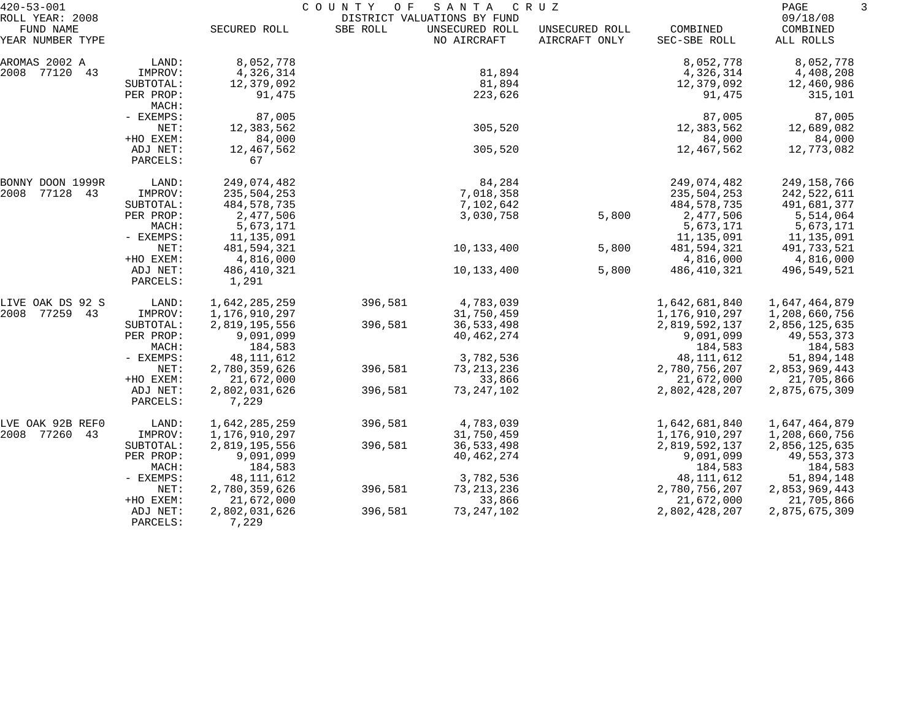| $420 - 53 - 001$                                 |                      | COUNTY<br>SANTA<br>CRUZ<br>O F<br>DISTRICT VALUATIONS BY FUND |          |                               |                                 |                          | PAGE                              |  |
|--------------------------------------------------|----------------------|---------------------------------------------------------------|----------|-------------------------------|---------------------------------|--------------------------|-----------------------------------|--|
| ROLL YEAR: 2008<br>FUND NAME<br>YEAR NUMBER TYPE |                      | SECURED ROLL                                                  | SBE ROLL | UNSECURED ROLL<br>NO AIRCRAFT | UNSECURED ROLL<br>AIRCRAFT ONLY | COMBINED<br>SEC-SBE ROLL | 09/18/08<br>COMBINED<br>ALL ROLLS |  |
| AROMAS 2002 A                                    | LAND:                | 8,052,778                                                     |          |                               |                                 | 8,052,778                | 8,052,778                         |  |
| 2008<br>77120 43                                 | IMPROV:              | 4,326,314                                                     |          | 81,894                        |                                 | 4,326,314                | 4,408,208                         |  |
|                                                  | SUBTOTAL:            | 12,379,092                                                    |          | 81,894                        |                                 | 12,379,092               | 12,460,986                        |  |
|                                                  | PER PROP:<br>MACH:   | 91,475                                                        |          | 223,626                       |                                 | 91,475                   | 315,101                           |  |
|                                                  | - EXEMPS:            | 87,005                                                        |          |                               |                                 | 87,005                   | 87,005                            |  |
|                                                  | NET:                 | 12,383,562                                                    |          | 305,520                       |                                 | 12,383,562               | 12,689,082                        |  |
|                                                  | +HO EXEM:            | 84,000                                                        |          |                               |                                 | 84,000                   | 84,000                            |  |
|                                                  | ADJ NET:<br>PARCELS: | 12,467,562<br>67                                              |          | 305,520                       |                                 | 12,467,562               | 12,773,082                        |  |
| BONNY DOON 1999R                                 | LAND:                | 249,074,482                                                   |          | 84,284                        |                                 | 249,074,482              | 249,158,766                       |  |
| 2008<br>77128 43                                 | IMPROV:              | 235,504,253                                                   |          | 7,018,358                     |                                 | 235,504,253              | 242,522,611                       |  |
|                                                  | SUBTOTAL:            | 484,578,735                                                   |          | 7,102,642                     |                                 | 484,578,735              | 491,681,377                       |  |
|                                                  | PER PROP:            | 2,477,506                                                     |          | 3,030,758                     | 5,800                           | 2,477,506                | 5,514,064                         |  |
|                                                  | MACH:                | 5,673,171                                                     |          |                               |                                 | 5,673,171                | 5,673,171                         |  |
|                                                  | - EXEMPS:            | 11,135,091                                                    |          |                               |                                 | 11, 135, 091             | 11,135,091                        |  |
|                                                  | NET:                 | 481,594,321                                                   |          | 10,133,400                    | 5,800                           | 481,594,321              | 491,733,521                       |  |
|                                                  | +HO EXEM:            | 4,816,000                                                     |          |                               |                                 | 4,816,000                | 4,816,000                         |  |
|                                                  | ADJ NET:<br>PARCELS: | 486,410,321<br>1,291                                          |          | 10,133,400                    | 5,800                           | 486,410,321              | 496,549,521                       |  |
| LIVE OAK DS 92 S                                 | LAND:                | 1,642,285,259                                                 | 396,581  | 4,783,039                     |                                 | 1,642,681,840            | 1,647,464,879                     |  |
| 2008<br>77259 43                                 | IMPROV:              | 1,176,910,297                                                 |          | 31,750,459                    |                                 | 1,176,910,297            | 1,208,660,756                     |  |
|                                                  | SUBTOTAL:            | 2,819,195,556                                                 | 396,581  | 36,533,498                    |                                 | 2,819,592,137            | 2,856,125,635                     |  |
|                                                  | PER PROP:            | 9,091,099                                                     |          | 40, 462, 274                  |                                 | 9,091,099                | 49,553,373                        |  |
|                                                  | MACH:                | 184,583                                                       |          |                               |                                 | 184,583                  | 184,583                           |  |
|                                                  | - EXEMPS:            | 48, 111, 612                                                  |          | 3,782,536                     |                                 | 48, 111, 612             | 51,894,148                        |  |
|                                                  | NET:                 | 2,780,359,626                                                 | 396,581  | 73, 213, 236                  |                                 | 2,780,756,207            | 2,853,969,443                     |  |
|                                                  | +HO EXEM:            | 21,672,000                                                    |          | 33,866                        |                                 | 21,672,000               | 21,705,866                        |  |
|                                                  | ADJ NET:<br>PARCELS: | 2,802,031,626<br>7,229                                        | 396,581  | 73, 247, 102                  |                                 | 2,802,428,207            | 2,875,675,309                     |  |
| LVE OAK 92B REFO                                 | LAND:                | 1,642,285,259                                                 | 396,581  | 4,783,039                     |                                 | 1,642,681,840            | 1,647,464,879                     |  |
| 2008<br>77260 43                                 | IMPROV:              | 1,176,910,297                                                 |          | 31,750,459                    |                                 | 1,176,910,297            | 1,208,660,756                     |  |
|                                                  | SUBTOTAL:            | 2,819,195,556                                                 | 396,581  | 36,533,498                    |                                 | 2,819,592,137            | 2,856,125,635                     |  |
|                                                  | PER PROP:            | 9,091,099                                                     |          | 40, 462, 274                  |                                 | 9,091,099                | 49,553,373                        |  |
|                                                  | MACH:                | 184,583                                                       |          |                               |                                 | 184,583                  | 184,583                           |  |
|                                                  | - EXEMPS:            | 48,111,612                                                    |          | 3,782,536                     |                                 | 48, 111, 612             | 51,894,148                        |  |
|                                                  | NET:                 | 2,780,359,626                                                 | 396,581  | 73, 213, 236                  |                                 | 2,780,756,207            | 2,853,969,443                     |  |
|                                                  | +HO EXEM:            | 21,672,000                                                    |          | 33,866                        |                                 | 21,672,000               | 21,705,866                        |  |
|                                                  | ADJ NET:<br>PARCELS: | 2,802,031,626<br>7,229                                        | 396,581  | 73, 247, 102                  |                                 | 2,802,428,207            | 2,875,675,309                     |  |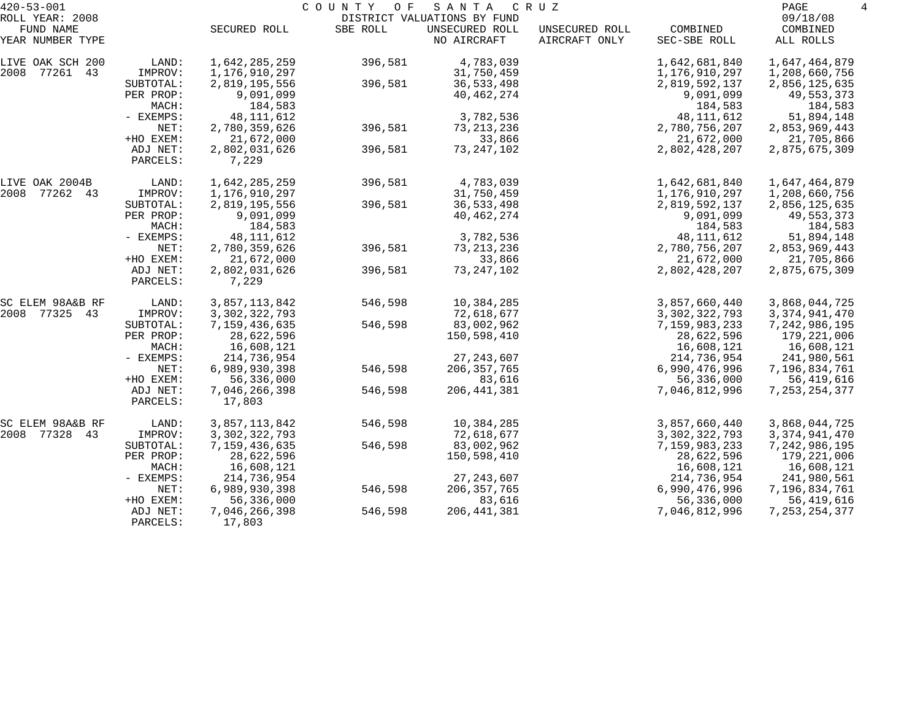| $420 - 53 - 001$             |                      | COUNTY OF<br>SANTA<br>C R U Z |          |                                               |                |                         |                       |  |
|------------------------------|----------------------|-------------------------------|----------|-----------------------------------------------|----------------|-------------------------|-----------------------|--|
| ROLL YEAR: 2008<br>FUND NAME |                      | SECURED ROLL                  | SBE ROLL | DISTRICT VALUATIONS BY FUND<br>UNSECURED ROLL | UNSECURED ROLL | COMBINED                | 09/18/08<br>COMBINED  |  |
| YEAR NUMBER TYPE             |                      |                               |          | NO AIRCRAFT                                   | AIRCRAFT ONLY  | SEC-SBE ROLL            | ALL ROLLS             |  |
| LIVE OAK SCH 200             | LAND:                | 1,642,285,259                 | 396,581  | 4,783,039                                     |                | 1,642,681,840           | 1,647,464,879         |  |
| 2008 77261<br>43             | IMPROV:              | 1,176,910,297                 |          | 31,750,459                                    |                | 1,176,910,297           | 1,208,660,756         |  |
|                              | SUBTOTAL:            | 2,819,195,556                 | 396,581  | 36,533,498                                    |                | 2,819,592,137           | 2,856,125,635         |  |
|                              | PER PROP:            | 9,091,099                     |          | 40, 462, 274                                  |                | 9,091,099               | 49,553,373            |  |
|                              | MACH:                | 184,583                       |          |                                               |                | 184,583                 | 184,583               |  |
|                              | - EXEMPS:            | 48, 111, 612                  |          | 3,782,536                                     |                | 48, 111, 612            | 51,894,148            |  |
|                              | NET:                 | 2,780,359,626                 | 396,581  | 73, 213, 236                                  |                | 2,780,756,207           | 2,853,969,443         |  |
|                              | +HO EXEM:            | 21,672,000                    |          | 33,866                                        |                | 21,672,000              | 21,705,866            |  |
|                              | ADJ NET:<br>PARCELS: | 2,802,031,626<br>7,229        | 396,581  | 73, 247, 102                                  |                | 2,802,428,207           | 2,875,675,309         |  |
|                              |                      |                               |          |                                               |                |                         |                       |  |
| LIVE OAK 2004B               | LAND:                | 1,642,285,259                 | 396,581  | 4,783,039                                     |                | 1,642,681,840           | 1,647,464,879         |  |
| 2008<br>77262 43             | IMPROV:              | 1,176,910,297                 |          | 31,750,459                                    |                | 1,176,910,297           | 1,208,660,756         |  |
|                              | SUBTOTAL:            | 2,819,195,556                 | 396,581  | 36,533,498                                    |                | 2,819,592,137           | 2,856,125,635         |  |
|                              | PER PROP:            | 9,091,099                     |          | 40, 462, 274                                  |                | 9,091,099               | 49,553,373            |  |
|                              | MACH:<br>- EXEMPS:   | 184,583<br>48, 111, 612       |          | 3,782,536                                     |                | 184,583<br>48, 111, 612 | 184,583<br>51,894,148 |  |
|                              | NET:                 | 2,780,359,626                 | 396,581  | 73, 213, 236                                  |                | 2,780,756,207           | 2,853,969,443         |  |
|                              | +HO EXEM:            | 21,672,000                    |          | 33,866                                        |                | 21,672,000              | 21,705,866            |  |
|                              | ADJ NET:             | 2,802,031,626                 | 396,581  | 73, 247, 102                                  |                | 2,802,428,207           | 2,875,675,309         |  |
|                              | PARCELS:             | 7,229                         |          |                                               |                |                         |                       |  |
| SC ELEM 98A&B RF             | LAND:                | 3,857,113,842                 | 546,598  | 10,384,285                                    |                | 3,857,660,440           | 3,868,044,725         |  |
| 2008<br>77325 43             | IMPROV:              | 3, 302, 322, 793              |          | 72,618,677                                    |                | 3, 302, 322, 793        | 3, 374, 941, 470      |  |
|                              | SUBTOTAL:            | 7,159,436,635                 | 546,598  | 83,002,962                                    |                | 7,159,983,233           | 7,242,986,195         |  |
|                              | PER PROP:            | 28,622,596                    |          | 150,598,410                                   |                | 28,622,596              | 179,221,006           |  |
|                              | MACH:                | 16,608,121                    |          |                                               |                | 16,608,121              | 16,608,121            |  |
|                              | - EXEMPS:            | 214,736,954                   |          | 27, 243, 607                                  |                | 214,736,954             | 241,980,561           |  |
|                              | NET:                 | 6,989,930,398                 | 546,598  | 206, 357, 765                                 |                | 6,990,476,996           | 7,196,834,761         |  |
|                              | +HO EXEM:            | 56,336,000                    |          | 83,616                                        |                | 56,336,000              | 56,419,616            |  |
|                              | ADJ NET:<br>PARCELS: | 7,046,266,398<br>17,803       | 546,598  | 206, 441, 381                                 |                | 7,046,812,996           | 7, 253, 254, 377      |  |
| SC ELEM 98A&B RF             | LAND:                | 3,857,113,842                 | 546,598  | 10,384,285                                    |                | 3,857,660,440           | 3,868,044,725         |  |
| 2008 77328<br>43             | IMPROV:              | 3, 302, 322, 793              |          | 72,618,677                                    |                | 3, 302, 322, 793        | 3, 374, 941, 470      |  |
|                              | SUBTOTAL:            | 7,159,436,635                 | 546,598  | 83,002,962                                    |                | 7,159,983,233           | 7,242,986,195         |  |
|                              | PER PROP:            | 28,622,596                    |          | 150,598,410                                   |                | 28,622,596              | 179,221,006           |  |
|                              | MACH:                | 16,608,121                    |          |                                               |                | 16,608,121              | 16,608,121            |  |
|                              | - EXEMPS:            | 214,736,954                   |          | 27, 243, 607                                  |                | 214,736,954             | 241,980,561           |  |
|                              | NET:                 | 6,989,930,398                 | 546,598  | 206, 357, 765                                 |                | 6,990,476,996           | 7,196,834,761         |  |
|                              | +HO EXEM:            | 56,336,000                    |          | 83,616                                        |                | 56,336,000              | 56,419,616            |  |
|                              | ADJ NET:<br>PARCELS: | 7,046,266,398<br>17,803       | 546,598  | 206, 441, 381                                 |                | 7,046,812,996           | 7, 253, 254, 377      |  |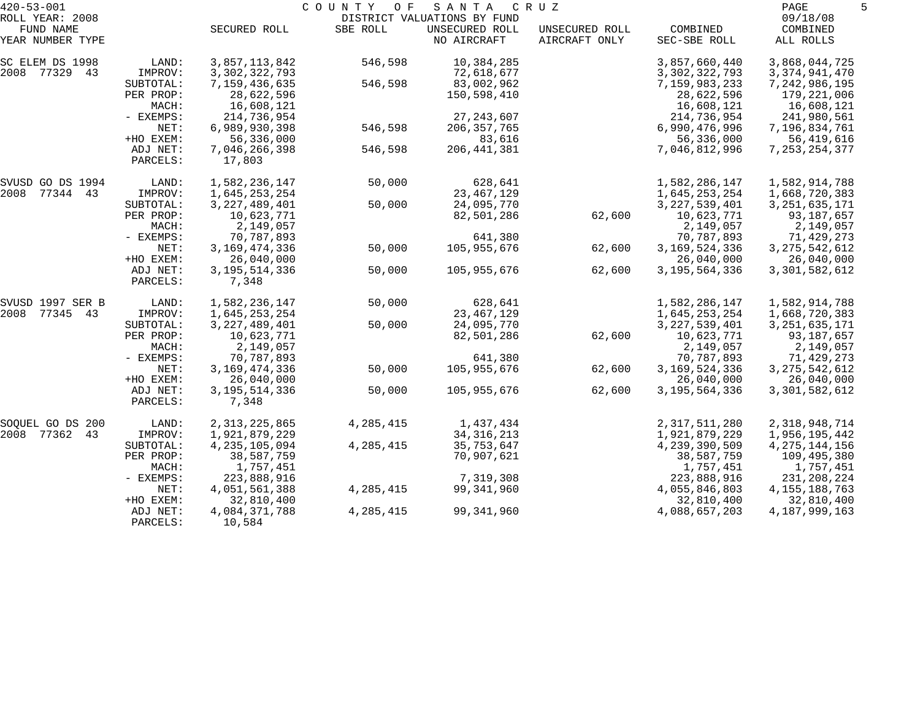| $420 - 53 - 001$              |                      |                           | COUNTY<br>O F | SANTA                         | C R U Z                         |                          | PAGE                  |  |
|-------------------------------|----------------------|---------------------------|---------------|-------------------------------|---------------------------------|--------------------------|-----------------------|--|
| ROLL YEAR: 2008               |                      |                           |               | DISTRICT VALUATIONS BY FUND   |                                 |                          | 09/18/08              |  |
| FUND NAME<br>YEAR NUMBER TYPE |                      | SECURED ROLL              | SBE ROLL      | UNSECURED ROLL<br>NO AIRCRAFT | UNSECURED ROLL<br>AIRCRAFT ONLY | COMBINED<br>SEC-SBE ROLL | COMBINED<br>ALL ROLLS |  |
| SC ELEM DS 1998               | LAND:                | 3,857,113,842             | 546,598       | 10,384,285                    |                                 | 3,857,660,440            | 3,868,044,725         |  |
| 2008 77329 43                 | IMPROV:              | 3, 302, 322, 793          |               | 72,618,677                    |                                 | 3, 302, 322, 793         | 3, 374, 941, 470      |  |
|                               | SUBTOTAL:            | 7,159,436,635             | 546,598       | 83,002,962                    |                                 | 7,159,983,233            | 7,242,986,195         |  |
|                               | PER PROP:            | 28,622,596                |               | 150,598,410                   |                                 | 28,622,596               | 179,221,006           |  |
|                               | MACH:                | 16,608,121                |               |                               |                                 | 16,608,121               | 16,608,121            |  |
|                               | - EXEMPS:            | 214,736,954               |               | 27, 243, 607                  |                                 | 214,736,954              | 241,980,561           |  |
|                               | NET:                 | 6,989,930,398             | 546,598       | 206, 357, 765                 |                                 | 6,990,476,996            | 7,196,834,761         |  |
|                               | +HO EXEM:            | 56,336,000                |               | 83,616                        |                                 | 56,336,000               | 56,419,616            |  |
|                               | ADJ NET:<br>PARCELS: | 7,046,266,398<br>17,803   | 546,598       | 206, 441, 381                 |                                 | 7,046,812,996            | 7, 253, 254, 377      |  |
| SVUSD GO DS 1994              | LAND:                | 1,582,236,147             | 50,000        | 628,641                       |                                 | 1,582,286,147            | 1,582,914,788         |  |
| 2008 77344 43                 | IMPROV:              | 1,645,253,254             |               | 23, 467, 129                  |                                 | 1,645,253,254            | 1,668,720,383         |  |
|                               | SUBTOTAL:            | 3, 227, 489, 401          | 50,000        | 24,095,770                    |                                 | 3, 227, 539, 401         | 3, 251, 635, 171      |  |
|                               | PER PROP:            | 10,623,771                |               | 82,501,286                    | 62,600                          | 10,623,771               | 93,187,657            |  |
|                               | MACH:                | 2,149,057                 |               |                               |                                 | 2,149,057                | 2,149,057             |  |
|                               | - EXEMPS:            | 70,787,893                |               | 641,380                       |                                 | 70,787,893               | 71,429,273            |  |
|                               | NET:                 | 3, 169, 474, 336          | 50,000        | 105,955,676                   | 62,600                          | 3, 169, 524, 336         | 3, 275, 542, 612      |  |
|                               | +HO EXEM:            | 26,040,000                |               |                               |                                 | 26,040,000               | 26,040,000            |  |
|                               | ADJ NET:<br>PARCELS: | 3, 195, 514, 336<br>7,348 | 50,000        | 105,955,676                   | 62,600                          | 3, 195, 564, 336         | 3,301,582,612         |  |
| SVUSD 1997 SER B              | LAND:                | 1,582,236,147             | 50,000        | 628,641                       |                                 | 1,582,286,147            | 1,582,914,788         |  |
| 2008 77345 43                 | IMPROV:              | 1,645,253,254             |               | 23, 467, 129                  |                                 | 1,645,253,254            | 1,668,720,383         |  |
|                               | SUBTOTAL:            | 3, 227, 489, 401          | 50,000        | 24,095,770                    |                                 | 3, 227, 539, 401         | 3, 251, 635, 171      |  |
|                               | PER PROP:            | 10,623,771                |               | 82,501,286                    | 62,600                          | 10,623,771               | 93,187,657            |  |
|                               | MACH:                | 2,149,057                 |               |                               |                                 | 2,149,057                | 2,149,057             |  |
|                               | - EXEMPS:            | 70,787,893                |               | 641,380                       |                                 | 70,787,893               | 71,429,273            |  |
|                               | NET:                 | 3, 169, 474, 336          | 50,000        | 105,955,676                   | 62,600                          | 3, 169, 524, 336         | 3, 275, 542, 612      |  |
|                               | +HO EXEM:            | 26,040,000                |               |                               |                                 | 26,040,000               | 26,040,000            |  |
|                               | ADJ NET:<br>PARCELS: | 3, 195, 514, 336<br>7,348 | 50,000        | 105,955,676                   | 62,600                          | 3, 195, 564, 336         | 3,301,582,612         |  |
| SOQUEL GO DS 200              | LAND:                | 2, 313, 225, 865          | 4, 285, 415   | 1,437,434                     |                                 | 2,317,511,280            | 2,318,948,714         |  |
| 2008 77362 43                 | IMPROV:              | 1,921,879,229             |               | 34, 316, 213                  |                                 | 1,921,879,229            | 1,956,195,442         |  |
|                               | SUBTOTAL:            | 4, 235, 105, 094          | 4, 285, 415   | 35,753,647                    |                                 | 4,239,390,509            | 4, 275, 144, 156      |  |
|                               | PER PROP:            | 38,587,759                |               | 70,907,621                    |                                 | 38,587,759               | 109,495,380           |  |
|                               | MACH:                | 1,757,451                 |               |                               |                                 | 1,757,451                | 1,757,451             |  |
|                               | $-$ EXEMPS:          | 223,888,916               |               | 7,319,308                     |                                 | 223,888,916              | 231,208,224           |  |
|                               | NET:                 | 4,051,561,388             | 4, 285, 415   | 99,341,960                    |                                 | 4,055,846,803            | 4, 155, 188, 763      |  |
|                               | +HO EXEM:            | 32,810,400                |               |                               |                                 | 32,810,400               | 32,810,400            |  |
|                               | ADJ NET:<br>PARCELS: | 4,084,371,788<br>10,584   | 4,285,415     | 99, 341, 960                  |                                 | 4,088,657,203            | 4, 187, 999, 163      |  |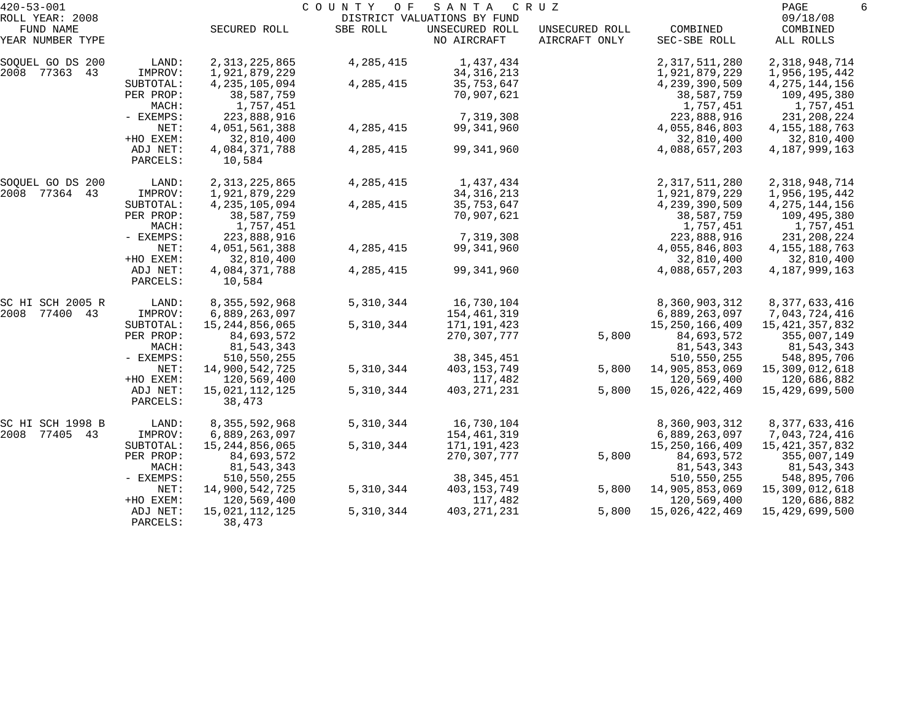| $420 - 53 - 001$              |                      |                         | COUNTY<br>O F | SANTA                         | C R U Z                         |                          | PAGE                  | 6 |
|-------------------------------|----------------------|-------------------------|---------------|-------------------------------|---------------------------------|--------------------------|-----------------------|---|
| ROLL YEAR: 2008               |                      |                         |               | DISTRICT VALUATIONS BY FUND   |                                 |                          | 09/18/08              |   |
| FUND NAME<br>YEAR NUMBER TYPE |                      | SECURED ROLL            | SBE ROLL      | UNSECURED ROLL<br>NO AIRCRAFT | UNSECURED ROLL<br>AIRCRAFT ONLY | COMBINED<br>SEC-SBE ROLL | COMBINED<br>ALL ROLLS |   |
| SOQUEL GO DS 200              | LAND:                | 2, 313, 225, 865        | 4,285,415     | 1,437,434                     |                                 | 2,317,511,280            | 2,318,948,714         |   |
| 2008 77363 43                 | IMPROV:              | 1,921,879,229           |               | 34, 316, 213                  |                                 | 1,921,879,229            | 1,956,195,442         |   |
|                               | SUBTOTAL:            | 4, 235, 105, 094        | 4, 285, 415   | 35,753,647                    |                                 | 4,239,390,509            | 4, 275, 144, 156      |   |
|                               | PER PROP:            | 38,587,759              |               | 70,907,621                    |                                 | 38,587,759               | 109,495,380           |   |
|                               | MACH:                | 1,757,451               |               |                               |                                 | 1,757,451                | 1,757,451             |   |
|                               | - EXEMPS:            | 223,888,916             |               | 7,319,308                     |                                 | 223,888,916              | 231,208,224           |   |
|                               | NET:                 | 4,051,561,388           | 4,285,415     | 99,341,960                    |                                 | 4,055,846,803            | 4, 155, 188, 763      |   |
|                               | +HO EXEM:            | 32,810,400              |               |                               |                                 | 32,810,400               | 32,810,400            |   |
|                               | ADJ NET:<br>PARCELS: | 4,084,371,788<br>10,584 | 4,285,415     | 99,341,960                    |                                 | 4,088,657,203            | 4, 187, 999, 163      |   |
| SOQUEL GO DS 200              | LAND:                | 2, 313, 225, 865        | 4,285,415     | 1,437,434                     |                                 | 2,317,511,280            | 2,318,948,714         |   |
| 2008 77364 43                 | IMPROV:              | 1,921,879,229           |               | 34, 316, 213                  |                                 | 1,921,879,229            | 1,956,195,442         |   |
|                               | SUBTOTAL:            | 4, 235, 105, 094        | 4,285,415     | 35,753,647                    |                                 | 4,239,390,509            | 4, 275, 144, 156      |   |
|                               | PER PROP:            | 38,587,759              |               | 70,907,621                    |                                 | 38,587,759               | 109,495,380           |   |
|                               | MACH:                | 1,757,451               |               |                               |                                 | 1,757,451                | 1,757,451             |   |
|                               | - EXEMPS:            | 223,888,916             |               | 7,319,308                     |                                 | 223,888,916              | 231,208,224           |   |
|                               | NET:                 | 4,051,561,388           | 4,285,415     | 99,341,960                    |                                 | 4,055,846,803            | 4, 155, 188, 763      |   |
|                               | +HO EXEM:            | 32,810,400              |               |                               |                                 | 32,810,400               | 32,810,400            |   |
|                               | ADJ NET:<br>PARCELS: | 4,084,371,788<br>10,584 | 4,285,415     | 99,341,960                    |                                 | 4,088,657,203            | 4, 187, 999, 163      |   |
|                               |                      |                         |               |                               |                                 |                          |                       |   |
| SC HI SCH 2005 R              | LAND:                | 8, 355, 592, 968        | 5,310,344     | 16,730,104                    |                                 | 8,360,903,312            | 8, 377, 633, 416      |   |
| 2008 77400 43                 | IMPROV:              | 6,889,263,097           |               | 154,461,319                   |                                 | 6,889,263,097            | 7,043,724,416         |   |
|                               | SUBTOTAL:            | 15,244,856,065          | 5,310,344     | 171,191,423                   |                                 | 15, 250, 166, 409        | 15, 421, 357, 832     |   |
|                               | PER PROP:            | 84,693,572              |               | 270,307,777                   | 5,800                           | 84,693,572               | 355,007,149           |   |
|                               | MACH:                | 81,543,343              |               |                               |                                 | 81, 543, 343             | 81,543,343            |   |
|                               | - EXEMPS:            | 510,550,255             |               | 38, 345, 451                  |                                 | 510,550,255              | 548,895,706           |   |
|                               | NET:                 | 14,900,542,725          | 5,310,344     | 403,153,749                   | 5,800                           | 14,905,853,069           | 15,309,012,618        |   |
|                               | +HO EXEM:            | 120,569,400             |               | 117,482                       |                                 | 120,569,400              | 120,686,882           |   |
|                               | ADJ NET:             | 15,021,112,125          | 5,310,344     | 403, 271, 231                 | 5,800                           | 15,026,422,469           | 15,429,699,500        |   |
|                               | PARCELS:             | 38,473                  |               |                               |                                 |                          |                       |   |
| SC HI SCH 1998 B              | LAND:                | 8, 355, 592, 968        | 5,310,344     | 16,730,104                    |                                 | 8,360,903,312            | 8, 377, 633, 416      |   |
| 2008<br>77405 43              | IMPROV:              | 6,889,263,097           |               | 154,461,319                   |                                 | 6,889,263,097            | 7,043,724,416         |   |
|                               | SUBTOTAL:            | 15,244,856,065          | 5,310,344     | 171,191,423                   |                                 | 15, 250, 166, 409        | 15, 421, 357, 832     |   |
|                               | PER PROP:            | 84,693,572              |               | 270, 307, 777                 | 5,800                           | 84,693,572               | 355,007,149           |   |
|                               | MACH:                | 81,543,343              |               |                               |                                 | 81,543,343               | 81,543,343            |   |
|                               | $-$ EXEMPS:          | 510,550,255             |               | 38, 345, 451                  |                                 | 510,550,255              | 548,895,706           |   |
|                               | NET:                 | 14,900,542,725          | 5,310,344     | 403,153,749                   | 5,800                           | 14,905,853,069           | 15,309,012,618        |   |
|                               | +HO EXEM:            | 120,569,400             |               | 117,482                       |                                 | 120,569,400              | 120,686,882           |   |
|                               | ADJ NET:             | 15,021,112,125          | 5,310,344     | 403, 271, 231                 | 5,800                           | 15,026,422,469           | 15,429,699,500        |   |
|                               | PARCELS:             | 38,473                  |               |                               |                                 |                          |                       |   |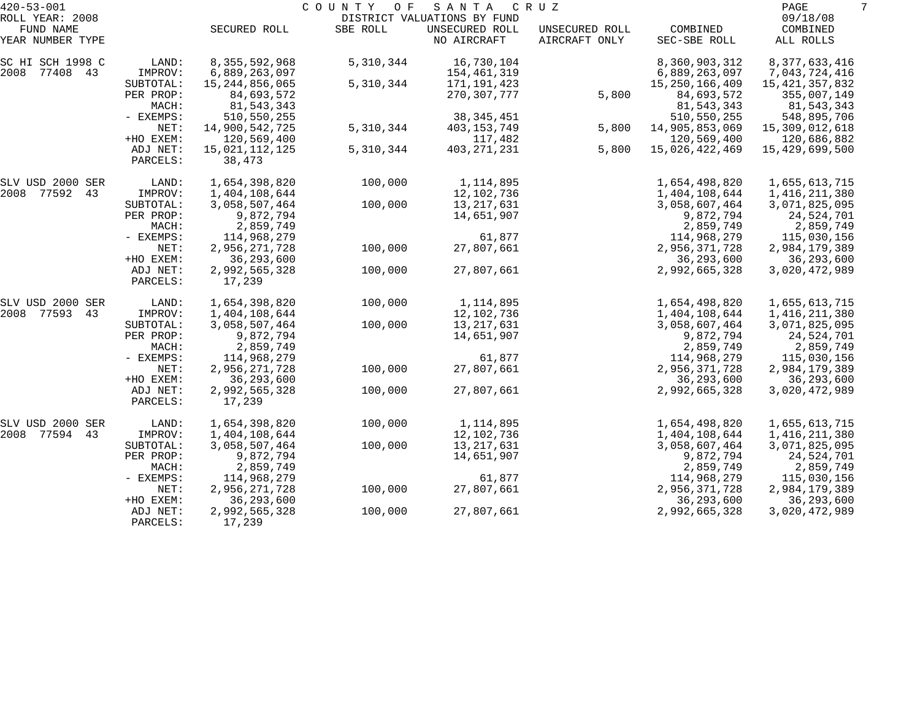| $420 - 53 - 001$             |                      |                           | COUNTY<br>O F | SANTA                                         | C R U Z        |                           | PAGE                      | 7 |
|------------------------------|----------------------|---------------------------|---------------|-----------------------------------------------|----------------|---------------------------|---------------------------|---|
| ROLL YEAR: 2008<br>FUND NAME |                      | SECURED ROLL              | SBE ROLL      | DISTRICT VALUATIONS BY FUND<br>UNSECURED ROLL | UNSECURED ROLL | COMBINED                  | 09/18/08<br>COMBINED      |   |
| YEAR NUMBER TYPE             |                      |                           |               | NO AIRCRAFT                                   | AIRCRAFT ONLY  | SEC-SBE ROLL              | ALL ROLLS                 |   |
| SC HI SCH 1998 C             | LAND:                | 8,355,592,968             | 5,310,344     | 16,730,104                                    |                | 8,360,903,312             | 8, 377, 633, 416          |   |
| 2008 77408 43                | IMPROV:              | 6,889,263,097             |               | 154,461,319                                   |                | 6,889,263,097             | 7,043,724,416             |   |
|                              | SUBTOTAL:            | 15,244,856,065            | 5,310,344     | 171,191,423                                   |                | 15, 250, 166, 409         | 15, 421, 357, 832         |   |
|                              | PER PROP:            | 84,693,572                |               | 270,307,777                                   | 5,800          | 84,693,572                | 355,007,149               |   |
|                              | MACH:<br>- EXEMPS:   | 81,543,343<br>510,550,255 |               |                                               |                | 81,543,343<br>510,550,255 | 81,543,343<br>548,895,706 |   |
|                              | NET:                 | 14,900,542,725            | 5,310,344     | 38, 345, 451<br>403, 153, 749                 | 5,800          | 14,905,853,069            | 15,309,012,618            |   |
|                              | +HO EXEM:            | 120,569,400               |               | 117,482                                       |                | 120,569,400               | 120,686,882               |   |
|                              | ADJ NET:             | 15,021,112,125            | 5,310,344     | 403, 271, 231                                 | 5,800          | 15,026,422,469            | 15,429,699,500            |   |
|                              | PARCELS:             | 38,473                    |               |                                               |                |                           |                           |   |
| SLV USD 2000 SER             | LAND:                | 1,654,398,820             | 100,000       | 1,114,895                                     |                | 1,654,498,820             | 1,655,613,715             |   |
| 2008 77592<br>43             | IMPROV:              | 1,404,108,644             |               | 12,102,736                                    |                | 1,404,108,644             | 1,416,211,380             |   |
|                              | SUBTOTAL:            | 3,058,507,464             | 100,000       | 13, 217, 631                                  |                | 3,058,607,464             | 3,071,825,095             |   |
|                              | PER PROP:            | 9,872,794                 |               | 14,651,907                                    |                | 9,872,794                 | 24,524,701                |   |
|                              | MACH:                | 2,859,749                 |               |                                               |                | 2,859,749                 | 2,859,749                 |   |
|                              | - EXEMPS:            | 114,968,279               |               | 61,877                                        |                | 114,968,279               | 115,030,156               |   |
|                              | NET:                 | 2,956,271,728             | 100,000       | 27,807,661                                    |                | 2,956,371,728             | 2,984,179,389             |   |
|                              | +HO EXEM:            | 36, 293, 600              |               |                                               |                | 36, 293, 600              | 36,293,600                |   |
|                              | ADJ NET:<br>PARCELS: | 2,992,565,328<br>17,239   | 100,000       | 27,807,661                                    |                | 2,992,665,328             | 3,020,472,989             |   |
| SLV USD 2000 SER             | LAND:                | 1,654,398,820             | 100,000       | 1,114,895                                     |                | 1,654,498,820             | 1,655,613,715             |   |
| 2008 77593<br>43             | IMPROV:              | 1,404,108,644             |               | 12,102,736                                    |                | 1,404,108,644             | 1,416,211,380             |   |
|                              | SUBTOTAL:            | 3,058,507,464             | 100,000       | 13, 217, 631                                  |                | 3,058,607,464             | 3,071,825,095             |   |
|                              | PER PROP:            | 9,872,794                 |               | 14,651,907                                    |                | 9,872,794                 | 24,524,701                |   |
|                              | MACH:                | 2,859,749                 |               |                                               |                | 2,859,749                 | 2,859,749                 |   |
|                              | - EXEMPS:            | 114,968,279               |               | 61,877                                        |                | 114,968,279               | 115,030,156               |   |
|                              | NET:                 | 2,956,271,728             | 100,000       | 27,807,661                                    |                | 2,956,371,728             | 2,984,179,389             |   |
|                              | +HO EXEM:            | 36, 293, 600              |               |                                               |                | 36, 293, 600              | 36,293,600                |   |
|                              | ADJ NET:<br>PARCELS: | 2,992,565,328<br>17,239   | 100,000       | 27,807,661                                    |                | 2,992,665,328             | 3,020,472,989             |   |
| SLV USD 2000 SER             | LAND:                | 1,654,398,820             | 100,000       | 1,114,895                                     |                | 1,654,498,820             | 1,655,613,715             |   |
| 2008 77594<br>43             | IMPROV:              | 1,404,108,644             |               | 12,102,736                                    |                | 1,404,108,644             | 1,416,211,380             |   |
|                              | SUBTOTAL:            | 3,058,507,464             | 100,000       | 13, 217, 631                                  |                | 3,058,607,464             | 3,071,825,095             |   |
|                              | PER PROP:            | 9,872,794                 |               | 14,651,907                                    |                | 9,872,794                 | 24,524,701                |   |
|                              | MACH:                | 2,859,749                 |               |                                               |                | 2,859,749                 | 2,859,749                 |   |
|                              | $-$ EXEMPS:          | 114,968,279               |               | 61,877                                        |                | 114,968,279               | 115,030,156               |   |
|                              | NET:                 | 2,956,271,728             | 100,000       | 27,807,661                                    |                | 2,956,371,728             | 2,984,179,389             |   |
|                              | +HO EXEM:            | 36, 293, 600              |               |                                               |                | 36, 293, 600              | 36,293,600                |   |
|                              | ADJ NET:<br>PARCELS: | 2,992,565,328<br>17,239   | 100,000       | 27,807,661                                    |                | 2,992,665,328             | 3,020,472,989             |   |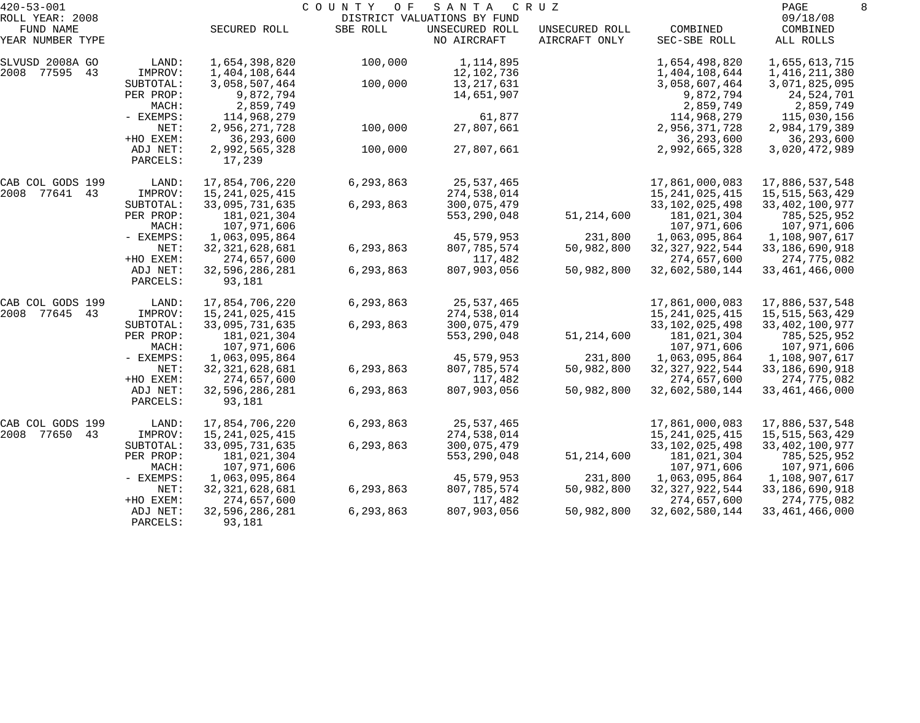| $420 - 53 - 001$    |                      |                          | COUNTY<br>O F | SANTA                       | C R U Z               |                   | PAGE                            | 8 |
|---------------------|----------------------|--------------------------|---------------|-----------------------------|-----------------------|-------------------|---------------------------------|---|
| ROLL YEAR: 2008     |                      |                          |               | DISTRICT VALUATIONS BY FUND |                       |                   | 09/18/08                        |   |
| FUND NAME           |                      | SECURED ROLL             | SBE ROLL      | UNSECURED ROLL              | UNSECURED ROLL        | COMBINED          | COMBINED                        |   |
| YEAR NUMBER TYPE    |                      |                          |               | NO AIRCRAFT                 | AIRCRAFT ONLY         | SEC-SBE ROLL      | ALL ROLLS                       |   |
| SLVUSD 2008A GO     | LAND:                | 1,654,398,820            | 100,000       | 1,114,895                   |                       | 1,654,498,820     | 1,655,613,715                   |   |
| 2008 77595 43       | IMPROV:              | 1,404,108,644            |               | 12,102,736                  |                       | 1,404,108,644     | 1,416,211,380                   |   |
|                     | SUBTOTAL:            | 3,058,507,464            | 100,000       | 13, 217, 631                |                       | 3,058,607,464     | 3,071,825,095                   |   |
|                     | PER PROP:            | 9,872,794                |               | 14,651,907                  |                       | 9,872,794         | 24,524,701                      |   |
|                     | MACH:                | 2,859,749                |               |                             |                       | 2,859,749         | 2,859,749                       |   |
|                     | - EXEMPS:            | 114,968,279              |               | 61,877                      |                       | 114,968,279       | 115,030,156                     |   |
|                     | NET:                 | 2,956,271,728            | 100,000       | 27,807,661                  |                       | 2,956,371,728     | 2,984,179,389                   |   |
|                     | +HO EXEM:            | 36, 293, 600             |               |                             |                       | 36, 293, 600      | 36,293,600                      |   |
|                     | ADJ NET:<br>PARCELS: | 2,992,565,328<br>17,239  | 100,000       | 27,807,661                  |                       | 2,992,665,328     | 3,020,472,989                   |   |
| CAB COL GODS 199    | LAND:                | 17,854,706,220           | 6,293,863     | 25,537,465                  |                       | 17,861,000,083    | 17,886,537,548                  |   |
| 2008 77641<br>43    | IMPROV:              | 15, 241, 025, 415        |               | 274,538,014                 |                       | 15, 241, 025, 415 | 15,515,563,429                  |   |
|                     | SUBTOTAL:            | 33,095,731,635           | 6,293,863     | 300,075,479                 |                       | 33, 102, 025, 498 | 33, 402, 100, 977               |   |
|                     | PER PROP:            | 181,021,304              |               | 553, 290, 048               | 51, 214, 600          | 181,021,304       | 785,525,952                     |   |
|                     | MACH:                | 107,971,606              |               |                             |                       | 107,971,606       | 107,971,606                     |   |
|                     | - EXEMPS:            | 1,063,095,864            |               | 45,579,953                  | 231,800               | 1,063,095,864     | 1,108,907,617                   |   |
|                     | NET:                 | 32, 321, 628, 681        | 6,293,863     | 807,785,574                 | 50,982,800            | 32, 327, 922, 544 | 33, 186, 690, 918               |   |
|                     | +HO EXEM:            | 274,657,600              |               | 117,482                     |                       | 274,657,600       | 274,775,082                     |   |
|                     | ADJ NET:             | 32,596,286,281           | 6,293,863     | 807,903,056                 | 50,982,800            | 32,602,580,144    | 33, 461, 466, 000               |   |
|                     | PARCELS:             | 93,181                   |               |                             |                       |                   |                                 |   |
| CAB COL GODS 199    | LAND:                | 17,854,706,220           | 6,293,863     | 25,537,465                  |                       | 17,861,000,083    | 17,886,537,548                  |   |
| 2008 77645<br>43    | IMPROV:              | 15, 241, 025, 415        |               | 274,538,014                 |                       | 15, 241, 025, 415 | 15,515,563,429                  |   |
|                     | SUBTOTAL:            | 33,095,731,635           | 6,293,863     | 300,075,479                 |                       | 33, 102, 025, 498 | 33, 402, 100, 977               |   |
|                     | PER PROP:            | 181,021,304              |               | 553, 290, 048               | 51, 214, 600          | 181,021,304       | 785,525,952                     |   |
|                     | MACH:                | 107,971,606              |               |                             |                       | 107,971,606       | 107,971,606                     |   |
|                     | - EXEMPS:            | 1,063,095,864            |               | 45,579,953                  | 231,800               | 1,063,095,864     | 1,108,907,617                   |   |
|                     | NET:                 | 32, 321, 628, 681        | 6,293,863     | 807,785,574                 | 50,982,800            | 32, 327, 922, 544 | 33, 186, 690, 918               |   |
|                     | +HO EXEM:            | 274,657,600              |               | 117,482                     |                       | 274,657,600       | 274,775,082                     |   |
|                     | ADJ NET:<br>PARCELS: | 32,596,286,281<br>93,181 | 6,293,863     | 807,903,056                 | 50,982,800            | 32,602,580,144    | 33, 461, 466, 000               |   |
| CAB COL GODS 199    | LAND:                | 17,854,706,220           | 6,293,863     | 25,537,465                  |                       | 17,861,000,083    | 17,886,537,548                  |   |
| 2008<br>77650<br>43 | IMPROV:              | 15, 241, 025, 415        |               | 274,538,014                 |                       | 15,241,025,415    | 15,515,563,429                  |   |
|                     | SUBTOTAL:            | 33,095,731,635           | 6,293,863     | 300,075,479                 |                       | 33,102,025,498    | 33, 402, 100, 977               |   |
|                     | PER PROP:            | 181,021,304              |               | 553, 290, 048               | 51, 214, 600          | 181,021,304       | 785,525,952                     |   |
|                     | MACH:                | 107,971,606              |               |                             |                       | 107,971,606       | 107,971,606                     |   |
|                     |                      | 1,063,095,864            |               | 45,579,953                  |                       | 1,063,095,864     |                                 |   |
|                     | $-$ EXEMPS:<br>NET:  | 32, 321, 628, 681        | 6,293,863     | 807,785,574                 | 231,800<br>50,982,800 | 32, 327, 922, 544 | 1,108,907,617<br>33,186,690,918 |   |
|                     | +HO EXEM:            | 274,657,600              |               | 117,482                     |                       | 274,657,600       | 274,775,082                     |   |
|                     | ADJ NET:             | 32,596,286,281           | 6,293,863     | 807,903,056                 | 50,982,800            | 32,602,580,144    | 33, 461, 466, 000               |   |
|                     | PARCELS:             | 93,181                   |               |                             |                       |                   |                                 |   |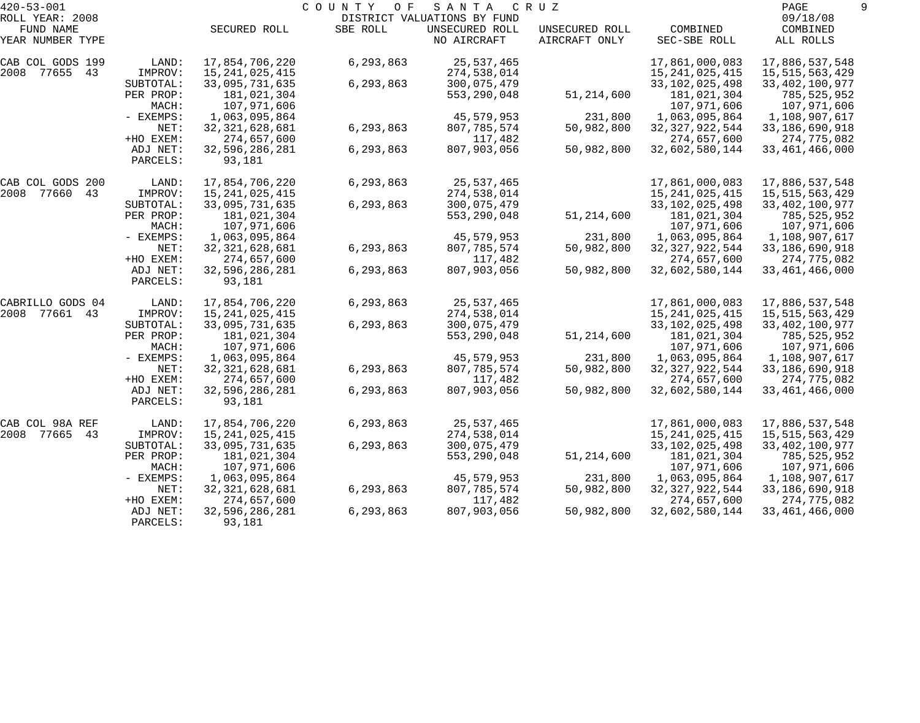| $420 - 53 - 001$ |           |                   | COUNTY<br>O F | SANTA                       | C R U Z        |                   | PAGE              |  |
|------------------|-----------|-------------------|---------------|-----------------------------|----------------|-------------------|-------------------|--|
| ROLL YEAR: 2008  |           |                   |               | DISTRICT VALUATIONS BY FUND |                |                   | 09/18/08          |  |
| FUND NAME        |           | SECURED ROLL      | SBE ROLL      | UNSECURED ROLL              | UNSECURED ROLL | COMBINED          | COMBINED          |  |
| YEAR NUMBER TYPE |           |                   |               | NO AIRCRAFT                 | AIRCRAFT ONLY  | SEC-SBE ROLL      | ALL ROLLS         |  |
| CAB COL GODS 199 | LAND:     | 17,854,706,220    | 6,293,863     | 25,537,465                  |                | 17,861,000,083    | 17,886,537,548    |  |
| 2008 77655 43    | IMPROV:   | 15, 241, 025, 415 |               | 274,538,014                 |                | 15, 241, 025, 415 | 15, 515, 563, 429 |  |
|                  | SUBTOTAL: | 33,095,731,635    | 6,293,863     | 300,075,479                 |                | 33, 102, 025, 498 | 33, 402, 100, 977 |  |
|                  | PER PROP: | 181,021,304       |               | 553, 290, 048               | 51,214,600     | 181,021,304       | 785,525,952       |  |
|                  | MACH:     | 107,971,606       |               |                             |                | 107,971,606       | 107,971,606       |  |
|                  | - EXEMPS: | 1,063,095,864     |               | 45,579,953                  | 231,800        | 1,063,095,864     | 1,108,907,617     |  |
|                  | NET:      | 32, 321, 628, 681 | 6,293,863     | 807,785,574                 | 50,982,800     | 32, 327, 922, 544 | 33,186,690,918    |  |
|                  | +HO EXEM: | 274,657,600       |               | 117,482                     |                | 274,657,600       | 274,775,082       |  |
|                  | ADJ NET:  | 32,596,286,281    | 6,293,863     | 807,903,056                 | 50,982,800     | 32,602,580,144    | 33, 461, 466, 000 |  |
|                  | PARCELS:  | 93,181            |               |                             |                |                   |                   |  |
| CAB COL GODS 200 | LAND:     | 17,854,706,220    | 6,293,863     | 25,537,465                  |                | 17,861,000,083    | 17,886,537,548    |  |
| 2008 77660<br>43 | IMPROV:   | 15, 241, 025, 415 |               | 274,538,014                 |                | 15, 241, 025, 415 | 15,515,563,429    |  |
|                  | SUBTOTAL: | 33,095,731,635    | 6,293,863     | 300,075,479                 |                | 33, 102, 025, 498 | 33, 402, 100, 977 |  |
|                  | PER PROP: | 181,021,304       |               | 553, 290, 048               | 51, 214, 600   | 181,021,304       | 785,525,952       |  |
|                  | MACH:     | 107,971,606       |               |                             |                | 107,971,606       | 107,971,606       |  |
|                  | - EXEMPS: | 1,063,095,864     |               | 45,579,953                  | 231,800        | 1,063,095,864     | 1,108,907,617     |  |
|                  | NET:      | 32, 321, 628, 681 | 6,293,863     | 807,785,574                 | 50,982,800     | 32, 327, 922, 544 | 33,186,690,918    |  |
|                  | +HO EXEM: | 274,657,600       |               | 117,482                     |                | 274,657,600       | 274,775,082       |  |
|                  | ADJ NET:  | 32,596,286,281    | 6,293,863     | 807,903,056                 | 50,982,800     | 32,602,580,144    | 33, 461, 466, 000 |  |
|                  | PARCELS:  | 93,181            |               |                             |                |                   |                   |  |
| CABRILLO GODS 04 | LAND:     | 17,854,706,220    | 6,293,863     | 25,537,465                  |                | 17,861,000,083    | 17,886,537,548    |  |
| 2008 77661 43    | IMPROV:   | 15, 241, 025, 415 |               | 274,538,014                 |                | 15, 241, 025, 415 | 15,515,563,429    |  |
|                  | SUBTOTAL: | 33,095,731,635    | 6,293,863     | 300,075,479                 |                | 33, 102, 025, 498 | 33, 402, 100, 977 |  |
|                  | PER PROP: | 181,021,304       |               | 553, 290, 048               | 51, 214, 600   | 181,021,304       | 785,525,952       |  |
|                  | MACH:     | 107,971,606       |               |                             |                | 107,971,606       | 107,971,606       |  |
|                  | - EXEMPS: | 1,063,095,864     |               | 45,579,953                  | 231,800        | 1,063,095,864     | 1,108,907,617     |  |
|                  | NET:      | 32, 321, 628, 681 | 6,293,863     | 807,785,574                 | 50,982,800     | 32, 327, 922, 544 | 33, 186, 690, 918 |  |
|                  | +HO EXEM: | 274,657,600       |               | 117,482                     |                | 274,657,600       | 274,775,082       |  |
|                  | ADJ NET:  | 32,596,286,281    | 6,293,863     | 807,903,056                 | 50,982,800     | 32,602,580,144    | 33, 461, 466, 000 |  |
|                  | PARCELS:  | 93,181            |               |                             |                |                   |                   |  |
| CAB COL 98A REF  | LAND:     | 17,854,706,220    | 6,293,863     | 25,537,465                  |                | 17,861,000,083    | 17,886,537,548    |  |
| 2008 77665<br>43 | IMPROV:   | 15, 241, 025, 415 |               | 274,538,014                 |                | 15,241,025,415    | 15,515,563,429    |  |
|                  | SUBTOTAL: | 33,095,731,635    | 6,293,863     | 300,075,479                 |                | 33,102,025,498    | 33, 402, 100, 977 |  |
|                  | PER PROP: | 181,021,304       |               | 553, 290, 048               | 51, 214, 600   | 181,021,304       | 785,525,952       |  |
|                  | MACH:     | 107,971,606       |               |                             |                | 107,971,606       | 107,971,606       |  |
|                  | - EXEMPS: | 1,063,095,864     |               | 45,579,953                  | 231,800        | 1,063,095,864     | 1,108,907,617     |  |
|                  | NET:      | 32, 321, 628, 681 | 6,293,863     | 807,785,574                 | 50,982,800     | 32, 327, 922, 544 | 33,186,690,918    |  |
|                  | +HO EXEM: | 274,657,600       |               | 117,482                     |                | 274,657,600       | 274,775,082       |  |
|                  | ADJ NET:  | 32,596,286,281    | 6,293,863     | 807,903,056                 | 50,982,800     | 32,602,580,144    | 33, 461, 466, 000 |  |
|                  | PARCELS:  | 93,181            |               |                             |                |                   |                   |  |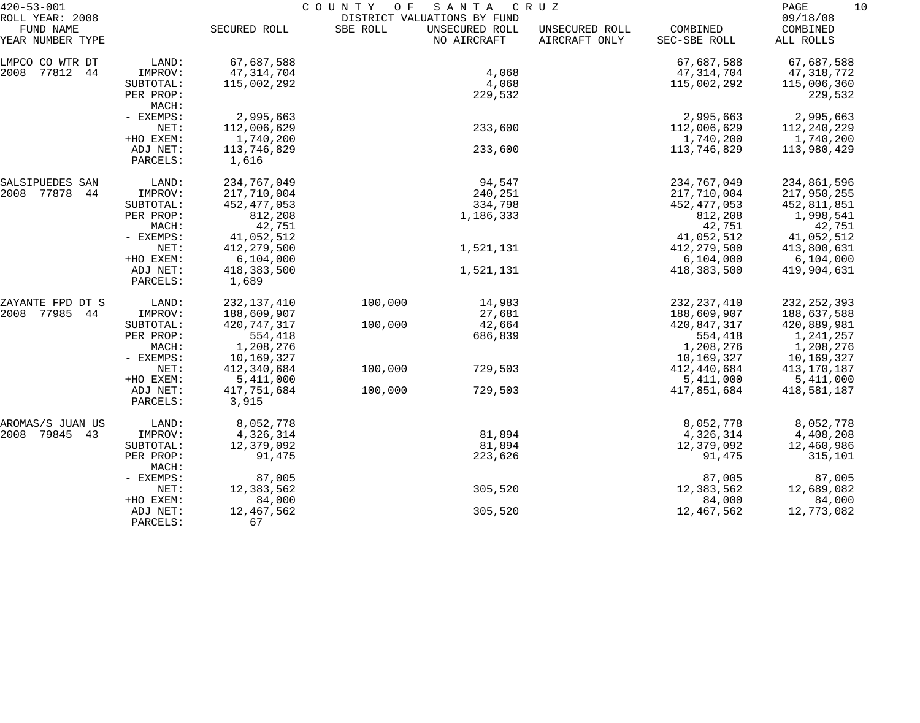| $420 - 53 - 001$              |                      | COUNTY<br>SANTA<br>C R U Z<br>O F |          |                               |                                 |                          |                       |  |
|-------------------------------|----------------------|-----------------------------------|----------|-------------------------------|---------------------------------|--------------------------|-----------------------|--|
| ROLL YEAR: 2008               |                      |                                   |          | DISTRICT VALUATIONS BY FUND   |                                 |                          | 09/18/08              |  |
| FUND NAME<br>YEAR NUMBER TYPE |                      | SECURED ROLL                      | SBE ROLL | UNSECURED ROLL<br>NO AIRCRAFT | UNSECURED ROLL<br>AIRCRAFT ONLY | COMBINED<br>SEC-SBE ROLL | COMBINED<br>ALL ROLLS |  |
| LMPCO CO WTR DT               | LAND:                | 67,687,588                        |          |                               |                                 | 67,687,588               | 67,687,588            |  |
| 2008<br>77812<br>44           | IMPROV:              | 47, 314, 704                      |          | 4,068                         |                                 | 47, 314, 704             | 47,318,772            |  |
|                               | SUBTOTAL:            | 115,002,292                       |          | 4,068                         |                                 | 115,002,292              | 115,006,360           |  |
|                               | PER PROP:            |                                   |          | 229,532                       |                                 |                          | 229,532               |  |
|                               | MACH:                |                                   |          |                               |                                 |                          |                       |  |
|                               | - EXEMPS:            | 2,995,663                         |          |                               |                                 | 2,995,663                | 2,995,663             |  |
|                               | NET:                 | 112,006,629                       |          | 233,600                       |                                 | 112,006,629              | 112,240,229           |  |
|                               | +HO EXEM:            | 1,740,200                         |          |                               |                                 | 1,740,200                | 1,740,200             |  |
|                               | ADJ NET:             | 113,746,829                       |          | 233,600                       |                                 | 113,746,829              | 113,980,429           |  |
|                               | PARCELS:             | 1,616                             |          |                               |                                 |                          |                       |  |
| SALSIPUEDES SAN               | LAND:                | 234,767,049                       |          | 94,547                        |                                 | 234,767,049              | 234,861,596           |  |
| 2008 77878<br>44              | IMPROV:              | 217,710,004                       |          | 240,251                       |                                 | 217,710,004              | 217,950,255           |  |
|                               | SUBTOTAL:            | 452, 477, 053                     |          | 334,798                       |                                 | 452, 477, 053            | 452,811,851           |  |
|                               | PER PROP:            | 812,208                           |          | 1,186,333                     |                                 | 812,208                  | 1,998,541             |  |
|                               | MACH:                | 42,751                            |          |                               |                                 | 42,751                   | 42,751                |  |
|                               | - EXEMPS:            | 41,052,512                        |          |                               |                                 | 41,052,512               | 41,052,512            |  |
|                               | NET:                 | 412, 279, 500                     |          | 1,521,131                     |                                 | 412, 279, 500            | 413,800,631           |  |
|                               | +HO EXEM:            | 6,104,000                         |          |                               |                                 | 6,104,000                | 6,104,000             |  |
|                               | ADJ NET:<br>PARCELS: | 418,383,500<br>1,689              |          | 1,521,131                     |                                 | 418,383,500              | 419,904,631           |  |
| ZAYANTE FPD DT S              | LAND:                | 232, 137, 410                     | 100,000  | 14,983                        |                                 | 232, 237, 410            | 232, 252, 393         |  |
| 2008 77985<br>44              | IMPROV:              | 188,609,907                       |          | 27,681                        |                                 | 188,609,907              | 188,637,588           |  |
|                               | SUBTOTAL:            | 420,747,317                       | 100,000  | 42,664                        |                                 | 420,847,317              | 420,889,981           |  |
|                               | PER PROP:            | 554,418                           |          | 686,839                       |                                 | 554,418                  | 1,241,257             |  |
|                               | MACH:                | 1,208,276                         |          |                               |                                 | 1,208,276                | 1,208,276             |  |
|                               | - EXEMPS:            | 10,169,327                        |          |                               |                                 | 10,169,327               | 10,169,327            |  |
|                               | NET:                 | 412,340,684                       | 100,000  | 729,503                       |                                 | 412,440,684              | 413,170,187           |  |
|                               | +HO EXEM:            | 5,411,000                         |          |                               |                                 | 5,411,000                | 5,411,000             |  |
|                               | ADJ NET:             | 417,751,684                       | 100,000  | 729,503                       |                                 | 417,851,684              | 418,581,187           |  |
|                               | PARCELS:             | 3,915                             |          |                               |                                 |                          |                       |  |
| AROMAS/S JUAN US              | LAND:                | 8,052,778                         |          |                               |                                 | 8,052,778                | 8,052,778             |  |
| 2008 79845<br>43              | IMPROV:              | 4,326,314                         |          | 81,894                        |                                 | 4,326,314                | 4,408,208             |  |
|                               | SUBTOTAL:            | 12,379,092                        |          | 81,894                        |                                 | 12,379,092               | 12,460,986            |  |
|                               | PER PROP:<br>MACH:   | 91,475                            |          | 223,626                       |                                 | 91,475                   | 315,101               |  |
|                               | - EXEMPS:            | 87,005                            |          |                               |                                 | 87,005                   | 87,005                |  |
|                               | NET:                 | 12,383,562                        |          | 305,520                       |                                 | 12,383,562               | 12,689,082            |  |
|                               | +HO EXEM:            | 84,000                            |          |                               |                                 | 84,000                   | 84,000                |  |
|                               | ADJ NET:             | 12,467,562                        |          | 305,520                       |                                 | 12,467,562               | 12,773,082            |  |
|                               | PARCELS:             | 67                                |          |                               |                                 |                          |                       |  |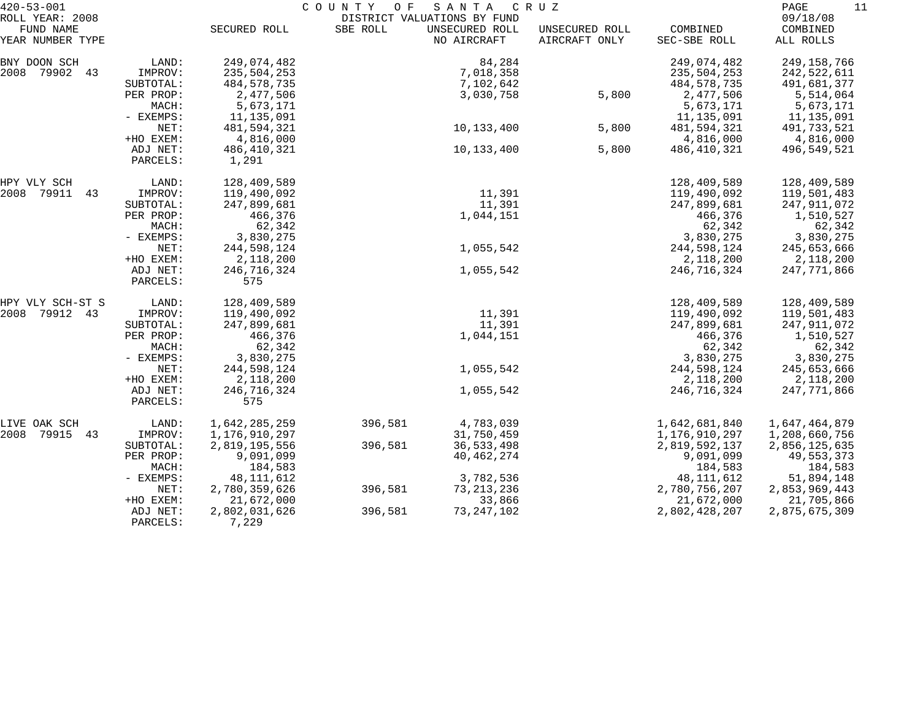| $420 - 53 - 001$              |             |               | COUNTY<br>O F               | SANTA                         | C R U Z                         |                          | 11<br>PAGE            |
|-------------------------------|-------------|---------------|-----------------------------|-------------------------------|---------------------------------|--------------------------|-----------------------|
| ROLL YEAR: 2008               |             |               | DISTRICT VALUATIONS BY FUND |                               |                                 |                          | 09/18/08              |
| FUND NAME<br>YEAR NUMBER TYPE |             | SECURED ROLL  | SBE ROLL                    | UNSECURED ROLL<br>NO AIRCRAFT | UNSECURED ROLL<br>AIRCRAFT ONLY | COMBINED<br>SEC-SBE ROLL | COMBINED<br>ALL ROLLS |
| BNY DOON SCH                  | LAND:       | 249,074,482   |                             | 84,284                        |                                 | 249,074,482              | 249,158,766           |
| 2008 79902 43                 | IMPROV:     | 235,504,253   |                             | 7,018,358                     |                                 | 235,504,253              | 242,522,611           |
|                               | SUBTOTAL:   | 484,578,735   |                             | 7,102,642                     |                                 | 484,578,735              | 491,681,377           |
|                               | PER PROP:   | 2,477,506     |                             | 3,030,758                     | 5,800                           | 2,477,506                | 5,514,064             |
|                               | MACH:       | 5,673,171     |                             |                               |                                 | 5,673,171                | 5,673,171             |
|                               | - EXEMPS:   | 11,135,091    |                             |                               |                                 | 11,135,091               | 11,135,091            |
|                               | NET:        | 481,594,321   |                             | 10,133,400                    | 5,800                           | 481,594,321              | 491,733,521           |
|                               | +HO EXEM:   | 4,816,000     |                             |                               |                                 | 4,816,000                | 4,816,000             |
|                               | ADJ NET:    | 486,410,321   |                             | 10,133,400                    | 5,800                           | 486,410,321              | 496,549,521           |
|                               | PARCELS:    | 1,291         |                             |                               |                                 |                          |                       |
| HPY VLY SCH                   | LAND:       | 128,409,589   |                             |                               |                                 | 128,409,589              | 128,409,589           |
| 2008<br>79911<br>43           | IMPROV:     | 119,490,092   |                             | 11,391                        |                                 | 119,490,092              | 119,501,483           |
|                               | SUBTOTAL:   | 247,899,681   |                             | 11,391                        |                                 | 247,899,681              | 247,911,072           |
|                               | PER PROP:   | 466,376       |                             | 1,044,151                     |                                 | 466,376                  | 1,510,527             |
|                               | MACH:       | 62,342        |                             |                               |                                 | 62,342                   | 62,342                |
|                               | - EXEMPS:   | 3,830,275     |                             |                               |                                 | 3,830,275                | 3,830,275             |
|                               | NET:        | 244,598,124   |                             | 1,055,542                     |                                 | 244,598,124              | 245,653,666           |
|                               | +HO EXEM:   | 2,118,200     |                             |                               |                                 | 2,118,200                | 2,118,200             |
|                               | ADJ NET:    | 246,716,324   |                             | 1,055,542                     |                                 | 246,716,324              | 247,771,866           |
|                               | PARCELS:    | 575           |                             |                               |                                 |                          |                       |
| HPY VLY SCH-ST S              | LAND:       | 128,409,589   |                             |                               |                                 | 128,409,589              | 128,409,589           |
| 2008<br>79912 43              | IMPROV:     | 119,490,092   |                             | 11,391                        |                                 | 119,490,092              | 119,501,483           |
|                               | SUBTOTAL:   | 247,899,681   |                             | 11,391                        |                                 | 247,899,681              | 247,911,072           |
|                               | PER PROP:   | 466,376       |                             | 1,044,151                     |                                 | 466,376                  | 1,510,527             |
|                               | MACH:       | 62,342        |                             |                               |                                 | 62,342                   | 62,342                |
|                               | - EXEMPS:   | 3,830,275     |                             |                               |                                 | 3,830,275                | 3,830,275             |
|                               | NET:        | 244,598,124   |                             | 1,055,542                     |                                 | 244,598,124              | 245,653,666           |
|                               | +HO EXEM:   | 2,118,200     |                             |                               |                                 | 2,118,200                | 2,118,200             |
|                               | ADJ NET:    | 246,716,324   |                             | 1,055,542                     |                                 | 246,716,324              | 247,771,866           |
|                               | PARCELS:    | 575           |                             |                               |                                 |                          |                       |
| LIVE OAK SCH                  | LAND:       | 1,642,285,259 | 396,581                     | 4,783,039                     |                                 | 1,642,681,840            | 1,647,464,879         |
| 2008<br>79915<br>43           | IMPROV:     | 1,176,910,297 |                             | 31,750,459                    |                                 | 1,176,910,297            | 1,208,660,756         |
|                               | SUBTOTAL:   | 2,819,195,556 | 396,581                     | 36, 533, 498                  |                                 | 2,819,592,137            | 2,856,125,635         |
|                               | PER PROP:   | 9,091,099     |                             | 40, 462, 274                  |                                 | 9,091,099                | 49,553,373            |
|                               | MACH:       | 184,583       |                             |                               |                                 | 184,583                  | 184,583               |
|                               | $-$ EXEMPS: | 48, 111, 612  |                             | 3,782,536                     |                                 | 48, 111, 612             | 51,894,148            |
|                               | NET:        | 2,780,359,626 | 396,581                     | 73, 213, 236                  |                                 | 2,780,756,207            | 2,853,969,443         |
|                               | +HO EXEM:   | 21,672,000    |                             | 33,866                        |                                 | 21,672,000               | 21,705,866            |
|                               | ADJ NET:    | 2,802,031,626 | 396,581                     | 73, 247, 102                  |                                 | 2,802,428,207            | 2,875,675,309         |
|                               | PARCELS:    | 7,229         |                             |                               |                                 |                          |                       |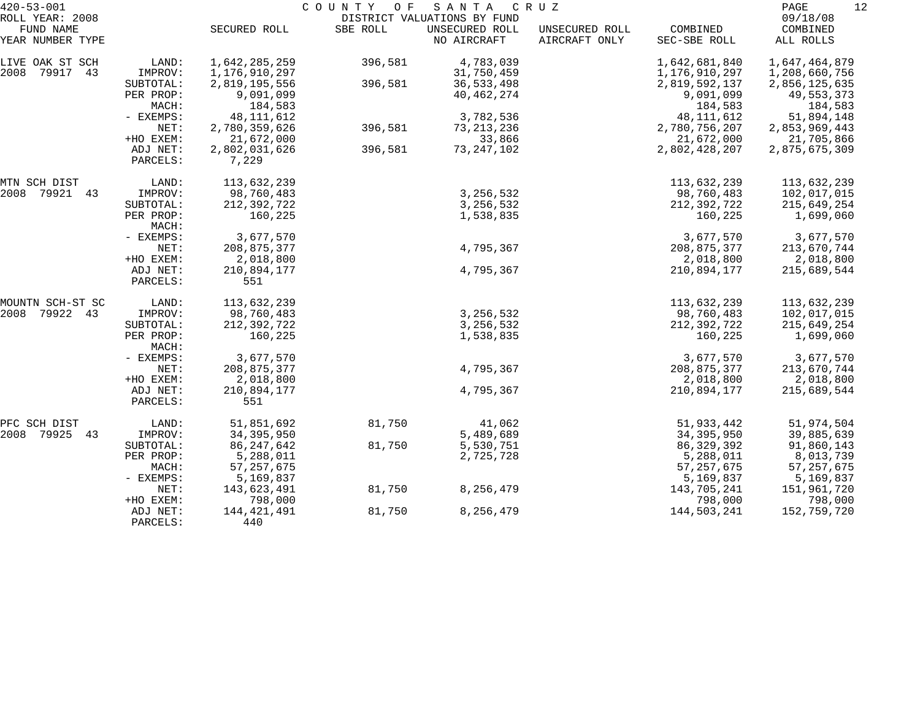| $420 - 53 - 001$                                 |                      | COUNTY OF<br>S A N T A<br>C R U Z<br>DISTRICT VALUATIONS BY FUND |          |                               |                                 |                          |                                   |  |  |
|--------------------------------------------------|----------------------|------------------------------------------------------------------|----------|-------------------------------|---------------------------------|--------------------------|-----------------------------------|--|--|
| ROLL YEAR: 2008<br>FUND NAME<br>YEAR NUMBER TYPE |                      | SECURED ROLL                                                     | SBE ROLL | UNSECURED ROLL<br>NO AIRCRAFT | UNSECURED ROLL<br>AIRCRAFT ONLY | COMBINED<br>SEC-SBE ROLL | 09/18/08<br>COMBINED<br>ALL ROLLS |  |  |
| LIVE OAK ST SCH                                  | LAND:                | 1,642,285,259                                                    | 396,581  | 4,783,039                     |                                 | 1,642,681,840            | 1,647,464,879                     |  |  |
| 79917<br>43<br>2008                              | IMPROV:              | 1,176,910,297                                                    |          | 31,750,459                    |                                 | 1,176,910,297            | 1,208,660,756                     |  |  |
|                                                  | SUBTOTAL:            | 2,819,195,556                                                    | 396,581  | 36,533,498                    |                                 | 2,819,592,137            | 2,856,125,635                     |  |  |
|                                                  | PER PROP:            | 9,091,099                                                        |          | 40, 462, 274                  |                                 | 9,091,099                | 49,553,373                        |  |  |
|                                                  | MACH:                | 184,583                                                          |          |                               |                                 | 184,583                  | 184,583                           |  |  |
|                                                  | - EXEMPS:            | 48, 111, 612                                                     |          | 3,782,536                     |                                 | 48, 111, 612             | 51,894,148                        |  |  |
|                                                  | NET:                 | 2,780,359,626                                                    | 396,581  | 73, 213, 236                  |                                 | 2,780,756,207            | 2,853,969,443                     |  |  |
|                                                  | +HO EXEM:            | 21,672,000                                                       |          | 33,866                        |                                 | 21,672,000               | 21,705,866                        |  |  |
|                                                  | ADJ NET:             | 2,802,031,626                                                    | 396,581  | 73, 247, 102                  |                                 | 2,802,428,207            | 2,875,675,309                     |  |  |
|                                                  | PARCELS:             | 7,229                                                            |          |                               |                                 |                          |                                   |  |  |
| MTN SCH DIST                                     | LAND:                | 113,632,239                                                      |          |                               |                                 | 113,632,239              | 113,632,239                       |  |  |
| 2008<br>79921<br>43                              | IMPROV:              | 98,760,483                                                       |          | 3, 256, 532                   |                                 | 98,760,483               | 102,017,015                       |  |  |
|                                                  | SUBTOTAL:            | 212,392,722                                                      |          | 3, 256, 532                   |                                 | 212,392,722              | 215,649,254                       |  |  |
|                                                  | PER PROP:<br>MACH:   | 160,225                                                          |          | 1,538,835                     |                                 | 160,225                  | 1,699,060                         |  |  |
|                                                  | - EXEMPS:            | 3,677,570                                                        |          |                               |                                 | 3,677,570                | 3,677,570                         |  |  |
|                                                  | NET:                 | 208,875,377                                                      |          | 4,795,367                     |                                 | 208,875,377              | 213,670,744                       |  |  |
|                                                  | +HO EXEM:            | 2,018,800                                                        |          |                               |                                 | 2,018,800                | 2,018,800                         |  |  |
|                                                  | ADJ NET:<br>PARCELS: | 210,894,177<br>551                                               |          | 4,795,367                     |                                 | 210,894,177              | 215,689,544                       |  |  |
| MOUNTN SCH-ST SC                                 | LAND:                | 113,632,239                                                      |          |                               |                                 | 113,632,239              | 113,632,239                       |  |  |
| 79922 43<br>2008                                 | IMPROV:              | 98,760,483                                                       |          | 3, 256, 532                   |                                 | 98,760,483               | 102,017,015                       |  |  |
|                                                  | SUBTOTAL:            | 212,392,722                                                      |          | 3, 256, 532                   |                                 | 212,392,722              | 215,649,254                       |  |  |
|                                                  | PER PROP:<br>MACH:   | 160,225                                                          |          | 1,538,835                     |                                 | 160,225                  | 1,699,060                         |  |  |
|                                                  | - EXEMPS:            | 3,677,570                                                        |          |                               |                                 | 3,677,570                | 3,677,570                         |  |  |
|                                                  | NET:                 | 208,875,377                                                      |          | 4,795,367                     |                                 | 208,875,377              | 213,670,744                       |  |  |
|                                                  | +HO EXEM:            | 2,018,800                                                        |          |                               |                                 | 2,018,800                | 2,018,800                         |  |  |
|                                                  | ADJ NET:             | 210,894,177                                                      |          | 4,795,367                     |                                 | 210,894,177              | 215,689,544                       |  |  |
|                                                  | PARCELS:             | 551                                                              |          |                               |                                 |                          |                                   |  |  |
| PFC SCH DIST                                     | LAND:                | 51,851,692                                                       | 81,750   | 41,062                        |                                 | 51,933,442               | 51,974,504                        |  |  |
| 2008<br>79925<br>43                              | IMPROV:              | 34, 395, 950                                                     |          | 5,489,689                     |                                 | 34, 395, 950             | 39,885,639                        |  |  |
|                                                  | SUBTOTAL:            | 86, 247, 642                                                     | 81,750   | 5,530,751                     |                                 | 86, 329, 392             | 91,860,143                        |  |  |
|                                                  | PER PROP:            | 5,288,011                                                        |          | 2,725,728                     |                                 | 5,288,011                | 8,013,739                         |  |  |
|                                                  | MACH:                | 57, 257, 675                                                     |          |                               |                                 | 57, 257, 675             | 57, 257, 675                      |  |  |
|                                                  | - EXEMPS:            | 5,169,837                                                        |          |                               |                                 | 5,169,837                | 5,169,837                         |  |  |
|                                                  | NET:                 | 143,623,491                                                      | 81,750   | 8,256,479                     |                                 | 143,705,241              | 151,961,720                       |  |  |
|                                                  | +HO EXEM:            | 798,000                                                          |          |                               |                                 | 798,000                  | 798,000                           |  |  |
|                                                  | ADJ NET:<br>PARCELS: | 144, 421, 491<br>440                                             | 81,750   | 8,256,479                     |                                 | 144,503,241              | 152,759,720                       |  |  |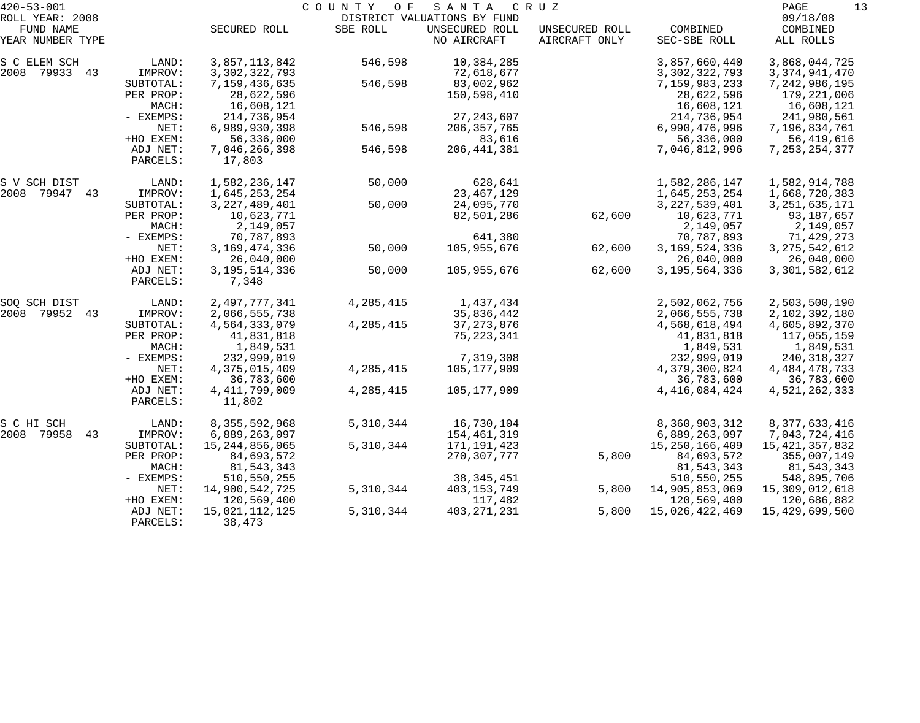| $420 - 53 - 001$              |                      |                            | COUNTY OF   | SANTA                         | CRUZ                            |                          | PAGE<br>13            |
|-------------------------------|----------------------|----------------------------|-------------|-------------------------------|---------------------------------|--------------------------|-----------------------|
| ROLL YEAR: 2008               |                      |                            |             | DISTRICT VALUATIONS BY FUND   |                                 |                          | 09/18/08              |
| FUND NAME<br>YEAR NUMBER TYPE |                      | SECURED ROLL               | SBE ROLL    | UNSECURED ROLL<br>NO AIRCRAFT | UNSECURED ROLL<br>AIRCRAFT ONLY | COMBINED<br>SEC-SBE ROLL | COMBINED<br>ALL ROLLS |
| S C ELEM SCH                  | LAND:                | 3,857,113,842              | 546,598     | 10,384,285                    |                                 | 3,857,660,440            | 3,868,044,725         |
| 2008 79933 43                 | IMPROV:              | 3, 302, 322, 793           |             | 72,618,677                    |                                 | 3, 302, 322, 793         | 3, 374, 941, 470      |
|                               | SUBTOTAL:            | 7,159,436,635              | 546,598     | 83,002,962                    |                                 | 7,159,983,233            | 7,242,986,195         |
|                               | PER PROP:            | 28,622,596                 |             | 150,598,410                   |                                 | 28,622,596               | 179,221,006           |
|                               | MACH:                | 16,608,121                 |             |                               |                                 | 16,608,121               | 16,608,121            |
|                               | - EXEMPS:            | 214,736,954                |             | 27, 243, 607                  |                                 | 214,736,954              | 241,980,561           |
|                               | NET:                 | 6,989,930,398              | 546,598     | 206, 357, 765                 |                                 | 6,990,476,996            | 7,196,834,761         |
|                               | +HO EXEM:            | 56,336,000                 |             | 83,616                        |                                 | 56,336,000               | 56,419,616            |
|                               | ADJ NET:             | 7,046,266,398              | 546,598     | 206, 441, 381                 |                                 | 7,046,812,996            | 7, 253, 254, 377      |
|                               | PARCELS:             | 17,803                     |             |                               |                                 |                          |                       |
| S V SCH DIST                  | LAND:                | 1,582,236,147              | 50,000      | 628,641                       |                                 | 1,582,286,147            | 1,582,914,788         |
| 2008 79947 43                 | IMPROV:              | 1,645,253,254              |             | 23, 467, 129                  |                                 | 1,645,253,254            | 1,668,720,383         |
|                               | SUBTOTAL:            | 3, 227, 489, 401           | 50,000      | 24,095,770                    |                                 | 3, 227, 539, 401         | 3, 251, 635, 171      |
|                               | PER PROP:            | 10,623,771                 |             | 82,501,286                    | 62,600                          | 10,623,771               | 93,187,657            |
|                               | MACH:                | 2,149,057                  |             |                               |                                 | 2,149,057                | 2,149,057             |
|                               | - EXEMPS:            | 70,787,893                 |             | 641,380                       |                                 | 70,787,893               | 71,429,273            |
|                               | NET:                 | 3, 169, 474, 336           | 50,000      | 105,955,676                   | 62,600                          | 3, 169, 524, 336         | 3, 275, 542, 612      |
|                               | +HO EXEM:            | 26,040,000                 |             |                               |                                 | 26,040,000               | 26,040,000            |
|                               | ADJ NET:<br>PARCELS: | 3, 195, 514, 336<br>7,348  | 50,000      | 105,955,676                   | 62,600                          | 3, 195, 564, 336         | 3,301,582,612         |
| SOQ SCH DIST                  | LAND:                | 2,497,777,341              | 4, 285, 415 | 1,437,434                     |                                 | 2,502,062,756            | 2,503,500,190         |
| 2008<br>79952<br>43           | IMPROV:              | 2,066,555,738              |             | 35,836,442                    |                                 | 2,066,555,738            | 2,102,392,180         |
|                               | SUBTOTAL:            | 4,564,333,079              | 4, 285, 415 | 37, 273, 876                  |                                 | 4,568,618,494            | 4,605,892,370         |
|                               | PER PROP:            | 41,831,818                 |             | 75, 223, 341                  |                                 | 41,831,818               | 117,055,159           |
|                               | MACH:                | 1,849,531                  |             |                               |                                 | 1,849,531                | 1,849,531             |
|                               | - EXEMPS:            | 232,999,019                |             | 7,319,308                     |                                 | 232,999,019              | 240, 318, 327         |
|                               | NET:                 | 4,375,015,409              | 4, 285, 415 | 105,177,909                   |                                 | 4,379,300,824            | 4, 484, 478, 733      |
|                               | +HO EXEM:            | 36,783,600                 |             |                               |                                 | 36,783,600               | 36,783,600            |
|                               | ADJ NET:<br>PARCELS: | 4, 411, 799, 009<br>11,802 | 4, 285, 415 | 105,177,909                   |                                 | 4, 416, 084, 424         | 4,521,262,333         |
| S C HI SCH                    | LAND:                | 8, 355, 592, 968           | 5,310,344   | 16,730,104                    |                                 | 8,360,903,312            | 8,377,633,416         |
| 43<br>2008 79958              | IMPROV:              | 6,889,263,097              |             | 154,461,319                   |                                 | 6,889,263,097            | 7,043,724,416         |
|                               | SUBTOTAL:            | 15, 244, 856, 065          | 5,310,344   | 171,191,423                   |                                 | 15, 250, 166, 409        | 15, 421, 357, 832     |
|                               | PER PROP:            | 84,693,572                 |             | 270, 307, 777                 | 5,800                           | 84,693,572               | 355,007,149           |
|                               | MACH:                | 81, 543, 343               |             |                               |                                 | 81, 543, 343             | 81,543,343            |
|                               | - EXEMPS:            | 510,550,255                |             | 38, 345, 451                  |                                 | 510,550,255              | 548,895,706           |
|                               | NET:                 | 14,900,542,725             | 5,310,344   | 403, 153, 749                 | 5,800                           | 14,905,853,069           | 15,309,012,618        |
|                               | +HO EXEM:            | 120,569,400                |             | 117,482                       |                                 | 120,569,400              | 120,686,882           |
|                               | ADJ NET:             | 15,021,112,125             | 5,310,344   | 403, 271, 231                 | 5,800                           | 15,026,422,469           | 15,429,699,500        |
|                               | PARCELS:             | 38,473                     |             |                               |                                 |                          |                       |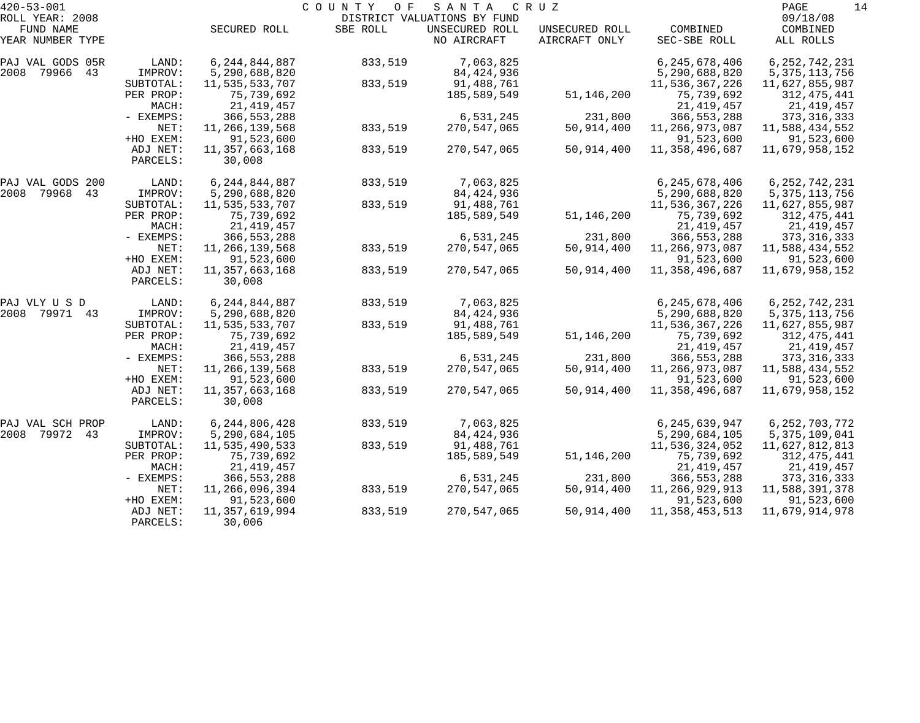| $420 - 53 - 001$    |           |                   | COUNTY<br>O F | SANTA                       | C R U Z        |                   | PAGE<br>14       |
|---------------------|-----------|-------------------|---------------|-----------------------------|----------------|-------------------|------------------|
| ROLL YEAR: 2008     |           |                   |               | DISTRICT VALUATIONS BY FUND |                |                   | 09/18/08         |
| FUND NAME           |           | SECURED ROLL      | SBE ROLL      | UNSECURED ROLL              | UNSECURED ROLL | COMBINED          | COMBINED         |
| YEAR NUMBER TYPE    |           |                   |               | NO AIRCRAFT                 | AIRCRAFT ONLY  | SEC-SBE ROLL      | ALL ROLLS        |
| PAJ VAL GODS 05R    | LAND:     | 6, 244, 844, 887  | 833,519       | 7,063,825                   |                | 6,245,678,406     | 6, 252, 742, 231 |
| 2008<br>79966<br>43 | IMPROV:   | 5,290,688,820     |               | 84,424,936                  |                | 5,290,688,820     | 5, 375, 113, 756 |
|                     | SUBTOTAL: | 11,535,533,707    | 833,519       | 91,488,761                  |                | 11,536,367,226    | 11,627,855,987   |
|                     | PER PROP: | 75,739,692        |               | 185,589,549                 | 51,146,200     | 75,739,692        | 312,475,441      |
|                     | MACH:     | 21, 419, 457      |               |                             |                | 21, 419, 457      | 21,419,457       |
|                     | - EXEMPS: | 366, 553, 288     |               | 6,531,245                   | 231,800        | 366, 553, 288     | 373, 316, 333    |
|                     | NET:      | 11,266,139,568    | 833,519       | 270,547,065                 | 50,914,400     | 11,266,973,087    | 11,588,434,552   |
|                     | +HO EXEM: | 91,523,600        |               |                             |                | 91,523,600        | 91,523,600       |
|                     | ADJ NET:  | 11,357,663,168    | 833,519       | 270,547,065                 | 50,914,400     | 11,358,496,687    | 11,679,958,152   |
|                     | PARCELS:  | 30,008            |               |                             |                |                   |                  |
| PAJ VAL GODS 200    | LAND:     | 6, 244, 844, 887  | 833,519       | 7,063,825                   |                | 6, 245, 678, 406  | 6, 252, 742, 231 |
| 2008<br>79968<br>43 | IMPROV:   | 5,290,688,820     |               | 84, 424, 936                |                | 5,290,688,820     | 5, 375, 113, 756 |
|                     | SUBTOTAL: | 11,535,533,707    | 833,519       | 91,488,761                  |                | 11,536,367,226    | 11,627,855,987   |
|                     | PER PROP: | 75,739,692        |               | 185,589,549                 | 51,146,200     | 75,739,692        | 312, 475, 441    |
|                     | MACH:     | 21,419,457        |               |                             |                | 21, 419, 457      | 21,419,457       |
|                     | - EXEMPS: | 366, 553, 288     |               | 6,531,245                   | 231,800        | 366, 553, 288     | 373, 316, 333    |
|                     | NET:      | 11, 266, 139, 568 | 833,519       | 270,547,065                 | 50,914,400     | 11,266,973,087    | 11,588,434,552   |
|                     | +HO EXEM: | 91,523,600        |               |                             |                | 91,523,600        | 91,523,600       |
|                     | ADJ NET:  | 11,357,663,168    | 833,519       | 270,547,065                 | 50,914,400     | 11,358,496,687    | 11,679,958,152   |
|                     | PARCELS:  | 30,008            |               |                             |                |                   |                  |
| PAJ VLY U S D       | LAND:     | 6, 244, 844, 887  | 833,519       | 7,063,825                   |                | 6,245,678,406     | 6, 252, 742, 231 |
| 2008 79971 43       | IMPROV:   | 5,290,688,820     |               | 84, 424, 936                |                | 5,290,688,820     | 5, 375, 113, 756 |
|                     | SUBTOTAL: | 11,535,533,707    | 833,519       | 91,488,761                  |                | 11,536,367,226    | 11,627,855,987   |
|                     | PER PROP: | 75,739,692        |               | 185,589,549                 | 51,146,200     | 75,739,692        | 312,475,441      |
|                     | MACH:     | 21,419,457        |               |                             |                | 21, 419, 457      | 21,419,457       |
|                     | - EXEMPS: | 366, 553, 288     |               | 6,531,245                   | 231,800        | 366, 553, 288     | 373, 316, 333    |
|                     | NET:      | 11,266,139,568    | 833,519       | 270,547,065                 | 50,914,400     | 11,266,973,087    | 11,588,434,552   |
|                     | +HO EXEM: | 91,523,600        |               |                             |                | 91,523,600        | 91,523,600       |
|                     | ADJ NET:  | 11, 357, 663, 168 | 833,519       | 270,547,065                 | 50,914,400     | 11,358,496,687    | 11,679,958,152   |
|                     | PARCELS:  | 30,008            |               |                             |                |                   |                  |
| PAJ VAL SCH PROP    | LAND:     | 6, 244, 806, 428  | 833,519       | 7,063,825                   |                | 6, 245, 639, 947  | 6, 252, 703, 772 |
| 2008 79972<br>43    | IMPROV:   | 5,290,684,105     |               | 84, 424, 936                |                | 5, 290, 684, 105  | 5, 375, 109, 041 |
|                     | SUBTOTAL: | 11,535,490,533    | 833,519       | 91,488,761                  |                | 11,536,324,052    | 11,627,812,813   |
|                     | PER PROP: | 75,739,692        |               | 185,589,549                 | 51,146,200     | 75,739,692        | 312,475,441      |
|                     | MACH:     | 21,419,457        |               |                             |                | 21, 419, 457      | 21,419,457       |
|                     | - EXEMPS: | 366, 553, 288     |               | 6,531,245                   | 231,800        | 366, 553, 288     | 373, 316, 333    |
|                     | NET:      | 11,266,096,394    | 833,519       | 270,547,065                 | 50,914,400     | 11,266,929,913    | 11,588,391,378   |
|                     | +HO EXEM: | 91,523,600        |               |                             |                | 91,523,600        | 91,523,600       |
|                     | ADJ NET:  | 11,357,619,994    | 833,519       | 270,547,065                 | 50,914,400     | 11, 358, 453, 513 | 11,679,914,978   |
|                     | PARCELS:  | 30,006            |               |                             |                |                   |                  |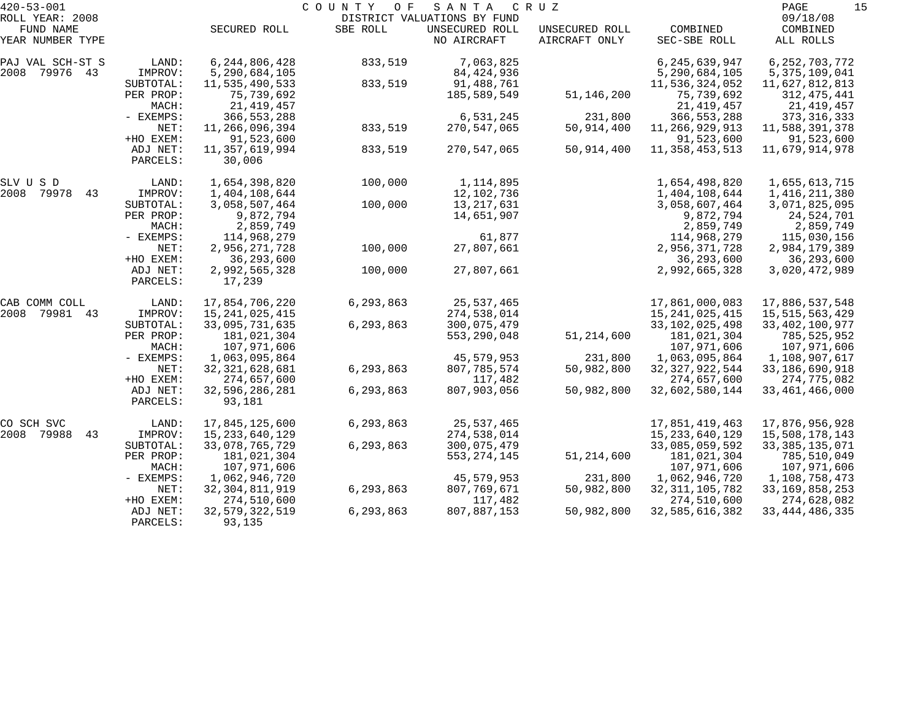| $420 - 53 - 001$              |                        |                               | COUNTY<br>O F | SANTA                         | C R U Z                         |                               | 15<br>PAGE                       |
|-------------------------------|------------------------|-------------------------------|---------------|-------------------------------|---------------------------------|-------------------------------|----------------------------------|
| ROLL YEAR: 2008               |                        |                               |               | DISTRICT VALUATIONS BY FUND   |                                 |                               | 09/18/08                         |
| FUND NAME<br>YEAR NUMBER TYPE |                        | SECURED ROLL                  | SBE ROLL      | UNSECURED ROLL<br>NO AIRCRAFT | UNSECURED ROLL<br>AIRCRAFT ONLY | COMBINED<br>SEC-SBE ROLL      | COMBINED<br>ALL ROLLS            |
| PAJ VAL SCH-ST S              | LAND:                  | 6, 244, 806, 428              | 833,519       | 7,063,825                     |                                 | 6,245,639,947                 | 6, 252, 703, 772                 |
| 2008 79976 43                 | IMPROV:                | 5,290,684,105                 |               | 84,424,936                    |                                 | 5,290,684,105                 | 5, 375, 109, 041                 |
|                               | SUBTOTAL:              | 11,535,490,533                | 833,519       | 91,488,761                    |                                 | 11,536,324,052                | 11,627,812,813                   |
|                               | PER PROP:              | 75,739,692                    |               | 185,589,549                   | 51, 146, 200                    | 75,739,692                    | 312,475,441                      |
|                               | MACH:                  | 21, 419, 457                  |               |                               |                                 | 21, 419, 457                  | 21,419,457                       |
|                               | - EXEMPS:              | 366, 553, 288                 |               | 6,531,245                     | 231,800                         | 366, 553, 288                 | 373, 316, 333                    |
|                               | NET:                   | 11,266,096,394                | 833,519       | 270,547,065                   | 50,914,400                      | 11,266,929,913                | 11,588,391,378                   |
|                               | +HO EXEM:              | 91,523,600                    |               |                               |                                 | 91,523,600                    | 91,523,600                       |
|                               | ADJ NET:               | 11,357,619,994                | 833,519       | 270,547,065                   | 50,914,400                      | 11, 358, 453, 513             | 11,679,914,978                   |
|                               | PARCELS:               | 30,006                        |               |                               |                                 |                               |                                  |
| SLV U S D                     | LAND:                  | 1,654,398,820                 | 100,000       | 1,114,895                     |                                 | 1,654,498,820                 | 1,655,613,715                    |
| 2008 79978<br>43              | IMPROV:                | 1,404,108,644                 |               | 12,102,736                    |                                 | 1,404,108,644                 | 1,416,211,380                    |
|                               | SUBTOTAL:              | 3,058,507,464                 | 100,000       | 13,217,631                    |                                 | 3,058,607,464                 | 3,071,825,095                    |
|                               | PER PROP:              | 9,872,794                     |               | 14,651,907                    |                                 | 9,872,794                     | 24,524,701                       |
|                               | MACH:                  | 2,859,749                     |               |                               |                                 | 2,859,749                     | 2,859,749                        |
|                               | - EXEMPS:              | 114,968,279                   |               | 61,877                        |                                 | 114,968,279                   | 115,030,156                      |
|                               | NET:                   | 2,956,271,728                 | 100,000       | 27,807,661                    |                                 | 2,956,371,728                 | 2,984,179,389                    |
|                               | +HO EXEM:              | 36, 293, 600                  |               |                               |                                 | 36,293,600                    | 36, 293, 600                     |
|                               | ADJ NET:               | 2,992,565,328                 | 100,000       | 27,807,661                    |                                 | 2,992,665,328                 | 3,020,472,989                    |
|                               | PARCELS:               | 17,239                        |               |                               |                                 |                               |                                  |
| CAB COMM COLL                 | LAND:                  | 17,854,706,220                | 6,293,863     | 25,537,465                    |                                 | 17,861,000,083                | 17,886,537,548                   |
| 2008<br>79981 43              | IMPROV:                | 15, 241, 025, 415             |               | 274,538,014                   |                                 | 15, 241, 025, 415             | 15,515,563,429                   |
|                               | SUBTOTAL:              | 33,095,731,635                | 6,293,863     | 300,075,479                   |                                 | 33, 102, 025, 498             | 33, 402, 100, 977                |
|                               | PER PROP:              | 181,021,304                   |               | 553,290,048                   | 51, 214, 600                    | 181,021,304                   | 785,525,952                      |
|                               | MACH:                  | 107,971,606                   |               |                               |                                 | 107,971,606                   | 107,971,606                      |
|                               | - EXEMPS:              | 1,063,095,864                 |               | 45,579,953                    | 231,800                         | 1,063,095,864                 | 1,108,907,617                    |
|                               | NET:                   | 32, 321, 628, 681             | 6,293,863     | 807,785,574                   | 50,982,800                      | 32, 327, 922, 544             | 33, 186, 690, 918                |
|                               | +HO EXEM:              | 274,657,600                   |               | 117,482                       |                                 | 274,657,600                   | 274,775,082                      |
|                               | ADJ NET:<br>PARCELS:   | 32,596,286,281<br>93,181      | 6,293,863     | 807,903,056                   | 50,982,800                      | 32,602,580,144                | 33, 461, 466, 000                |
|                               |                        |                               |               |                               |                                 |                               |                                  |
| CO SCH SVC<br>2008 79988      | LAND:                  | 17,845,125,600                | 6,293,863     | 25,537,465                    |                                 | 17,851,419,463                | 17,876,956,928                   |
| 43                            | IMPROV:                | 15, 233, 640, 129             |               | 274,538,014<br>300,075,479    |                                 | 15, 233, 640, 129             | 15,508,178,143                   |
|                               | SUBTOTAL:<br>PER PROP: | 33,078,765,729<br>181,021,304 | 6,293,863     | 553, 274, 145                 | 51, 214, 600                    | 33,085,059,592<br>181,021,304 | 33, 385, 135, 071<br>785,510,049 |
|                               | MACH:                  | 107,971,606                   |               |                               |                                 | 107,971,606                   | 107,971,606                      |
|                               | - EXEMPS:              | 1,062,946,720                 |               | 45,579,953                    |                                 | 1,062,946,720                 | 1,108,758,473                    |
|                               | NET:                   | 32, 304, 811, 919             | 6,293,863     | 807,769,671                   | 231,800<br>50,982,800           | 32, 311, 105, 782             | 33, 169, 858, 253                |
|                               | +HO EXEM:              | 274,510,600                   |               | 117,482                       |                                 | 274,510,600                   | 274,628,082                      |
|                               | ADJ NET:               | 32, 579, 322, 519             | 6,293,863     | 807,887,153                   | 50,982,800                      | 32,585,616,382                | 33, 444, 486, 335                |
|                               | PARCELS:               | 93,135                        |               |                               |                                 |                               |                                  |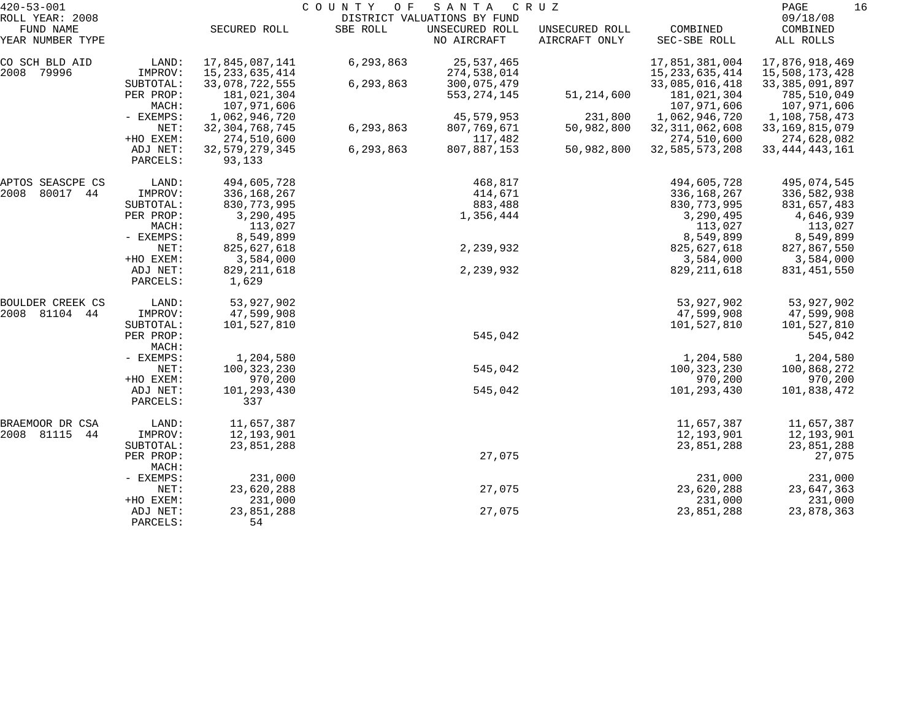| $420 - 53 - 001$              |                      |                             | COUNTY OF | SANTA                         | C R U Z                         |                            | PAGE                       | 16 |
|-------------------------------|----------------------|-----------------------------|-----------|-------------------------------|---------------------------------|----------------------------|----------------------------|----|
| ROLL YEAR: 2008               |                      |                             |           | DISTRICT VALUATIONS BY FUND   |                                 |                            | 09/18/08                   |    |
| FUND NAME<br>YEAR NUMBER TYPE |                      | SECURED ROLL                | SBE ROLL  | UNSECURED ROLL<br>NO AIRCRAFT | UNSECURED ROLL<br>AIRCRAFT ONLY | COMBINED<br>SEC-SBE ROLL   | COMBINED<br>ALL ROLLS      |    |
| CO SCH BLD AID                | LAND:                | 17,845,087,141              | 6,293,863 | 25,537,465                    |                                 | 17,851,381,004             | 17,876,918,469             |    |
| 2008 79996                    | IMPROV:              | 15, 233, 635, 414           |           | 274,538,014                   |                                 | 15, 233, 635, 414          | 15,508,173,428             |    |
|                               | SUBTOTAL:            | 33,078,722,555              | 6,293,863 | 300,075,479                   |                                 | 33,085,016,418             | 33, 385, 091, 897          |    |
|                               | PER PROP:<br>MACH:   | 181,021,304<br>107,971,606  |           | 553, 274, 145                 | 51,214,600                      | 181,021,304<br>107,971,606 | 785,510,049<br>107,971,606 |    |
|                               | - EXEMPS:            | 1,062,946,720               |           | 45,579,953                    | 231,800                         | 1,062,946,720              | 1,108,758,473              |    |
|                               | NET:                 | 32, 304, 768, 745           | 6,293,863 | 807,769,671                   | 50,982,800                      | 32, 311, 062, 608          | 33, 169, 815, 079          |    |
|                               | +HO EXEM:            | 274,510,600                 |           | 117,482                       |                                 | 274,510,600                | 274,628,082                |    |
|                               | ADJ NET:<br>PARCELS: | 32, 579, 279, 345<br>93,133 | 6,293,863 | 807,887,153                   | 50,982,800                      | 32,585,573,208             | 33, 444, 443, 161          |    |
|                               |                      |                             |           |                               |                                 |                            |                            |    |
| APTOS SEASCPE CS              | LAND:                | 494,605,728                 |           | 468,817                       |                                 | 494,605,728                | 495,074,545                |    |
| 2008<br>80017 44              | IMPROV:              | 336,168,267                 |           | 414,671                       |                                 | 336, 168, 267              | 336,582,938                |    |
|                               | SUBTOTAL:            | 830, 773, 995               |           | 883,488                       |                                 | 830, 773, 995              | 831,657,483                |    |
|                               | PER PROP:            | 3,290,495                   |           | 1,356,444                     |                                 | 3,290,495                  | 4,646,939                  |    |
|                               | MACH:                | 113,027                     |           |                               |                                 | 113,027                    | 113,027                    |    |
|                               | - EXEMPS:            | 8,549,899                   |           |                               |                                 | 8,549,899                  | 8,549,899                  |    |
|                               | NET:                 | 825,627,618                 |           | 2,239,932                     |                                 | 825,627,618                | 827,867,550                |    |
|                               | +HO EXEM:            | 3,584,000                   |           |                               |                                 | 3,584,000                  | 3,584,000                  |    |
|                               | ADJ NET:<br>PARCELS: | 829, 211, 618<br>1,629      |           | 2,239,932                     |                                 | 829, 211, 618              | 831,451,550                |    |
| BOULDER CREEK CS              | LAND:                | 53,927,902                  |           |                               |                                 | 53,927,902                 | 53,927,902                 |    |
| 2008 81104<br>44              | IMPROV:              | 47,599,908                  |           |                               |                                 | 47,599,908                 | 47,599,908                 |    |
|                               | SUBTOTAL:            | 101,527,810                 |           |                               |                                 | 101,527,810                | 101,527,810                |    |
|                               | PER PROP:<br>MACH:   |                             |           | 545,042                       |                                 |                            | 545,042                    |    |
|                               | - EXEMPS:            | 1,204,580                   |           |                               |                                 | 1,204,580                  | 1,204,580                  |    |
|                               | NET:                 | 100, 323, 230               |           | 545,042                       |                                 | 100, 323, 230              | 100,868,272                |    |
|                               | +HO EXEM:            | 970,200                     |           |                               |                                 | 970,200                    | 970,200                    |    |
|                               | ADJ NET:             | 101,293,430                 |           | 545,042                       |                                 | 101,293,430                | 101,838,472                |    |
|                               | PARCELS:             | 337                         |           |                               |                                 |                            |                            |    |
| BRAEMOOR DR CSA               | LAND:                | 11,657,387                  |           |                               |                                 | 11,657,387                 | 11,657,387                 |    |
| 2008 81115<br>44              | IMPROV:              | 12,193,901                  |           |                               |                                 | 12,193,901                 | 12,193,901                 |    |
|                               | SUBTOTAL:            | 23,851,288                  |           |                               |                                 | 23,851,288                 | 23,851,288                 |    |
|                               | PER PROP:<br>MACH:   |                             |           | 27,075                        |                                 |                            | 27,075                     |    |
|                               | - EXEMPS:            | 231,000                     |           |                               |                                 | 231,000                    | 231,000                    |    |
|                               | NET:                 | 23,620,288                  |           | 27,075                        |                                 | 23,620,288                 | 23,647,363                 |    |
|                               | +HO EXEM:            | 231,000                     |           |                               |                                 | 231,000                    | 231,000                    |    |
|                               | ADJ NET:             | 23,851,288                  |           | 27,075                        |                                 | 23,851,288                 | 23,878,363                 |    |
|                               | PARCELS:             | 54                          |           |                               |                                 |                            |                            |    |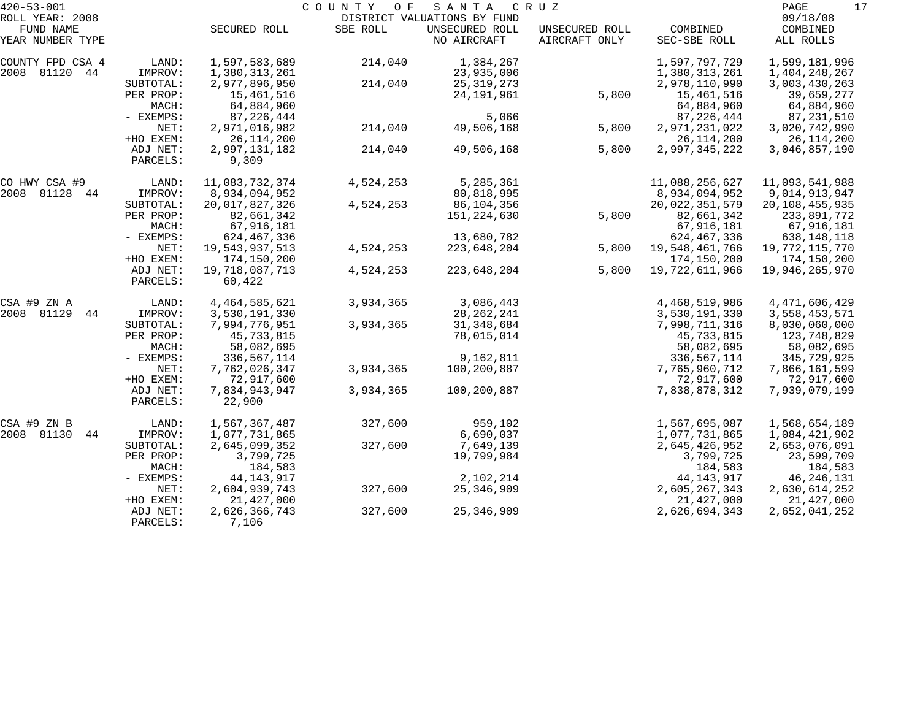| $420 - 53 - 001$    |             |                  | COUNTY<br>O F | SANTA                       | C R U Z        |                | 17<br>PAGE        |
|---------------------|-------------|------------------|---------------|-----------------------------|----------------|----------------|-------------------|
| ROLL YEAR: 2008     |             |                  |               | DISTRICT VALUATIONS BY FUND |                |                | 09/18/08          |
| FUND NAME           |             | SECURED ROLL     | SBE ROLL      | UNSECURED ROLL              | UNSECURED ROLL | COMBINED       | COMBINED          |
| YEAR NUMBER TYPE    |             |                  |               | NO AIRCRAFT                 | AIRCRAFT ONLY  | SEC-SBE ROLL   | ALL ROLLS         |
| COUNTY FPD CSA 4    | LAND:       | 1,597,583,689    | 214,040       | 1,384,267                   |                | 1,597,797,729  | 1,599,181,996     |
| 2008 81120 44       | IMPROV:     | 1,380,313,261    |               | 23,935,006                  |                | 1,380,313,261  | 1,404,248,267     |
|                     | SUBTOTAL:   | 2,977,896,950    | 214,040       | 25, 319, 273                |                | 2,978,110,990  | 3,003,430,263     |
|                     | PER PROP:   | 15,461,516       |               | 24, 191, 961                | 5,800          | 15,461,516     | 39,659,277        |
|                     | MACH:       | 64,884,960       |               |                             |                | 64,884,960     | 64,884,960        |
|                     | - EXEMPS:   | 87, 226, 444     |               | 5,066                       |                | 87, 226, 444   | 87,231,510        |
|                     | NET:        | 2,971,016,982    | 214,040       | 49,506,168                  | 5,800          | 2,971,231,022  | 3,020,742,990     |
|                     | +HO EXEM:   | 26, 114, 200     |               |                             |                | 26, 114, 200   | 26,114,200        |
|                     | ADJ NET:    | 2,997,131,182    | 214,040       | 49,506,168                  | 5,800          | 2,997,345,222  | 3,046,857,190     |
|                     | PARCELS:    | 9,309            |               |                             |                |                |                   |
| CO HWY CSA #9       | LAND:       | 11,083,732,374   | 4,524,253     | 5,285,361                   |                | 11,088,256,627 | 11,093,541,988    |
| 2008 81128<br>44    | IMPROV:     | 8,934,094,952    |               | 80,818,995                  |                | 8,934,094,952  | 9,014,913,947     |
|                     | SUBTOTAL:   | 20,017,827,326   | 4,524,253     | 86,104,356                  |                | 20,022,351,579 | 20, 108, 455, 935 |
|                     | PER PROP:   | 82,661,342       |               | 151,224,630                 | 5,800          | 82,661,342     | 233,891,772       |
|                     | MACH:       | 67,916,181       |               |                             |                | 67,916,181     | 67,916,181        |
|                     | - EXEMPS:   | 624,467,336      |               | 13,680,782                  |                | 624, 467, 336  | 638,148,118       |
|                     | NET:        | 19,543,937,513   | 4,524,253     | 223,648,204                 | 5,800          | 19,548,461,766 | 19,772,115,770    |
|                     | +HO EXEM:   | 174,150,200      |               |                             |                | 174,150,200    | 174,150,200       |
|                     | ADJ NET:    | 19,718,087,713   | 4,524,253     | 223,648,204                 | 5,800          | 19,722,611,966 | 19,946,265,970    |
|                     | PARCELS:    | 60,422           |               |                             |                |                |                   |
| CSA #9 ZN A         | LAND:       | 4, 464, 585, 621 | 3,934,365     | 3,086,443                   |                | 4,468,519,986  | 4, 471, 606, 429  |
| 2008<br>81129<br>44 | IMPROV:     | 3,530,191,330    |               | 28, 262, 241                |                | 3,530,191,330  | 3,558,453,571     |
|                     | SUBTOTAL:   | 7,994,776,951    | 3,934,365     | 31, 348, 684                |                | 7,998,711,316  | 8,030,060,000     |
|                     | PER PROP:   | 45,733,815       |               | 78,015,014                  |                | 45,733,815     | 123,748,829       |
|                     | MACH:       | 58,082,695       |               |                             |                | 58,082,695     | 58,082,695        |
|                     | - EXEMPS:   | 336,567,114      |               | 9,162,811                   |                | 336,567,114    | 345,729,925       |
|                     | NET:        | 7,762,026,347    | 3,934,365     | 100,200,887                 |                | 7,765,960,712  | 7,866,161,599     |
|                     | +HO EXEM:   | 72,917,600       |               |                             |                | 72,917,600     | 72,917,600        |
|                     | ADJ NET:    | 7,834,943,947    | 3,934,365     | 100,200,887                 |                | 7,838,878,312  | 7,939,079,199     |
|                     | PARCELS:    | 22,900           |               |                             |                |                |                   |
| CSA #9 ZN B         | LAND:       | 1,567,367,487    | 327,600       | 959,102                     |                | 1,567,695,087  | 1,568,654,189     |
| 2008 81130<br>44    | IMPROV:     | 1,077,731,865    |               | 6,690,037                   |                | 1,077,731,865  | 1,084,421,902     |
|                     | SUBTOTAL:   | 2,645,099,352    | 327,600       | 7,649,139                   |                | 2,645,426,952  | 2,653,076,091     |
|                     | PER PROP:   | 3,799,725        |               | 19,799,984                  |                | 3,799,725      | 23,599,709        |
|                     | MACH:       | 184,583          |               |                             |                | 184,583        | 184,583           |
|                     | $-$ EXEMPS: | 44, 143, 917     |               | 2,102,214                   |                | 44, 143, 917   | 46, 246, 131      |
|                     | NET:        | 2,604,939,743    | 327,600       | 25,346,909                  |                | 2,605,267,343  | 2,630,614,252     |
|                     | +HO EXEM:   | 21,427,000       |               |                             |                | 21, 427, 000   | 21,427,000        |
|                     | ADJ NET:    | 2,626,366,743    | 327,600       | 25, 346, 909                |                | 2,626,694,343  | 2,652,041,252     |
|                     | PARCELS:    | 7,106            |               |                             |                |                |                   |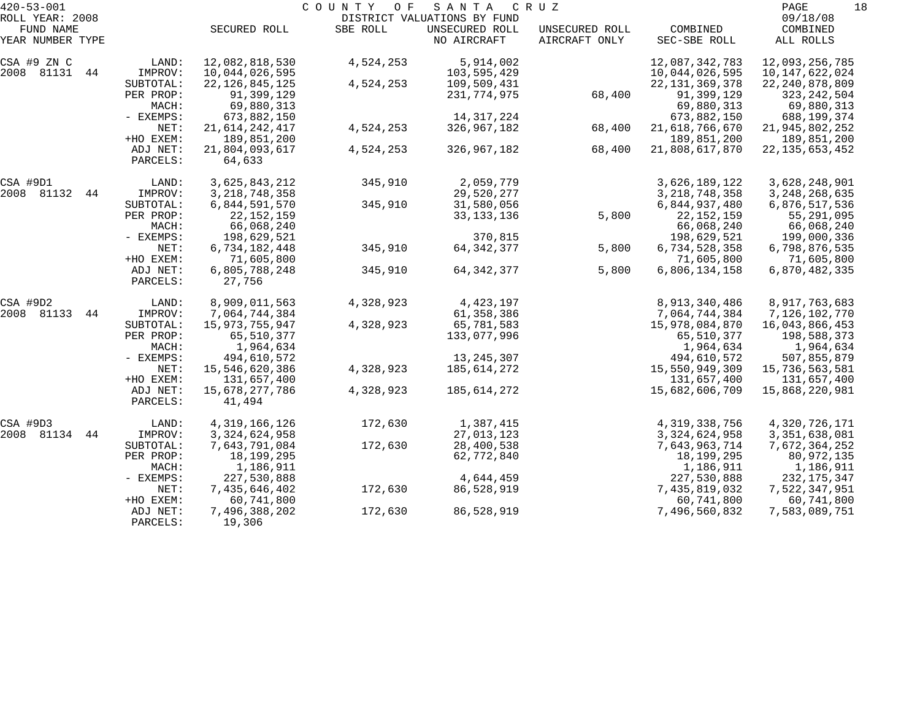| $420 - 53 - 001$              |                      |                               | COUNTY<br>O F | SANTA                         | C R U Z                         |                               | PAGE<br>18                    |
|-------------------------------|----------------------|-------------------------------|---------------|-------------------------------|---------------------------------|-------------------------------|-------------------------------|
| ROLL YEAR: 2008               |                      |                               |               | DISTRICT VALUATIONS BY FUND   |                                 |                               | 09/18/08                      |
| FUND NAME<br>YEAR NUMBER TYPE |                      | SECURED ROLL                  | SBE ROLL      | UNSECURED ROLL<br>NO AIRCRAFT | UNSECURED ROLL<br>AIRCRAFT ONLY | COMBINED<br>SEC-SBE ROLL      | COMBINED<br>ALL ROLLS         |
| CSA #9 ZN C                   | LAND:                | 12,082,818,530                | 4,524,253     | 5,914,002                     |                                 | 12,087,342,783                | 12,093,256,785                |
| 2008 81131<br>44              | IMPROV:              | 10,044,026,595                |               | 103,595,429                   |                                 | 10,044,026,595                | 10, 147, 622, 024             |
|                               | SUBTOTAL:            | 22, 126, 845, 125             | 4,524,253     | 109,509,431                   |                                 | 22, 131, 369, 378             | 22, 240, 878, 809             |
|                               | PER PROP:            | 91,399,129                    |               | 231,774,975                   | 68,400                          | 91,399,129                    | 323, 242, 504                 |
|                               | MACH:                | 69,880,313                    |               |                               |                                 | 69,880,313                    | 69,880,313                    |
|                               | - EXEMPS:            | 673,882,150                   |               | 14, 317, 224                  |                                 | 673,882,150                   | 688,199,374                   |
|                               | NET:                 | 21,614,242,417                | 4,524,253     | 326,967,182                   | 68,400                          | 21,618,766,670                | 21,945,802,252                |
|                               | +HO EXEM:            | 189,851,200                   |               |                               |                                 | 189,851,200                   | 189,851,200                   |
|                               | ADJ NET:<br>PARCELS: | 21,804,093,617<br>64,633      | 4,524,253     | 326,967,182                   | 68,400                          | 21,808,617,870                | 22, 135, 653, 452             |
|                               |                      |                               |               |                               |                                 |                               |                               |
| CSA #9D1                      | LAND:                | 3,625,843,212                 | 345,910       | 2,059,779                     |                                 | 3,626,189,122                 | 3,628,248,901                 |
| 2008 81132<br>44              | IMPROV:              | 3, 218, 748, 358              |               | 29,520,277                    |                                 | 3, 218, 748, 358              | 3, 248, 268, 635              |
|                               | SUBTOTAL:            | 6,844,591,570                 | 345,910       | 31,580,056                    |                                 | 6,844,937,480                 | 6,876,517,536                 |
|                               | PER PROP:            | 22, 152, 159                  |               | 33, 133, 136                  | 5,800                           | 22, 152, 159                  | 55,291,095                    |
|                               | MACH:                | 66,068,240                    |               |                               |                                 | 66,068,240                    | 66,068,240                    |
|                               | - EXEMPS:            | 198,629,521                   |               | 370,815                       |                                 | 198,629,521                   | 199,000,336                   |
|                               | NET:                 | 6,734,182,448                 | 345,910       | 64, 342, 377                  | 5,800                           | 6,734,528,358                 | 6,798,876,535                 |
|                               | +HO EXEM:            | 71,605,800                    |               |                               |                                 | 71,605,800                    | 71,605,800                    |
|                               | ADJ NET:<br>PARCELS: | 6,805,788,248<br>27,756       | 345,910       | 64, 342, 377                  | 5,800                           | 6,806,134,158                 | 6,870,482,335                 |
|                               |                      |                               |               |                               |                                 |                               |                               |
| CSA #9D2                      | LAND:                | 8,909,011,563                 | 4,328,923     | 4, 423, 197                   |                                 | 8,913,340,486                 | 8,917,763,683                 |
| 2008 81133<br>44              | IMPROV:              | 7,064,744,384                 |               | 61,358,386                    |                                 | 7,064,744,384                 | 7,126,102,770                 |
|                               | SUBTOTAL:            | 15,973,755,947                | 4,328,923     | 65,781,583                    |                                 | 15,978,084,870                | 16,043,866,453                |
|                               | PER PROP:            | 65,510,377                    |               | 133,077,996                   |                                 | 65,510,377                    | 198,588,373                   |
|                               | MACH:                | 1,964,634                     |               | 13, 245, 307                  |                                 | 1,964,634                     | 1,964,634                     |
|                               | - EXEMPS:<br>NET:    | 494,610,572<br>15,546,620,386 | 4,328,923     | 185,614,272                   |                                 | 494,610,572<br>15,550,949,309 | 507,855,879                   |
|                               | +HO EXEM:            | 131,657,400                   |               |                               |                                 | 131,657,400                   | 15,736,563,581<br>131,657,400 |
|                               | ADJ NET:             | 15,678,277,786                | 4,328,923     | 185,614,272                   |                                 | 15,682,606,709                | 15,868,220,981                |
|                               | PARCELS:             | 41,494                        |               |                               |                                 |                               |                               |
| CSA #9D3                      | LAND:                | 4, 319, 166, 126              | 172,630       | 1,387,415                     |                                 | 4, 319, 338, 756              | 4,320,726,171                 |
| 2008 81134<br>44              | IMPROV:              | 3, 324, 624, 958              |               | 27,013,123                    |                                 | 3, 324, 624, 958              | 3,351,638,081                 |
|                               | SUBTOTAL:            | 7,643,791,084                 | 172,630       | 28,400,538                    |                                 | 7,643,963,714                 | 7,672,364,252                 |
|                               | PER PROP:            | 18,199,295                    |               | 62,772,840                    |                                 | 18, 199, 295                  | 80,972,135                    |
|                               | MACH:                | 1,186,911                     |               |                               |                                 | 1,186,911                     | 1,186,911                     |
|                               | - EXEMPS:            | 227,530,888                   |               | 4,644,459                     |                                 | 227,530,888                   | 232, 175, 347                 |
|                               | NET:                 | 7,435,646,402                 | 172,630       | 86,528,919                    |                                 | 7,435,819,032                 | 7,522,347,951                 |
|                               | +HO EXEM:            | 60,741,800                    |               |                               |                                 | 60,741,800                    | 60,741,800                    |
|                               | ADJ NET:             | 7,496,388,202                 | 172,630       | 86,528,919                    |                                 | 7,496,560,832                 | 7,583,089,751                 |
|                               | PARCELS:             | 19,306                        |               |                               |                                 |                               |                               |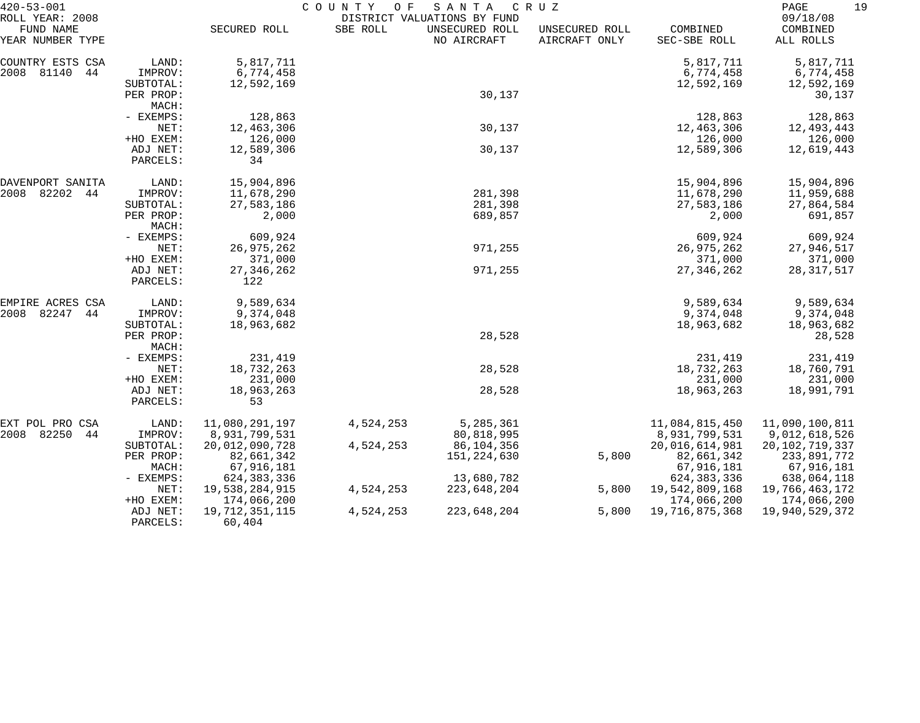| $420 - 53 - 001$                                 |                      |                          | COUNTY<br>O F | SANTA                                                        | CRUZ                            |                          | 19<br>PAGE                        |
|--------------------------------------------------|----------------------|--------------------------|---------------|--------------------------------------------------------------|---------------------------------|--------------------------|-----------------------------------|
| ROLL YEAR: 2008<br>FUND NAME<br>YEAR NUMBER TYPE |                      | SECURED ROLL             | SBE ROLL      | DISTRICT VALUATIONS BY FUND<br>UNSECURED ROLL<br>NO AIRCRAFT | UNSECURED ROLL<br>AIRCRAFT ONLY | COMBINED<br>SEC-SBE ROLL | 09/18/08<br>COMBINED<br>ALL ROLLS |
| COUNTRY ESTS CSA                                 | LAND:                | 5,817,711                |               |                                                              |                                 | 5,817,711                | 5,817,711                         |
| 2008 81140<br>44                                 | IMPROV:              | 6,774,458                |               |                                                              |                                 | 6,774,458                | 6,774,458                         |
|                                                  | SUBTOTAL:            | 12,592,169               |               |                                                              |                                 | 12,592,169               | 12,592,169                        |
|                                                  | PER PROP:            |                          |               | 30,137                                                       |                                 |                          | 30,137                            |
|                                                  | MACH:                |                          |               |                                                              |                                 |                          |                                   |
|                                                  | - EXEMPS:            | 128,863                  |               |                                                              |                                 | 128,863                  | 128,863                           |
|                                                  | NET:                 | 12,463,306               |               | 30,137                                                       |                                 | 12,463,306               | 12,493,443                        |
|                                                  | +HO EXEM:            | 126,000                  |               |                                                              |                                 | 126,000                  | 126,000                           |
|                                                  | ADJ NET:             | 12,589,306               |               | 30,137                                                       |                                 | 12,589,306               | 12,619,443                        |
|                                                  | PARCELS:             | 34                       |               |                                                              |                                 |                          |                                   |
| DAVENPORT SANITA                                 | LAND:                | 15,904,896               |               |                                                              |                                 | 15,904,896               | 15,904,896                        |
| 2008<br>82202<br>44                              | IMPROV:              | 11,678,290               |               | 281,398                                                      |                                 | 11,678,290               | 11,959,688                        |
|                                                  | SUBTOTAL:            | 27,583,186               |               | 281,398                                                      |                                 | 27,583,186               | 27,864,584                        |
|                                                  | PER PROP:            | 2,000                    |               | 689,857                                                      |                                 | 2,000                    | 691,857                           |
|                                                  | MACH:<br>- EXEMPS:   | 609,924                  |               |                                                              |                                 | 609,924                  | 609,924                           |
|                                                  | NET:                 | 26, 975, 262             |               | 971,255                                                      |                                 | 26,975,262               | 27,946,517                        |
|                                                  | +HO EXEM:            | 371,000                  |               |                                                              |                                 | 371,000                  | 371,000                           |
|                                                  | ADJ NET:             | 27, 346, 262             |               | 971,255                                                      |                                 | 27, 346, 262             | 28, 317, 517                      |
|                                                  | PARCELS:             | 122                      |               |                                                              |                                 |                          |                                   |
| EMPIRE ACRES CSA                                 | LAND:                | 9,589,634                |               |                                                              |                                 | 9,589,634                | 9,589,634                         |
| 82247<br>2008<br>44                              | IMPROV:              | 9,374,048                |               |                                                              |                                 | 9,374,048                | 9,374,048                         |
|                                                  | SUBTOTAL:            | 18,963,682               |               |                                                              |                                 | 18,963,682               | 18,963,682                        |
|                                                  | PER PROP:            |                          |               | 28,528                                                       |                                 |                          | 28,528                            |
|                                                  | MACH:                |                          |               |                                                              |                                 |                          |                                   |
|                                                  | - EXEMPS:            | 231,419                  |               |                                                              |                                 | 231,419                  | 231,419                           |
|                                                  | NET:                 | 18,732,263               |               | 28,528                                                       |                                 | 18,732,263               | 18,760,791                        |
|                                                  | +HO EXEM:            | 231,000                  |               |                                                              |                                 | 231,000                  | 231,000                           |
|                                                  | ADJ NET:             | 18,963,263               |               | 28,528                                                       |                                 | 18,963,263               | 18,991,791                        |
|                                                  | PARCELS:             | 53                       |               |                                                              |                                 |                          |                                   |
| EXT POL PRO CSA                                  | LAND:                | 11,080,291,197           | 4,524,253     | 5,285,361                                                    |                                 | 11,084,815,450           | 11,090,100,811                    |
| 2008 82250<br>44                                 | IMPROV:              | 8,931,799,531            |               | 80,818,995                                                   |                                 | 8,931,799,531            | 9,012,618,526                     |
|                                                  | SUBTOTAL:            | 20,012,090,728           | 4,524,253     | 86,104,356                                                   |                                 | 20,016,614,981           | 20, 102, 719, 337                 |
|                                                  | PER PROP:            | 82,661,342               |               | 151,224,630                                                  | 5,800                           | 82,661,342               | 233,891,772                       |
|                                                  | MACH:                | 67,916,181               |               |                                                              |                                 | 67,916,181               | 67,916,181                        |
|                                                  | - EXEMPS:            | 624, 383, 336            |               | 13,680,782                                                   |                                 | 624, 383, 336            | 638,064,118                       |
|                                                  | NET:                 | 19,538,284,915           | 4,524,253     | 223,648,204                                                  | 5,800                           | 19,542,809,168           | 19,766,463,172                    |
|                                                  | +HO EXEM:            | 174,066,200              |               |                                                              |                                 | 174,066,200              | 174,066,200                       |
|                                                  | ADJ NET:<br>PARCELS: | 19,712,351,115<br>60,404 | 4,524,253     | 223,648,204                                                  | 5,800                           | 19,716,875,368           | 19,940,529,372                    |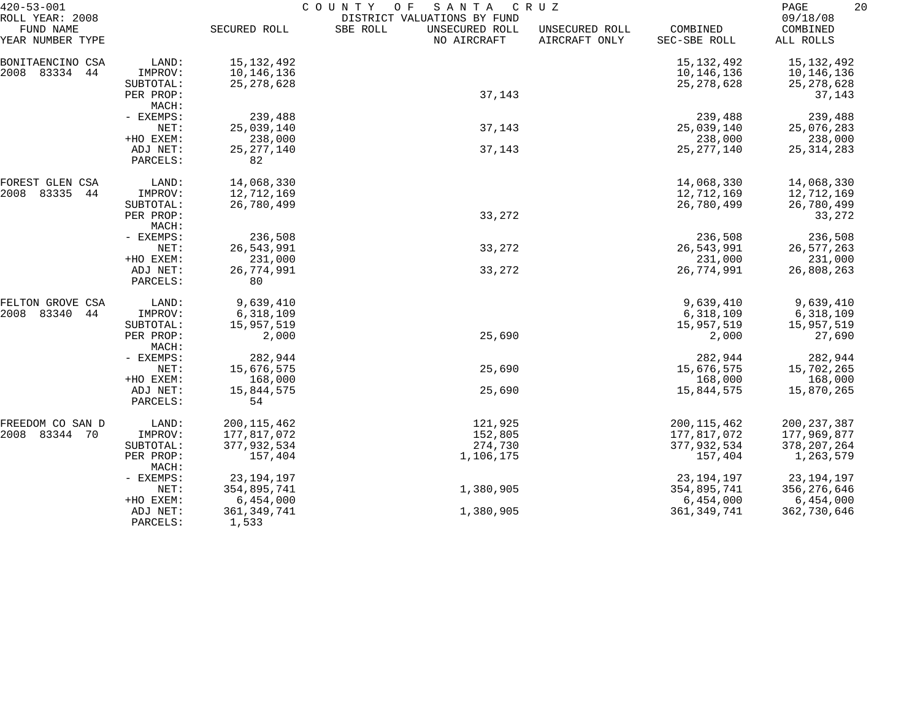| $420 - 53 - 001$                                 |                       | COUNTY<br>SANTA<br>CRUZ<br>O F |                                                                          |                                 |                          |                                   |  |  |
|--------------------------------------------------|-----------------------|--------------------------------|--------------------------------------------------------------------------|---------------------------------|--------------------------|-----------------------------------|--|--|
| ROLL YEAR: 2008<br>FUND NAME<br>YEAR NUMBER TYPE |                       | SECURED ROLL                   | DISTRICT VALUATIONS BY FUND<br>SBE ROLL<br>UNSECURED ROLL<br>NO AIRCRAFT | UNSECURED ROLL<br>AIRCRAFT ONLY | COMBINED<br>SEC-SBE ROLL | 09/18/08<br>COMBINED<br>ALL ROLLS |  |  |
| BONITAENCINO CSA                                 | LAND:                 | 15, 132, 492                   |                                                                          |                                 | 15, 132, 492             | 15,132,492                        |  |  |
| 2008 83334 44                                    | IMPROV:               | 10,146,136                     |                                                                          |                                 | 10,146,136               | 10,146,136                        |  |  |
|                                                  | SUBTOTAL:             | 25, 278, 628                   |                                                                          |                                 | 25, 278, 628             | 25, 278, 628                      |  |  |
|                                                  | PER PROP:             |                                | 37,143                                                                   |                                 |                          | 37,143                            |  |  |
|                                                  | MACH:                 |                                |                                                                          |                                 |                          |                                   |  |  |
|                                                  | - EXEMPS:<br>NET:     | 239,488<br>25,039,140          | 37,143                                                                   |                                 | 239,488<br>25,039,140    | 239,488<br>25,076,283             |  |  |
|                                                  | +HO EXEM:             | 238,000                        |                                                                          |                                 | 238,000                  | 238,000                           |  |  |
|                                                  | ADJ NET:              | 25, 277, 140                   | 37,143                                                                   |                                 | 25, 277, 140             | 25, 314, 283                      |  |  |
|                                                  | PARCELS:              | 82                             |                                                                          |                                 |                          |                                   |  |  |
| FOREST GLEN CSA                                  | LAND:                 | 14,068,330                     |                                                                          |                                 | 14,068,330               | 14,068,330                        |  |  |
| 2008<br>83335<br>44                              | IMPROV:               | 12,712,169                     |                                                                          |                                 | 12,712,169               | 12,712,169                        |  |  |
|                                                  | SUBTOTAL:             | 26,780,499                     |                                                                          |                                 | 26,780,499               | 26,780,499                        |  |  |
|                                                  | PER PROP:             |                                | 33,272                                                                   |                                 |                          | 33,272                            |  |  |
|                                                  | MACH:                 |                                |                                                                          |                                 |                          |                                   |  |  |
|                                                  | - EXEMPS:             | 236,508                        |                                                                          |                                 | 236,508                  | 236,508                           |  |  |
|                                                  | NET:                  | 26,543,991                     | 33,272                                                                   |                                 | 26,543,991               | 26,577,263                        |  |  |
|                                                  | +HO EXEM:<br>ADJ NET: | 231,000                        |                                                                          |                                 | 231,000<br>26,774,991    | 231,000<br>26,808,263             |  |  |
|                                                  | PARCELS:              | 26,774,991<br>80               | 33,272                                                                   |                                 |                          |                                   |  |  |
| FELTON GROVE CSA                                 | LAND:                 | 9,639,410                      |                                                                          |                                 | 9,639,410                | 9,639,410                         |  |  |
| 2008<br>83340<br>44                              | IMPROV:               | 6,318,109                      |                                                                          |                                 | 6,318,109                | 6,318,109                         |  |  |
|                                                  | SUBTOTAL:             | 15,957,519                     |                                                                          |                                 | 15,957,519               | 15,957,519                        |  |  |
|                                                  | PER PROP:<br>MACH:    | 2,000                          | 25,690                                                                   |                                 | 2,000                    | 27,690                            |  |  |
|                                                  | - EXEMPS:             | 282,944                        |                                                                          |                                 | 282,944                  | 282,944                           |  |  |
|                                                  | NET:                  | 15,676,575                     | 25,690                                                                   |                                 | 15,676,575               | 15,702,265                        |  |  |
|                                                  | +HO EXEM:             | 168,000                        |                                                                          |                                 | 168,000                  | 168,000                           |  |  |
|                                                  | ADJ NET:<br>PARCELS:  | 15,844,575<br>54               | 25,690                                                                   |                                 | 15,844,575               | 15,870,265                        |  |  |
| FREEDOM CO SAN D                                 | LAND:                 | 200, 115, 462                  | 121,925                                                                  |                                 | 200, 115, 462            | 200, 237, 387                     |  |  |
| 2008 83344 70                                    | IMPROV:               | 177,817,072                    | 152,805                                                                  |                                 | 177,817,072              | 177,969,877                       |  |  |
|                                                  | SUBTOTAL:             | 377,932,534                    | 274,730                                                                  |                                 | 377,932,534              | 378, 207, 264                     |  |  |
|                                                  | PER PROP:<br>MACH:    | 157,404                        | 1,106,175                                                                |                                 | 157,404                  | 1,263,579                         |  |  |
|                                                  | - EXEMPS:             | 23, 194, 197                   |                                                                          |                                 | 23, 194, 197             | 23, 194, 197                      |  |  |
|                                                  | NET:                  | 354,895,741                    | 1,380,905                                                                |                                 | 354,895,741              | 356,276,646                       |  |  |
|                                                  | +HO EXEM:             | 6,454,000                      |                                                                          |                                 | 6,454,000                | 6,454,000                         |  |  |
|                                                  | ADJ NET:<br>PARCELS:  | 361, 349, 741<br>1,533         | 1,380,905                                                                |                                 | 361, 349, 741            | 362,730,646                       |  |  |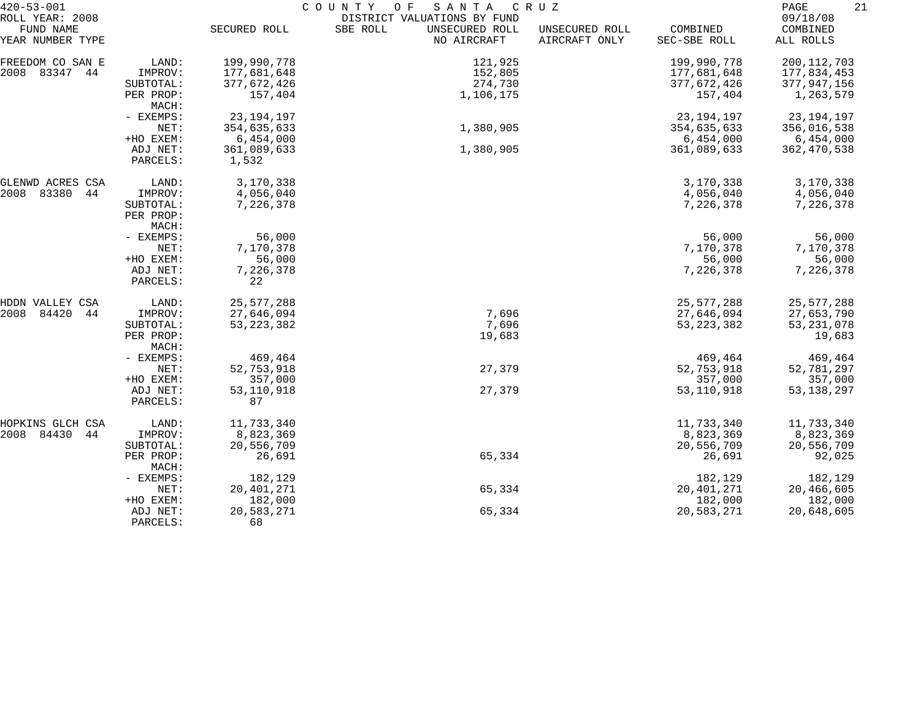| $420 - 53 - 001$                                 |                      | COUNTY OF<br>SANTA<br>C R U Z |                                                                          |                                 |                          |                                   |  |  |  |
|--------------------------------------------------|----------------------|-------------------------------|--------------------------------------------------------------------------|---------------------------------|--------------------------|-----------------------------------|--|--|--|
| ROLL YEAR: 2008<br>FUND NAME<br>YEAR NUMBER TYPE |                      | SECURED ROLL                  | DISTRICT VALUATIONS BY FUND<br>SBE ROLL<br>UNSECURED ROLL<br>NO AIRCRAFT | UNSECURED ROLL<br>AIRCRAFT ONLY | COMBINED<br>SEC-SBE ROLL | 09/18/08<br>COMBINED<br>ALL ROLLS |  |  |  |
|                                                  |                      |                               |                                                                          |                                 |                          |                                   |  |  |  |
| FREEDOM CO SAN E                                 | LAND:                | 199,990,778                   | 121,925                                                                  |                                 | 199,990,778              | 200, 112, 703                     |  |  |  |
| 2008 83347 44                                    | IMPROV:              | 177,681,648                   | 152,805                                                                  |                                 | 177,681,648              | 177,834,453                       |  |  |  |
|                                                  | SUBTOTAL:            | 377,672,426                   | 274,730                                                                  |                                 | 377,672,426              | 377,947,156                       |  |  |  |
|                                                  | PER PROP:<br>MACH:   | 157,404                       | 1,106,175                                                                |                                 | 157,404                  | 1,263,579                         |  |  |  |
|                                                  | - EXEMPS:            | 23, 194, 197                  |                                                                          |                                 | 23,194,197               | 23, 194, 197                      |  |  |  |
|                                                  | NET:                 | 354,635,633                   | 1,380,905                                                                |                                 | 354,635,633              | 356,016,538                       |  |  |  |
|                                                  | +HO EXEM:            | 6,454,000                     |                                                                          |                                 | 6,454,000                | 6,454,000                         |  |  |  |
|                                                  | ADJ NET:<br>PARCELS: | 361,089,633<br>1,532          | 1,380,905                                                                |                                 | 361,089,633              | 362, 470, 538                     |  |  |  |
|                                                  |                      |                               |                                                                          |                                 |                          |                                   |  |  |  |
| GLENWD ACRES CSA                                 | LAND:                | 3,170,338                     |                                                                          |                                 | 3,170,338                | 3,170,338                         |  |  |  |
| 2008<br>83380<br>44                              | IMPROV:              | 4,056,040                     |                                                                          |                                 | 4,056,040                | 4,056,040                         |  |  |  |
|                                                  | SUBTOTAL:            | 7,226,378                     |                                                                          |                                 | 7,226,378                | 7,226,378                         |  |  |  |
|                                                  | PER PROP:            |                               |                                                                          |                                 |                          |                                   |  |  |  |
|                                                  | MACH:                |                               |                                                                          |                                 |                          |                                   |  |  |  |
|                                                  | - EXEMPS:            | 56,000                        |                                                                          |                                 | 56,000                   | 56,000                            |  |  |  |
|                                                  | NET:                 | 7,170,378                     |                                                                          |                                 | 7,170,378                | 7,170,378                         |  |  |  |
|                                                  | +HO EXEM:            | 56,000                        |                                                                          |                                 | 56,000                   | 56,000                            |  |  |  |
|                                                  | ADJ NET:             | 7,226,378                     |                                                                          |                                 | 7,226,378                | 7,226,378                         |  |  |  |
|                                                  | PARCELS:             | 22                            |                                                                          |                                 |                          |                                   |  |  |  |
| HDDN VALLEY CSA                                  | LAND:                | 25, 577, 288                  |                                                                          |                                 | 25, 577, 288             | 25,577,288                        |  |  |  |
| 2008<br>84420<br>44                              | IMPROV:              | 27,646,094                    | 7,696                                                                    |                                 | 27,646,094               | 27,653,790                        |  |  |  |
|                                                  | SUBTOTAL:            | 53, 223, 382                  | 7,696                                                                    |                                 | 53, 223, 382             | 53, 231, 078                      |  |  |  |
|                                                  | PER PROP:            |                               | 19,683                                                                   |                                 |                          | 19,683                            |  |  |  |
|                                                  | MACH:                |                               |                                                                          |                                 |                          |                                   |  |  |  |
|                                                  | - EXEMPS:            | 469,464                       |                                                                          |                                 | 469,464                  | 469,464                           |  |  |  |
|                                                  | NET:                 | 52,753,918                    | 27,379                                                                   |                                 | 52,753,918               | 52,781,297                        |  |  |  |
|                                                  | +HO EXEM:            | 357,000                       |                                                                          |                                 | 357,000                  | 357,000                           |  |  |  |
|                                                  | ADJ NET:             | 53,110,918                    | 27,379                                                                   |                                 | 53, 110, 918             | 53, 138, 297                      |  |  |  |
|                                                  | PARCELS:             | 87                            |                                                                          |                                 |                          |                                   |  |  |  |
| HOPKINS GLCH CSA                                 | LAND:                | 11,733,340                    |                                                                          |                                 | 11,733,340               | 11,733,340                        |  |  |  |
| 2008 84430<br>44                                 | IMPROV:              | 8,823,369                     |                                                                          |                                 | 8,823,369                | 8,823,369                         |  |  |  |
|                                                  | SUBTOTAL:            | 20,556,709                    |                                                                          |                                 | 20,556,709               | 20,556,709                        |  |  |  |
|                                                  | PER PROP:<br>MACH:   | 26,691                        | 65,334                                                                   |                                 | 26,691                   | 92,025                            |  |  |  |
|                                                  | - EXEMPS:            | 182,129                       |                                                                          |                                 | 182,129                  | 182,129                           |  |  |  |
|                                                  | NET:                 | 20, 401, 271                  | 65,334                                                                   |                                 | 20,401,271               | 20,466,605                        |  |  |  |
|                                                  | +HO EXEM:            | 182,000                       |                                                                          |                                 | 182,000                  | 182,000                           |  |  |  |
|                                                  | ADJ NET:             | 20,583,271                    | 65,334                                                                   |                                 | 20,583,271               | 20,648,605                        |  |  |  |
|                                                  | PARCELS:             | 68                            |                                                                          |                                 |                          |                                   |  |  |  |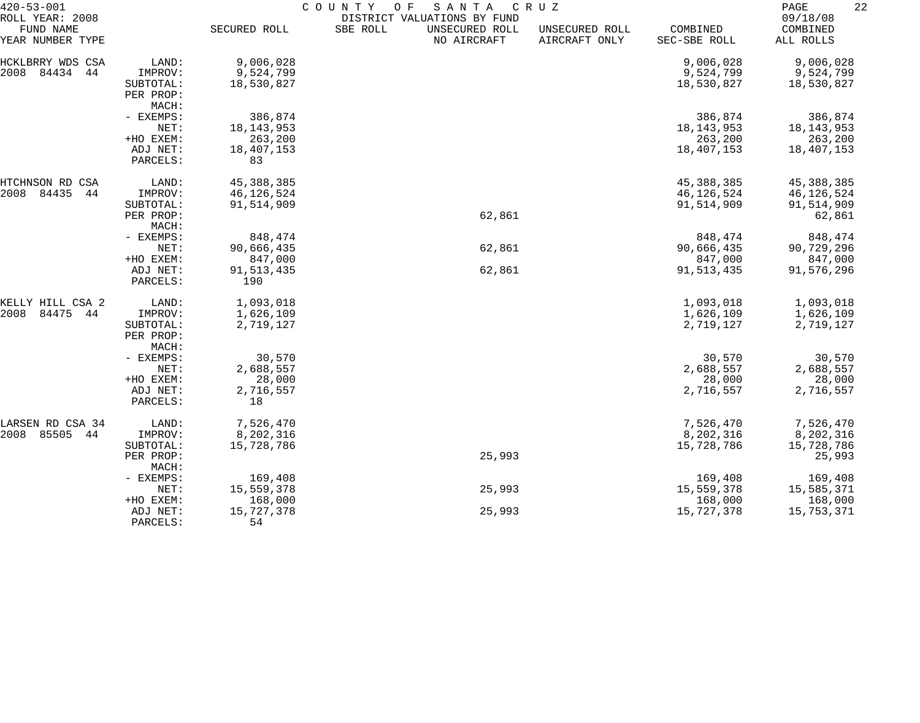| $420 - 53 - 001$              |                      | COUNTY<br>O F<br>SANTA<br>C R U Z |          |                               |                                 |                          |                        |  |  |
|-------------------------------|----------------------|-----------------------------------|----------|-------------------------------|---------------------------------|--------------------------|------------------------|--|--|
| ROLL YEAR: 2008               |                      |                                   |          | DISTRICT VALUATIONS BY FUND   |                                 |                          | 09/18/08               |  |  |
| FUND NAME<br>YEAR NUMBER TYPE |                      | SECURED ROLL                      | SBE ROLL | UNSECURED ROLL<br>NO AIRCRAFT | UNSECURED ROLL<br>AIRCRAFT ONLY | COMBINED<br>SEC-SBE ROLL | COMBINED<br>ALL ROLLS  |  |  |
| HCKLBRRY WDS CSA              | LAND:                | 9,006,028                         |          |                               |                                 | 9,006,028                | 9,006,028              |  |  |
| 84434<br>2008<br>44           | IMPROV:              | 9,524,799                         |          |                               |                                 | 9,524,799                | 9,524,799              |  |  |
|                               | SUBTOTAL:            | 18,530,827                        |          |                               |                                 | 18,530,827               | 18,530,827             |  |  |
|                               | PER PROP:            |                                   |          |                               |                                 |                          |                        |  |  |
|                               | MACH:                |                                   |          |                               |                                 |                          |                        |  |  |
|                               | - EXEMPS:            | 386,874                           |          |                               |                                 | 386,874                  | 386,874                |  |  |
|                               | NET:                 | 18, 143, 953                      |          |                               |                                 | 18, 143, 953             | 18, 143, 953           |  |  |
|                               | +HO EXEM:            | 263,200                           |          |                               |                                 | 263,200                  | 263,200                |  |  |
|                               | ADJ NET:             | 18,407,153                        |          |                               |                                 | 18,407,153               | 18,407,153             |  |  |
|                               | PARCELS:             | 83                                |          |                               |                                 |                          |                        |  |  |
| HTCHNSON RD CSA               | LAND:                | 45, 388, 385                      |          |                               |                                 | 45, 388, 385             | 45, 388, 385           |  |  |
| 2008<br>84435<br>44           | IMPROV:              | 46, 126, 524                      |          |                               |                                 | 46,126,524               | 46, 126, 524           |  |  |
|                               | SUBTOTAL:            | 91,514,909                        |          |                               |                                 | 91,514,909               | 91,514,909             |  |  |
|                               | PER PROP:            |                                   |          | 62,861                        |                                 |                          | 62,861                 |  |  |
|                               | MACH:                |                                   |          |                               |                                 |                          |                        |  |  |
|                               | - EXEMPS:            | 848,474                           |          |                               |                                 | 848,474                  | 848,474                |  |  |
|                               | NET:                 | 90,666,435                        |          | 62,861                        |                                 | 90,666,435               | 90,729,296             |  |  |
|                               | +HO EXEM:            | 847,000                           |          |                               |                                 | 847,000                  | 847,000                |  |  |
|                               | ADJ NET:<br>PARCELS: | 91, 513, 435<br>190               |          | 62,861                        |                                 | 91,513,435               | 91,576,296             |  |  |
| KELLY HILL CSA 2              |                      | 1,093,018                         |          |                               |                                 | 1,093,018                |                        |  |  |
| 84475<br>2008<br>44           | LAND:<br>IMPROV:     | 1,626,109                         |          |                               |                                 | 1,626,109                | 1,093,018<br>1,626,109 |  |  |
|                               | SUBTOTAL:            | 2,719,127                         |          |                               |                                 | 2,719,127                | 2,719,127              |  |  |
|                               | PER PROP:            |                                   |          |                               |                                 |                          |                        |  |  |
|                               | MACH:                |                                   |          |                               |                                 |                          |                        |  |  |
|                               | - EXEMPS:            | 30,570                            |          |                               |                                 | 30,570                   | 30,570                 |  |  |
|                               | NET:                 | 2,688,557                         |          |                               |                                 | 2,688,557                | 2,688,557              |  |  |
|                               | +HO EXEM:            | 28,000                            |          |                               |                                 | 28,000                   | 28,000                 |  |  |
|                               | ADJ NET:<br>PARCELS: | 2,716,557<br>18                   |          |                               |                                 | 2,716,557                | 2,716,557              |  |  |
| LARSEN RD CSA 34              | LAND:                | 7,526,470                         |          |                               |                                 | 7,526,470                | 7,526,470              |  |  |
| 85505<br>2008<br>44           | IMPROV:              | 8,202,316                         |          |                               |                                 | 8,202,316                | 8,202,316              |  |  |
|                               | SUBTOTAL:            | 15,728,786                        |          |                               |                                 | 15,728,786               | 15,728,786             |  |  |
|                               | PER PROP:<br>MACH:   |                                   |          | 25,993                        |                                 |                          | 25,993                 |  |  |
|                               | - EXEMPS:            | 169,408                           |          |                               |                                 | 169,408                  | 169,408                |  |  |
|                               | NET:                 | 15,559,378                        |          | 25,993                        |                                 | 15,559,378               | 15,585,371             |  |  |
|                               | +HO EXEM:            | 168,000                           |          |                               |                                 | 168,000                  | 168,000                |  |  |
|                               | ADJ NET:             | 15,727,378                        |          | 25,993                        |                                 | 15,727,378               | 15,753,371             |  |  |
|                               | PARCELS:             | 54                                |          |                               |                                 |                          |                        |  |  |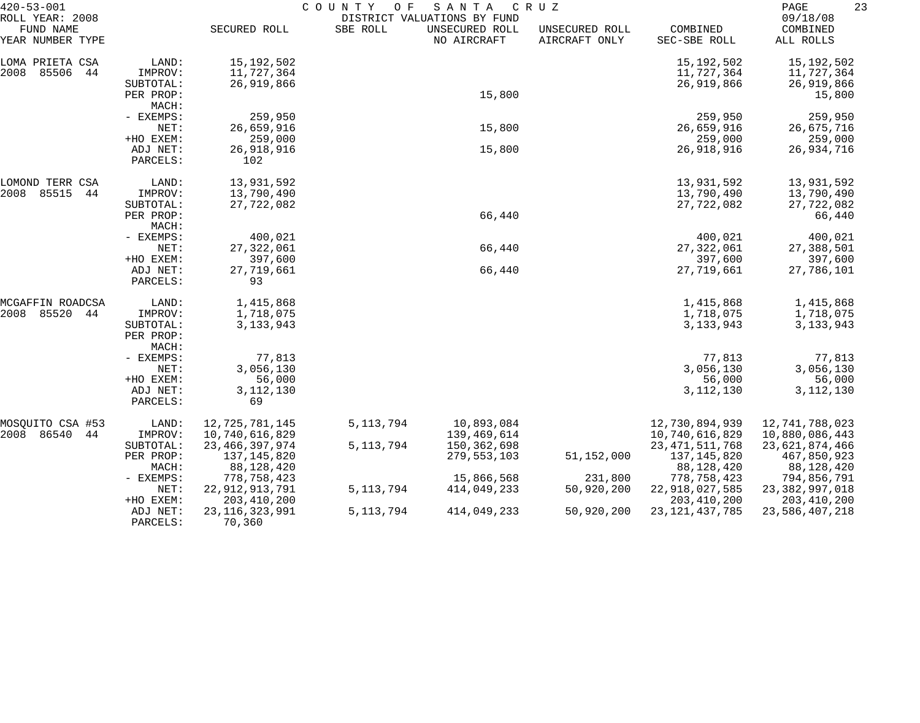| $420 - 53 - 001$                                 |                      |                   | COUNTY<br>O F | SANTA                                                        | C R U Z                         |                          | 23<br>PAGE                        |
|--------------------------------------------------|----------------------|-------------------|---------------|--------------------------------------------------------------|---------------------------------|--------------------------|-----------------------------------|
| ROLL YEAR: 2008<br>FUND NAME<br>YEAR NUMBER TYPE |                      | SECURED ROLL      | SBE ROLL      | DISTRICT VALUATIONS BY FUND<br>UNSECURED ROLL<br>NO AIRCRAFT | UNSECURED ROLL<br>AIRCRAFT ONLY | COMBINED<br>SEC-SBE ROLL | 09/18/08<br>COMBINED<br>ALL ROLLS |
| LOMA PRIETA CSA                                  | LAND:                | 15, 192, 502      |               |                                                              |                                 | 15,192,502               | 15,192,502                        |
| 85506<br>2008<br>44                              | IMPROV:              | 11,727,364        |               |                                                              |                                 | 11,727,364               | 11,727,364                        |
|                                                  | SUBTOTAL:            | 26,919,866        |               |                                                              |                                 | 26,919,866               | 26,919,866                        |
|                                                  | PER PROP:            |                   |               | 15,800                                                       |                                 |                          | 15,800                            |
|                                                  | MACH:                |                   |               |                                                              |                                 |                          |                                   |
|                                                  | - EXEMPS:            | 259,950           |               |                                                              |                                 | 259,950                  | 259,950                           |
|                                                  | NET:                 | 26,659,916        |               | 15,800                                                       |                                 | 26,659,916               | 26,675,716                        |
|                                                  | +HO EXEM:            | 259,000           |               |                                                              |                                 | 259,000                  | 259,000                           |
|                                                  | ADJ NET:             | 26,918,916        |               | 15,800                                                       |                                 | 26,918,916               | 26,934,716                        |
|                                                  | PARCELS:             | 102               |               |                                                              |                                 |                          |                                   |
| LOMOND TERR CSA                                  | LAND:                | 13,931,592        |               |                                                              |                                 | 13,931,592               | 13,931,592                        |
| 85515<br>2008<br>44                              | IMPROV:              | 13,790,490        |               |                                                              |                                 | 13,790,490               | 13,790,490                        |
|                                                  | SUBTOTAL:            | 27,722,082        |               |                                                              |                                 | 27,722,082               | 27,722,082                        |
|                                                  | PER PROP:            |                   |               | 66,440                                                       |                                 |                          | 66,440                            |
|                                                  | MACH:                |                   |               |                                                              |                                 |                          |                                   |
|                                                  | - EXEMPS:            | 400,021           |               |                                                              |                                 | 400,021                  | 400,021                           |
|                                                  | NET:                 | 27, 322, 061      |               | 66,440                                                       |                                 | 27, 322, 061             | 27,388,501                        |
|                                                  | +HO EXEM:            | 397,600           |               |                                                              |                                 | 397,600                  | 397,600                           |
|                                                  | ADJ NET:<br>PARCELS: | 27,719,661<br>93  |               | 66,440                                                       |                                 | 27,719,661               | 27,786,101                        |
| MCGAFFIN ROADCSA                                 | LAND:                | 1,415,868         |               |                                                              |                                 | 1,415,868                | 1,415,868                         |
| 85520<br>2008<br>44                              | IMPROV:              | 1,718,075         |               |                                                              |                                 | 1,718,075                | 1,718,075                         |
|                                                  | SUBTOTAL:            | 3, 133, 943       |               |                                                              |                                 | 3, 133, 943              | 3, 133, 943                       |
|                                                  | PER PROP:            |                   |               |                                                              |                                 |                          |                                   |
|                                                  | MACH:                |                   |               |                                                              |                                 |                          |                                   |
|                                                  | - EXEMPS:            | 77,813            |               |                                                              |                                 | 77,813                   | 77,813                            |
|                                                  | NET:                 | 3,056,130         |               |                                                              |                                 | 3,056,130                | 3,056,130                         |
|                                                  | +HO EXEM:            | 56,000            |               |                                                              |                                 | 56,000                   | 56,000                            |
|                                                  | ADJ NET:             | 3, 112, 130       |               |                                                              |                                 | 3, 112, 130              | 3, 112, 130                       |
|                                                  | PARCELS:             | 69                |               |                                                              |                                 |                          |                                   |
| MOSQUITO CSA #53                                 | LAND:                | 12,725,781,145    | 5, 113, 794   | 10,893,084                                                   |                                 | 12,730,894,939           | 12,741,788,023                    |
| 2008 86540<br>44                                 | IMPROV:              | 10,740,616,829    |               | 139,469,614                                                  |                                 | 10,740,616,829           | 10,880,086,443                    |
|                                                  | SUBTOTAL:            | 23, 466, 397, 974 | 5, 113, 794   | 150,362,698                                                  |                                 | 23, 471, 511, 768        | 23,621,874,466                    |
|                                                  | PER PROP:            | 137,145,820       |               | 279,553,103                                                  | 51,152,000                      | 137,145,820              | 467,850,923                       |
|                                                  | MACH:                | 88, 128, 420      |               |                                                              |                                 | 88,128,420               | 88,128,420                        |
|                                                  | $-$ EXEMPS:          | 778,758,423       |               | 15,866,568                                                   | 231,800                         | 778,758,423              | 794,856,791                       |
|                                                  | NET:                 | 22, 912, 913, 791 | 5, 113, 794   | 414,049,233                                                  | 50,920,200                      | 22,918,027,585           | 23, 382, 997, 018                 |
|                                                  | +HO EXEM:            | 203, 410, 200     |               |                                                              |                                 | 203, 410, 200            | 203, 410, 200                     |
|                                                  | ADJ NET:             | 23, 116, 323, 991 | 5, 113, 794   | 414,049,233                                                  | 50,920,200                      | 23, 121, 437, 785        | 23,586,407,218                    |
|                                                  | PARCELS:             | 70,360            |               |                                                              |                                 |                          |                                   |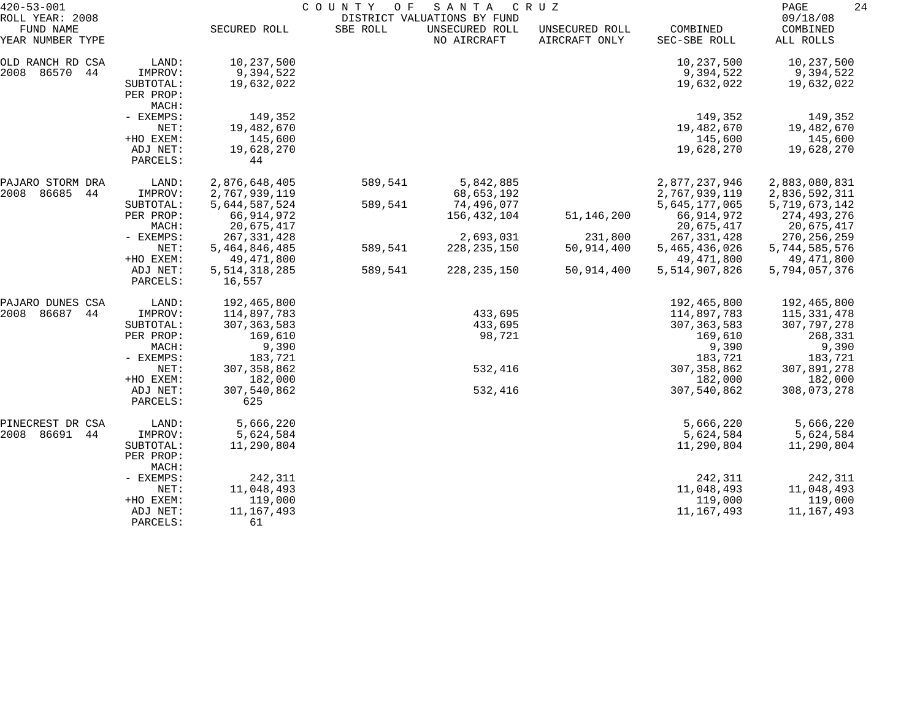| $420 - 53 - 001$                                 |                                                        | COUNTY OF<br>SANTA<br>C R U Z<br>DISTRICT VALUATIONS BY FUND |          |                               |                                 |                                                |                                                |  |
|--------------------------------------------------|--------------------------------------------------------|--------------------------------------------------------------|----------|-------------------------------|---------------------------------|------------------------------------------------|------------------------------------------------|--|
| ROLL YEAR: 2008<br>FUND NAME<br>YEAR NUMBER TYPE |                                                        | SECURED ROLL                                                 | SBE ROLL | UNSECURED ROLL<br>NO AIRCRAFT | UNSECURED ROLL<br>AIRCRAFT ONLY | COMBINED<br>SEC-SBE ROLL                       | 09/18/08<br>COMBINED<br>ALL ROLLS              |  |
| OLD RANCH RD CSA<br>2008 86570<br>44             | LAND:<br>IMPROV:<br>SUBTOTAL:<br>PER PROP:<br>MACH:    | 10,237,500<br>9,394,522<br>19,632,022                        |          |                               |                                 | 10,237,500<br>9,394,522<br>19,632,022          | 10,237,500<br>9,394,522<br>19,632,022          |  |
|                                                  | - EXEMPS:<br>NET:<br>+HO EXEM:                         | 149,352<br>19,482,670<br>145,600                             |          |                               |                                 | 149,352<br>19,482,670<br>145,600               | 149,352<br>19,482,670<br>145,600               |  |
|                                                  | ADJ NET:<br>PARCELS:                                   | 19,628,270<br>44                                             |          |                               |                                 | 19,628,270                                     | 19,628,270                                     |  |
| PAJARO STORM DRA<br>86685<br>2008<br>44          | LAND:<br>IMPROV:                                       | 2,876,648,405<br>2,767,939,119                               | 589,541  | 5,842,885<br>68,653,192       |                                 | 2,877,237,946<br>2,767,939,119                 | 2,883,080,831<br>2,836,592,311                 |  |
|                                                  | SUBTOTAL:<br>PER PROP:<br>MACH:                        | 5,644,587,524<br>66, 914, 972<br>20,675,417                  | 589,541  | 74,496,077<br>156,432,104     | 51,146,200                      | 5,645,177,065<br>66,914,972<br>20,675,417      | 5,719,673,142<br>274,493,276<br>20,675,417     |  |
|                                                  | - EXEMPS:<br>NET:<br>+HO EXEM:                         | 267, 331, 428<br>5,464,846,485<br>49, 471, 800               | 589,541  | 2,693,031<br>228, 235, 150    | 231,800<br>50,914,400           | 267, 331, 428<br>5,465,436,026<br>49, 471, 800 | 270, 256, 259<br>5,744,585,576<br>49,471,800   |  |
|                                                  | ADJ NET:<br>PARCELS:                                   | 5, 514, 318, 285<br>16,557                                   | 589,541  | 228, 235, 150                 | 50,914,400                      | 5,514,907,826                                  | 5,794,057,376                                  |  |
| PAJARO DUNES CSA<br>86687<br>2008<br>44          | LAND:<br>IMPROV:                                       | 192,465,800<br>114,897,783                                   |          | 433,695                       |                                 | 192,465,800<br>114,897,783                     | 192,465,800<br>115, 331, 478                   |  |
|                                                  | SUBTOTAL:<br>PER PROP:<br>MACH:<br>- EXEMPS:           | 307, 363, 583<br>169,610<br>9,390<br>183,721                 |          | 433,695<br>98,721             |                                 | 307, 363, 583<br>169,610<br>9,390<br>183,721   | 307, 797, 278<br>268,331<br>9,390<br>183,721   |  |
|                                                  | NET:<br>+HO EXEM:                                      | 307, 358, 862<br>182,000                                     |          | 532,416                       |                                 | 307, 358, 862<br>182,000                       | 307,891,278<br>182,000                         |  |
|                                                  | ADJ NET:<br>PARCELS:                                   | 307,540,862<br>625                                           |          | 532,416                       |                                 | 307,540,862                                    | 308,073,278                                    |  |
| PINECREST DR CSA<br>2008 86691<br>44             | LAND:<br>IMPROV:<br>SUBTOTAL:<br>PER PROP:<br>MACH:    | 5,666,220<br>5,624,584<br>11,290,804                         |          |                               |                                 | 5,666,220<br>5,624,584<br>11,290,804           | 5,666,220<br>5,624,584<br>11,290,804           |  |
|                                                  | - EXEMPS:<br>NET:<br>+HO EXEM:<br>ADJ NET:<br>PARCELS: | 242,311<br>11,048,493<br>119,000<br>11,167,493<br>61         |          |                               |                                 | 242,311<br>11,048,493<br>119,000<br>11,167,493 | 242,311<br>11,048,493<br>119,000<br>11,167,493 |  |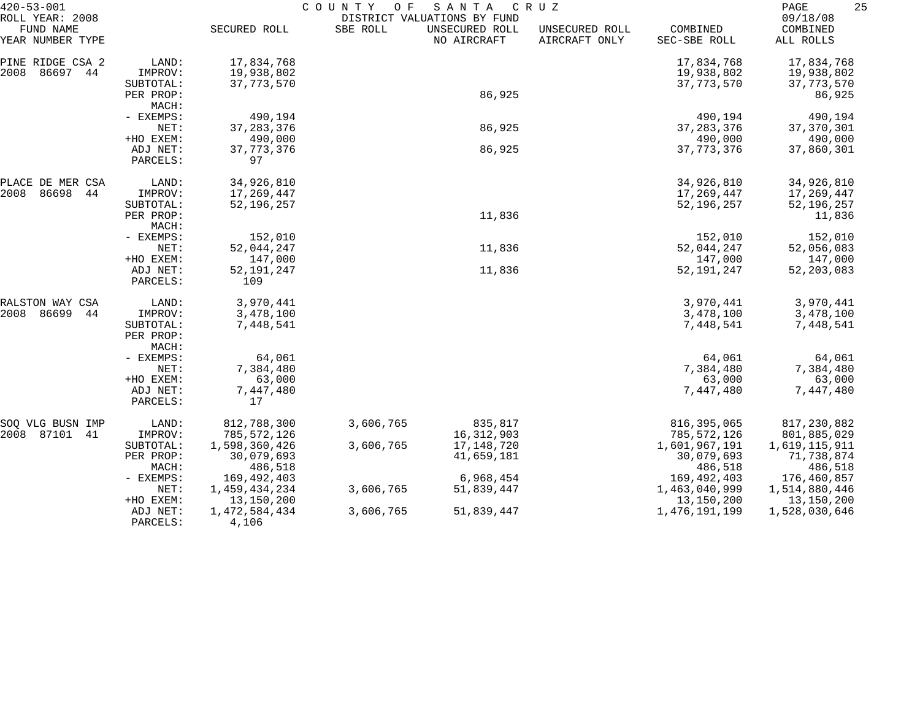| $420 - 53 - 001$                                 |                                 | COUNTY<br>SANTA<br>O F<br>C R U Z<br>DISTRICT VALUATIONS BY FUND |           |                               |                                 |                          |                                   |
|--------------------------------------------------|---------------------------------|------------------------------------------------------------------|-----------|-------------------------------|---------------------------------|--------------------------|-----------------------------------|
| ROLL YEAR: 2008<br>FUND NAME<br>YEAR NUMBER TYPE |                                 | SECURED ROLL                                                     | SBE ROLL  | UNSECURED ROLL<br>NO AIRCRAFT | UNSECURED ROLL<br>AIRCRAFT ONLY | COMBINED<br>SEC-SBE ROLL | 09/18/08<br>COMBINED<br>ALL ROLLS |
| PINE RIDGE CSA 2                                 | LAND:                           | 17,834,768                                                       |           |                               |                                 | 17,834,768               | 17,834,768                        |
| 2008<br>86697 44                                 | IMPROV:                         | 19,938,802                                                       |           |                               |                                 | 19,938,802               | 19,938,802                        |
|                                                  | SUBTOTAL:                       | 37, 773, 570                                                     |           |                               |                                 | 37, 773, 570             | 37, 773, 570                      |
|                                                  | PER PROP:                       |                                                                  |           | 86,925                        |                                 |                          | 86,925                            |
|                                                  | MACH:<br>- EXEMPS:              | 490,194                                                          |           |                               |                                 | 490,194                  | 490,194                           |
|                                                  | NET:                            | 37, 283, 376                                                     |           | 86,925                        |                                 | 37, 283, 376             | 37, 370, 301                      |
|                                                  | +HO EXEM:                       | 490,000                                                          |           |                               |                                 | 490,000                  | 490,000                           |
|                                                  | ADJ NET:                        | 37, 773, 376                                                     |           | 86,925                        |                                 | 37, 773, 376             | 37,860,301                        |
|                                                  | PARCELS:                        | 97                                                               |           |                               |                                 |                          |                                   |
| PLACE DE MER CSA                                 | LAND:                           | 34,926,810                                                       |           |                               |                                 | 34,926,810               | 34,926,810                        |
| 2008<br>86698<br>44                              | IMPROV:                         | 17,269,447                                                       |           |                               |                                 | 17,269,447               | 17,269,447                        |
|                                                  | SUBTOTAL:<br>PER PROP:          | 52, 196, 257                                                     |           | 11,836                        |                                 | 52,196,257               | 52, 196, 257<br>11,836            |
|                                                  | MACH:                           |                                                                  |           |                               |                                 |                          |                                   |
|                                                  | - EXEMPS:<br>NET:               | 152,010                                                          |           |                               |                                 | 152,010                  | 152,010                           |
|                                                  |                                 | 52,044,247                                                       |           | 11,836                        |                                 | 52,044,247               | 52,056,083                        |
|                                                  | +HO EXEM:                       | 147,000                                                          |           |                               |                                 | 147,000                  | 147,000                           |
|                                                  | ADJ NET:<br>PARCELS:            | 52, 191, 247<br>109                                              |           | 11,836                        |                                 | 52, 191, 247             | 52, 203, 083                      |
| RALSTON WAY CSA                                  | LAND:                           | 3,970,441                                                        |           |                               |                                 | 3,970,441                | 3,970,441                         |
| 2008<br>86699<br>44                              | IMPROV:                         | 3,478,100                                                        |           |                               |                                 | 3,478,100                | 3,478,100                         |
|                                                  | SUBTOTAL:<br>PER PROP:<br>MACH: | 7,448,541                                                        |           |                               |                                 | 7,448,541                | 7,448,541                         |
|                                                  | - EXEMPS:                       | 64,061                                                           |           |                               |                                 | 64,061                   | 64,061                            |
|                                                  | NET:                            | 7,384,480                                                        |           |                               |                                 | 7,384,480                | 7,384,480                         |
|                                                  | +HO EXEM:                       | 63,000                                                           |           |                               |                                 | 63,000                   | 63,000                            |
|                                                  | ADJ NET:<br>PARCELS:            | 7,447,480<br>17                                                  |           |                               |                                 | 7,447,480                | 7,447,480                         |
| SOQ VLG BUSN IMP                                 | LAND:                           | 812,788,300                                                      | 3,606,765 | 835,817                       |                                 | 816, 395, 065            | 817,230,882                       |
| 2008 87101<br>41                                 | IMPROV:                         | 785,572,126                                                      |           | 16, 312, 903                  |                                 | 785,572,126              | 801,885,029                       |
|                                                  | SUBTOTAL:                       | 1,598,360,426                                                    | 3,606,765 | 17,148,720                    |                                 | 1,601,967,191            | 1,619,115,911                     |
|                                                  | PER PROP:                       | 30,079,693<br>486,518                                            |           | 41,659,181                    |                                 | 30,079,693<br>486,518    | 71,738,874<br>486,518             |
|                                                  | MACH:<br>- EXEMPS:              | 169,492,403                                                      |           | 6,968,454                     |                                 | 169, 492, 403            | 176,460,857                       |
|                                                  | NET:                            | 1,459,434,234                                                    | 3,606,765 | 51,839,447                    |                                 | 1,463,040,999            | 1,514,880,446                     |
|                                                  | +HO EXEM:                       | 13,150,200                                                       |           |                               |                                 | 13,150,200               | 13,150,200                        |
|                                                  | ADJ NET:<br>PARCELS:            | 1,472,584,434<br>4,106                                           | 3,606,765 | 51,839,447                    |                                 | 1, 476, 191, 199         | 1,528,030,646                     |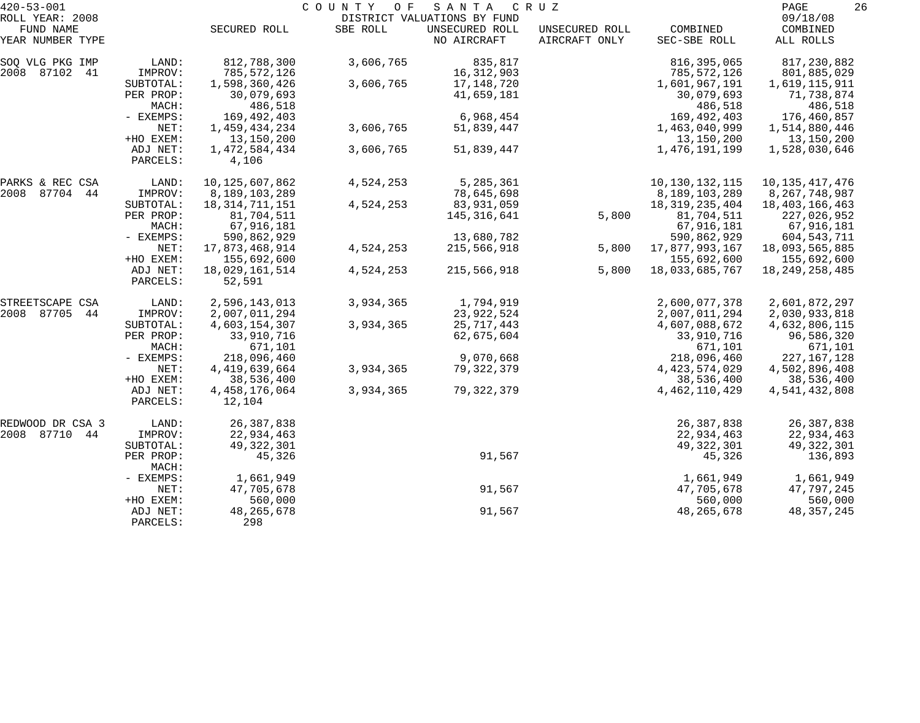| $420 - 53 - 001$              |                      | COUNTY<br>O F<br>SANTA<br>C R U Z |           |                               |                                 |                          |                       |
|-------------------------------|----------------------|-----------------------------------|-----------|-------------------------------|---------------------------------|--------------------------|-----------------------|
| ROLL YEAR: 2008               |                      |                                   |           | DISTRICT VALUATIONS BY FUND   |                                 |                          | 09/18/08              |
| FUND NAME<br>YEAR NUMBER TYPE |                      | SECURED ROLL                      | SBE ROLL  | UNSECURED ROLL<br>NO AIRCRAFT | UNSECURED ROLL<br>AIRCRAFT ONLY | COMBINED<br>SEC-SBE ROLL | COMBINED<br>ALL ROLLS |
| SOQ VLG PKG IMP               | LAND:                | 812,788,300                       | 3,606,765 | 835,817                       |                                 | 816, 395, 065            | 817,230,882           |
| 2008 87102 41                 | IMPROV:              | 785,572,126                       |           | 16,312,903                    |                                 | 785,572,126              | 801,885,029           |
|                               | SUBTOTAL:            | 1,598,360,426                     | 3,606,765 | 17,148,720                    |                                 | 1,601,967,191            | 1,619,115,911         |
|                               | PER PROP:            | 30,079,693                        |           | 41,659,181                    |                                 | 30,079,693               | 71,738,874            |
|                               | MACH:                | 486,518                           |           |                               |                                 | 486,518                  | 486,518               |
|                               | - EXEMPS:            | 169,492,403                       |           | 6,968,454                     |                                 | 169,492,403              | 176,460,857           |
|                               | NET:                 | 1,459,434,234                     | 3,606,765 | 51,839,447                    |                                 | 1,463,040,999            | 1,514,880,446         |
|                               | +HO EXEM:            | 13,150,200                        |           |                               |                                 | 13,150,200               | 13,150,200            |
|                               | ADJ NET:<br>PARCELS: | 1,472,584,434<br>4,106            | 3,606,765 | 51,839,447                    |                                 | 1,476,191,199            | 1,528,030,646         |
| PARKS & REC CSA               | LAND:                | 10,125,607,862                    | 4,524,253 | 5,285,361                     |                                 | 10, 130, 132, 115        | 10, 135, 417, 476     |
| 2008 87704 44                 | IMPROV:              | 8,189,103,289                     |           | 78,645,698                    |                                 | 8,189,103,289            | 8, 267, 748, 987      |
|                               | SUBTOTAL:            | 18, 314, 711, 151                 | 4,524,253 | 83,931,059                    |                                 | 18, 319, 235, 404        | 18, 403, 166, 463     |
|                               | PER PROP:            | 81,704,511                        |           | 145,316,641                   | 5,800                           | 81,704,511               | 227,026,952           |
|                               | MACH:                | 67,916,181                        |           |                               |                                 | 67,916,181               | 67,916,181            |
|                               | - EXEMPS:            | 590,862,929                       |           | 13,680,782                    |                                 | 590,862,929              | 604,543,711           |
|                               | NET:                 | 17,873,468,914                    | 4,524,253 | 215,566,918                   | 5,800                           | 17,877,993,167           | 18,093,565,885        |
|                               | +HO EXEM:            | 155,692,600                       |           |                               |                                 | 155,692,600              | 155,692,600           |
|                               | ADJ NET:<br>PARCELS: | 18,029,161,514<br>52,591          | 4,524,253 | 215,566,918                   | 5,800                           | 18,033,685,767           | 18, 249, 258, 485     |
| STREETSCAPE CSA               | LAND:                | 2,596,143,013                     | 3,934,365 | 1,794,919                     |                                 | 2,600,077,378            | 2,601,872,297         |
| 2008 87705<br>44              | IMPROV:              | 2,007,011,294                     |           | 23,922,524                    |                                 | 2,007,011,294            | 2,030,933,818         |
|                               | SUBTOTAL:            | 4,603,154,307                     | 3,934,365 | 25,717,443                    |                                 | 4,607,088,672            | 4,632,806,115         |
|                               | PER PROP:            | 33,910,716                        |           | 62,675,604                    |                                 | 33,910,716               | 96,586,320            |
|                               | MACH:                | 671,101                           |           |                               |                                 | 671,101                  | 671,101               |
|                               | - EXEMPS:            | 218,096,460                       |           | 9,070,668                     |                                 | 218,096,460              | 227, 167, 128         |
|                               | NET:                 | 4, 419, 639, 664                  | 3,934,365 | 79,322,379                    |                                 | 4, 423, 574, 029         | 4,502,896,408         |
|                               | +HO EXEM:            | 38,536,400                        |           |                               |                                 | 38,536,400               | 38,536,400            |
|                               | ADJ NET:<br>PARCELS: | 4, 458, 176, 064<br>12,104        | 3,934,365 | 79, 322, 379                  |                                 | 4, 462, 110, 429         | 4,541,432,808         |
| REDWOOD DR CSA 3              | LAND:                | 26, 387, 838                      |           |                               |                                 | 26, 387, 838             | 26, 387, 838          |
| 2008 87710 44                 | IMPROV:              | 22,934,463                        |           |                               |                                 | 22,934,463               | 22,934,463            |
|                               | SUBTOTAL:            | 49, 322, 301                      |           |                               |                                 | 49, 322, 301             | 49, 322, 301          |
|                               | PER PROP:<br>MACH:   | 45,326                            |           | 91,567                        |                                 | 45,326                   | 136,893               |
|                               | - EXEMPS:            | 1,661,949                         |           |                               |                                 | 1,661,949                | 1,661,949             |
|                               | NET:                 | 47,705,678                        |           | 91,567                        |                                 | 47,705,678               | 47,797,245            |
|                               | +HO EXEM:            | 560,000                           |           |                               |                                 | 560,000                  | 560,000               |
|                               | ADJ NET:<br>PARCELS: | 48, 265, 678<br>298               |           | 91,567                        |                                 | 48, 265, 678             | 48, 357, 245          |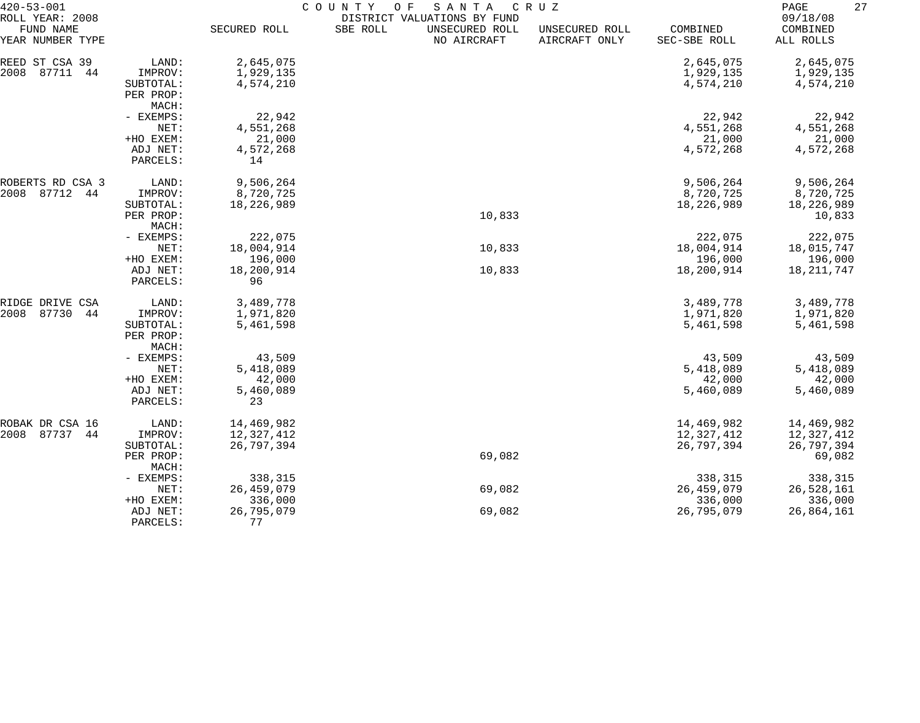| $420 - 53 - 001$              |                    | COUNTY<br>O F<br>SANTA<br>C R U Z |          |                               |                                 |                          |                       |  |
|-------------------------------|--------------------|-----------------------------------|----------|-------------------------------|---------------------------------|--------------------------|-----------------------|--|
| ROLL YEAR: 2008               |                    |                                   |          | DISTRICT VALUATIONS BY FUND   |                                 |                          | 09/18/08              |  |
| FUND NAME<br>YEAR NUMBER TYPE |                    | SECURED ROLL                      | SBE ROLL | UNSECURED ROLL<br>NO AIRCRAFT | UNSECURED ROLL<br>AIRCRAFT ONLY | COMBINED<br>SEC-SBE ROLL | COMBINED<br>ALL ROLLS |  |
| REED ST CSA 39                | LAND:              | 2,645,075                         |          |                               |                                 | 2,645,075                | 2,645,075             |  |
| 87711<br>2008<br>44           | IMPROV:            | 1,929,135                         |          |                               |                                 | 1,929,135                | 1,929,135             |  |
|                               | SUBTOTAL:          | 4,574,210                         |          |                               |                                 | 4,574,210                | 4,574,210             |  |
|                               | PER PROP:          |                                   |          |                               |                                 |                          |                       |  |
|                               | MACH:              |                                   |          |                               |                                 |                          |                       |  |
|                               | - EXEMPS:          | 22,942                            |          |                               |                                 | 22,942                   | 22,942                |  |
|                               | NET:               | 4,551,268                         |          |                               |                                 | 4,551,268                | 4,551,268             |  |
|                               | +HO EXEM:          | 21,000                            |          |                               |                                 | 21,000                   | 21,000                |  |
|                               | ADJ NET:           | 4,572,268                         |          |                               |                                 | 4,572,268                | 4,572,268             |  |
|                               | PARCELS:           | 14                                |          |                               |                                 |                          |                       |  |
| ROBERTS RD CSA 3              | LAND:              | 9,506,264                         |          |                               |                                 | 9,506,264                | 9,506,264             |  |
| 2008<br>87712<br>44           | IMPROV:            | 8,720,725                         |          |                               |                                 | 8,720,725                | 8,720,725             |  |
|                               | SUBTOTAL:          | 18,226,989                        |          |                               |                                 | 18,226,989               | 18,226,989            |  |
|                               | PER PROP:          |                                   |          | 10,833                        |                                 |                          | 10,833                |  |
| MACH:<br>- EXEMPS:<br>NET:    | 222,075            |                                   |          |                               | 222,075                         | 222,075                  |                       |  |
|                               | 18,004,914         |                                   | 10,833   |                               | 18,004,914                      | 18,015,747               |                       |  |
|                               | +HO EXEM:          | 196,000                           |          |                               |                                 | 196,000                  | 196,000               |  |
|                               | ADJ NET:           | 18,200,914                        |          | 10,833                        |                                 | 18,200,914               | 18,211,747            |  |
|                               | PARCELS:           | 96                                |          |                               |                                 |                          |                       |  |
| RIDGE DRIVE CSA               | LAND:              | 3,489,778                         |          |                               |                                 | 3,489,778                | 3,489,778             |  |
| 87730<br>2008<br>44           | IMPROV:            | 1,971,820                         |          |                               |                                 | 1,971,820                | 1,971,820             |  |
|                               | SUBTOTAL:          | 5,461,598                         |          |                               |                                 | 5,461,598                | 5,461,598             |  |
|                               | PER PROP:          |                                   |          |                               |                                 |                          |                       |  |
|                               | MACH:              |                                   |          |                               |                                 |                          |                       |  |
|                               | - EXEMPS:          | 43,509                            |          |                               |                                 | 43,509                   | 43,509                |  |
|                               | NET:               | 5,418,089                         |          |                               |                                 | 5,418,089                | 5,418,089             |  |
|                               | +HO EXEM:          | 42,000                            |          |                               |                                 | 42,000                   | 42,000                |  |
|                               | ADJ NET:           | 5,460,089<br>23                   |          |                               |                                 | 5,460,089                | 5,460,089             |  |
|                               | PARCELS:           |                                   |          |                               |                                 |                          |                       |  |
| ROBAK DR CSA 16               | LAND:              | 14,469,982                        |          |                               |                                 | 14,469,982               | 14,469,982            |  |
| 87737<br>2008<br>44           | IMPROV:            | 12,327,412                        |          |                               |                                 | 12,327,412               | 12,327,412            |  |
|                               | SUBTOTAL:          | 26,797,394                        |          |                               |                                 | 26,797,394               | 26,797,394            |  |
|                               | PER PROP:<br>MACH: |                                   |          | 69,082                        |                                 |                          | 69,082                |  |
|                               | - EXEMPS:          | 338,315                           |          |                               |                                 | 338,315                  | 338,315               |  |
|                               | NET:               | 26,459,079                        |          | 69,082                        |                                 | 26,459,079               | 26,528,161            |  |
|                               | +HO EXEM:          | 336,000                           |          |                               |                                 | 336,000                  | 336,000               |  |
|                               | ADJ NET:           | 26,795,079                        |          | 69,082                        |                                 | 26,795,079               | 26,864,161            |  |
|                               | PARCELS:           | 77                                |          |                               |                                 |                          |                       |  |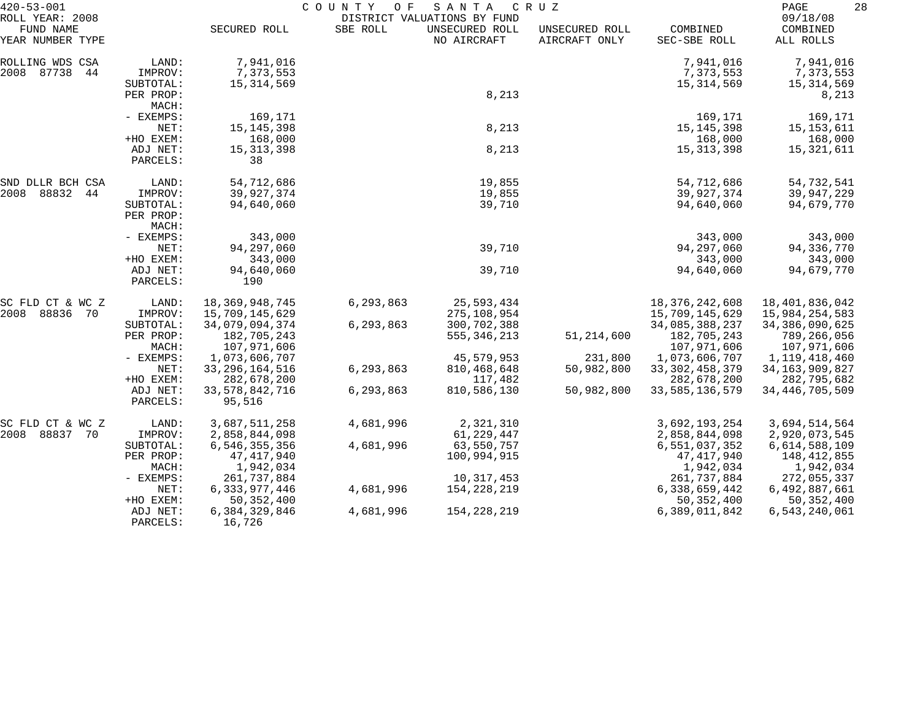| $420 - 53 - 001$                                 |                       | COUNTY<br>O F<br>SANTA<br>C R U Z |           |                                                              |                                 |                              | 28<br>PAGE                           |  |
|--------------------------------------------------|-----------------------|-----------------------------------|-----------|--------------------------------------------------------------|---------------------------------|------------------------------|--------------------------------------|--|
| ROLL YEAR: 2008<br>FUND NAME<br>YEAR NUMBER TYPE |                       | SECURED ROLL                      | SBE ROLL  | DISTRICT VALUATIONS BY FUND<br>UNSECURED ROLL<br>NO AIRCRAFT | UNSECURED ROLL<br>AIRCRAFT ONLY | COMBINED<br>SEC-SBE ROLL     | 09/18/08<br>COMBINED<br>ALL ROLLS    |  |
|                                                  | LAND:                 | 7,941,016                         |           |                                                              |                                 | 7,941,016                    |                                      |  |
| ROLLING WDS CSA<br>2008 87738<br>44              | IMPROV:<br>SUBTOTAL:  | 7,373,553<br>15,314,569           |           |                                                              |                                 | 7,373,553<br>15,314,569      | 7,941,016<br>7,373,553<br>15,314,569 |  |
|                                                  | PER PROP:<br>MACH:    |                                   |           | 8,213                                                        |                                 |                              | 8,213                                |  |
|                                                  | - EXEMPS:             | 169,171                           |           |                                                              |                                 | 169,171                      | 169,171                              |  |
|                                                  | NET:                  | 15, 145, 398                      |           | 8,213                                                        |                                 | 15, 145, 398                 | 15, 153, 611                         |  |
|                                                  | +HO EXEM:<br>ADJ NET: | 168,000<br>15, 313, 398           |           | 8,213                                                        |                                 | 168,000<br>15, 313, 398      | 168,000<br>15,321,611                |  |
|                                                  | PARCELS:              | 38                                |           |                                                              |                                 |                              |                                      |  |
| SND DLLR BCH CSA                                 | LAND:                 | 54,712,686                        |           | 19,855                                                       |                                 | 54,712,686                   | 54,732,541                           |  |
| 2008 88832<br>44                                 | IMPROV:               | 39,927,374                        |           | 19,855                                                       |                                 | 39,927,374                   | 39,947,229                           |  |
| SUBTOTAL:                                        | PER PROP:<br>MACH:    | 94,640,060                        |           | 39,710                                                       |                                 | 94,640,060                   | 94,679,770                           |  |
|                                                  | - EXEMPS:             | 343,000                           |           |                                                              |                                 | 343,000                      | 343,000                              |  |
|                                                  | NET:                  | 94,297,060                        |           | 39,710                                                       |                                 | 94, 297, 060                 | 94,336,770                           |  |
|                                                  | +HO EXEM:             | 343,000                           |           |                                                              |                                 | 343,000                      | 343,000                              |  |
|                                                  | ADJ NET:<br>PARCELS:  | 94,640,060<br>190                 |           | 39,710                                                       |                                 | 94,640,060                   | 94,679,770                           |  |
| SC FLD CT & WC Z                                 | LAND:                 | 18, 369, 948, 745                 | 6,293,863 | 25,593,434                                                   |                                 | 18, 376, 242, 608            | 18,401,836,042                       |  |
| 2008<br>88836 70                                 | IMPROV:               | 15,709,145,629                    |           | 275,108,954                                                  |                                 | 15,709,145,629               | 15,984,254,583                       |  |
|                                                  | SUBTOTAL:             | 34,079,094,374                    | 6,293,863 | 300,702,388                                                  |                                 | 34,085,388,237               | 34, 386, 090, 625                    |  |
|                                                  | PER PROP:<br>MACH:    | 182,705,243<br>107,971,606        |           | 555, 346, 213                                                | 51, 214, 600                    | 182,705,243<br>107,971,606   | 789,266,056<br>107,971,606           |  |
|                                                  | - EXEMPS:             | 1,073,606,707                     |           | 45,579,953                                                   | 231,800                         | 1,073,606,707                | 1,119,418,460                        |  |
|                                                  | NET:                  | 33, 296, 164, 516                 | 6,293,863 | 810, 468, 648                                                | 50,982,800                      | 33, 302, 458, 379            | 34, 163, 909, 827                    |  |
|                                                  | +HO EXEM:             | 282,678,200                       |           | 117,482                                                      |                                 | 282,678,200                  | 282,795,682                          |  |
|                                                  | ADJ NET:<br>PARCELS:  | 33, 578, 842, 716<br>95,516       | 6,293,863 | 810,586,130                                                  | 50,982,800                      | 33, 585, 136, 579            | 34, 446, 705, 509                    |  |
| SC FLD CT & WC Z                                 | LAND:                 | 3,687,511,258                     | 4,681,996 | 2,321,310                                                    |                                 | 3,692,193,254                | 3,694,514,564                        |  |
| 2008 88837 70                                    | IMPROV:               | 2,858,844,098                     |           | 61,229,447                                                   |                                 | 2,858,844,098                | 2,920,073,545                        |  |
|                                                  | SUBTOTAL:             | 6,546,355,356                     | 4,681,996 | 63,550,757                                                   |                                 | 6,551,037,352                | 6,614,588,109                        |  |
|                                                  | PER PROP:             | 47,417,940                        |           | 100,994,915                                                  |                                 | 47, 417, 940                 | 148,412,855                          |  |
|                                                  | MACH:                 | 1,942,034                         |           |                                                              |                                 | 1,942,034                    | 1,942,034                            |  |
|                                                  | - EXEMPS:<br>NET:     | 261,737,884<br>6, 333, 977, 446   | 4,681,996 | 10,317,453<br>154,228,219                                    |                                 | 261,737,884<br>6,338,659,442 | 272,055,337<br>6,492,887,661         |  |
|                                                  | +HO EXEM:             | 50, 352, 400                      |           |                                                              |                                 | 50, 352, 400                 | 50, 352, 400                         |  |
|                                                  | ADJ NET:<br>PARCELS:  | 6,384,329,846<br>16,726           | 4,681,996 | 154, 228, 219                                                |                                 | 6,389,011,842                | 6,543,240,061                        |  |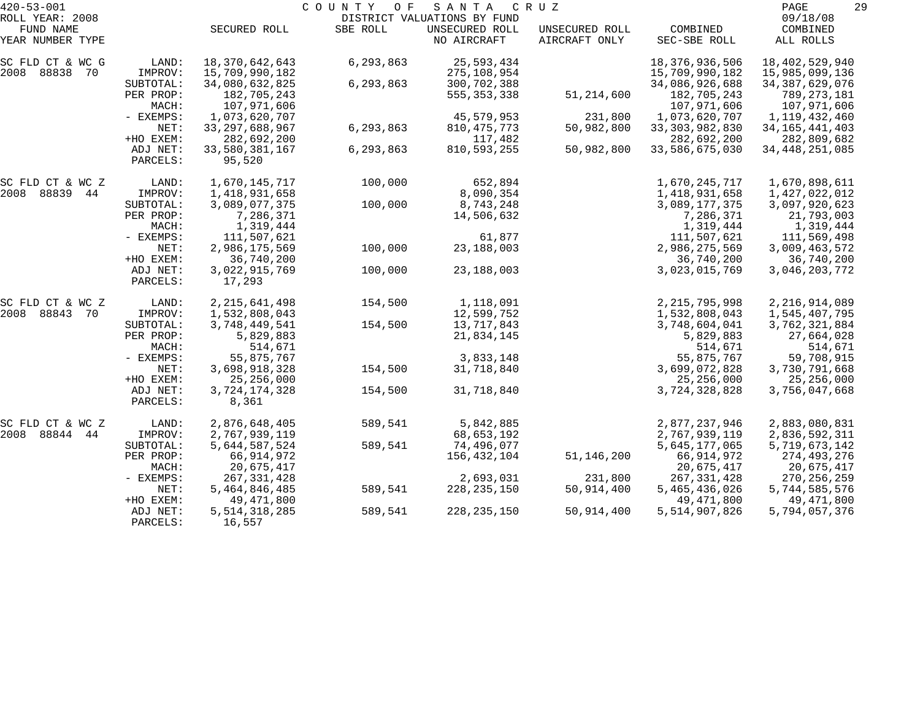| $420 - 53 - 001$              |                      |                            | COUNTY<br>O F | SANTA                         | C R U Z                         |                          | 29<br>PAGE            |
|-------------------------------|----------------------|----------------------------|---------------|-------------------------------|---------------------------------|--------------------------|-----------------------|
| ROLL YEAR: 2008               |                      |                            |               | DISTRICT VALUATIONS BY FUND   |                                 |                          | 09/18/08              |
| FUND NAME<br>YEAR NUMBER TYPE |                      | SECURED ROLL               | SBE ROLL      | UNSECURED ROLL<br>NO AIRCRAFT | UNSECURED ROLL<br>AIRCRAFT ONLY | COMBINED<br>SEC-SBE ROLL | COMBINED<br>ALL ROLLS |
| SC FLD CT & WC G              | LAND:                | 18,370,642,643             | 6,293,863     | 25,593,434                    |                                 | 18, 376, 936, 506        | 18,402,529,940        |
| 2008 88838 70                 | IMPROV:              | 15,709,990,182             |               | 275,108,954                   |                                 | 15,709,990,182           | 15,985,099,136        |
|                               | SUBTOTAL:            | 34,080,632,825             | 6,293,863     | 300,702,388                   |                                 | 34,086,926,688           | 34, 387, 629, 076     |
|                               | PER PROP:            | 182,705,243                |               | 555, 353, 338                 | 51,214,600                      | 182,705,243              | 789,273,181           |
|                               | MACH:                | 107,971,606                |               |                               |                                 | 107,971,606              | 107,971,606           |
|                               | - EXEMPS:            | 1,073,620,707              |               | 45,579,953                    | 231,800                         | 1,073,620,707            | 1,119,432,460         |
|                               | NET:                 | 33, 297, 688, 967          | 6,293,863     | 810, 475, 773                 | 50,982,800                      | 33, 303, 982, 830        | 34, 165, 441, 403     |
|                               | +HO EXEM:            | 282,692,200                |               | 117,482                       |                                 | 282,692,200              | 282,809,682           |
|                               | ADJ NET:<br>PARCELS: | 33,580,381,167<br>95,520   | 6,293,863     | 810,593,255                   | 50,982,800                      | 33,586,675,030           | 34, 448, 251, 085     |
| SC FLD CT & WC Z              | LAND:                | 1,670,145,717              | 100,000       | 652,894                       |                                 | 1,670,245,717            | 1,670,898,611         |
| 2008 88839 44                 | IMPROV:              | 1,418,931,658              |               | 8,090,354                     |                                 | 1,418,931,658            | 1,427,022,012         |
|                               | SUBTOTAL:            | 3,089,077,375              | 100,000       | 8,743,248                     |                                 | 3,089,177,375            | 3,097,920,623         |
|                               | PER PROP:            | 7,286,371                  |               | 14,506,632                    |                                 | 7,286,371                | 21,793,003            |
|                               | MACH:                | 1,319,444                  |               |                               |                                 | 1,319,444                | 1,319,444             |
|                               | - EXEMPS:            | 111,507,621                |               | 61,877                        |                                 | 111,507,621              | 111,569,498           |
|                               | NET:                 | 2,986,175,569              | 100,000       | 23, 188, 003                  |                                 | 2,986,275,569            | 3,009,463,572         |
|                               | +HO EXEM:            | 36,740,200                 |               |                               |                                 | 36,740,200               | 36,740,200            |
|                               | ADJ NET:<br>PARCELS: | 3,022,915,769<br>17,293    | 100,000       | 23, 188, 003                  |                                 | 3,023,015,769            | 3,046,203,772         |
| SC FLD CT & WC Z              | LAND:                | 2, 215, 641, 498           | 154,500       | 1,118,091                     |                                 | 2, 215, 795, 998         | 2, 216, 914, 089      |
| 2008 88843<br>70              | IMPROV:              | 1,532,808,043              |               | 12,599,752                    |                                 | 1,532,808,043            | 1,545,407,795         |
|                               | SUBTOTAL:            | 3,748,449,541              | 154,500       | 13,717,843                    |                                 | 3,748,604,041            | 3,762,321,884         |
|                               | PER PROP:            | 5,829,883                  |               | 21,834,145                    |                                 | 5,829,883                | 27,664,028            |
|                               | MACH:                | 514,671                    |               |                               |                                 | 514,671                  | 514,671               |
|                               | - EXEMPS:            | 55,875,767                 |               | 3,833,148                     |                                 | 55,875,767               | 59,708,915            |
|                               | NET:                 | 3,698,918,328              | 154,500       | 31,718,840                    |                                 | 3,699,072,828            | 3,730,791,668         |
|                               | +HO EXEM:            | 25, 256, 000               |               |                               |                                 | 25, 256, 000             | 25, 256, 000          |
|                               | ADJ NET:             | 3,724,174,328              | 154,500       | 31,718,840                    |                                 | 3,724,328,828            | 3,756,047,668         |
|                               | PARCELS:             | 8,361                      |               |                               |                                 |                          |                       |
| SC FLD CT & WC Z              | LAND:                | 2,876,648,405              | 589,541       | 5,842,885                     |                                 | 2,877,237,946            | 2,883,080,831         |
| 2008 88844<br>44              | IMPROV:              | 2,767,939,119              |               | 68,653,192                    |                                 | 2,767,939,119            | 2,836,592,311         |
|                               | SUBTOTAL:            | 5,644,587,524              | 589,541       | 74,496,077                    |                                 | 5,645,177,065            | 5,719,673,142         |
|                               | PER PROP:            | 66, 914, 972               |               | 156,432,104                   | 51, 146, 200                    | 66, 914, 972             | 274,493,276           |
|                               | MACH:                | 20,675,417                 |               |                               |                                 | 20,675,417               | 20,675,417            |
|                               | $-$ EXEMPS:          | 267, 331, 428              |               | 2,693,031                     | 231,800                         | 267, 331, 428            | 270, 256, 259         |
|                               | NET:                 | 5,464,846,485              | 589,541       | 228, 235, 150                 | 50,914,400                      | 5,465,436,026            | 5,744,585,576         |
|                               | +HO EXEM:            | 49,471,800                 |               |                               |                                 | 49,471,800               | 49,471,800            |
|                               | ADJ NET:<br>PARCELS: | 5, 514, 318, 285<br>16,557 | 589,541       | 228, 235, 150                 | 50,914,400                      | 5,514,907,826            | 5,794,057,376         |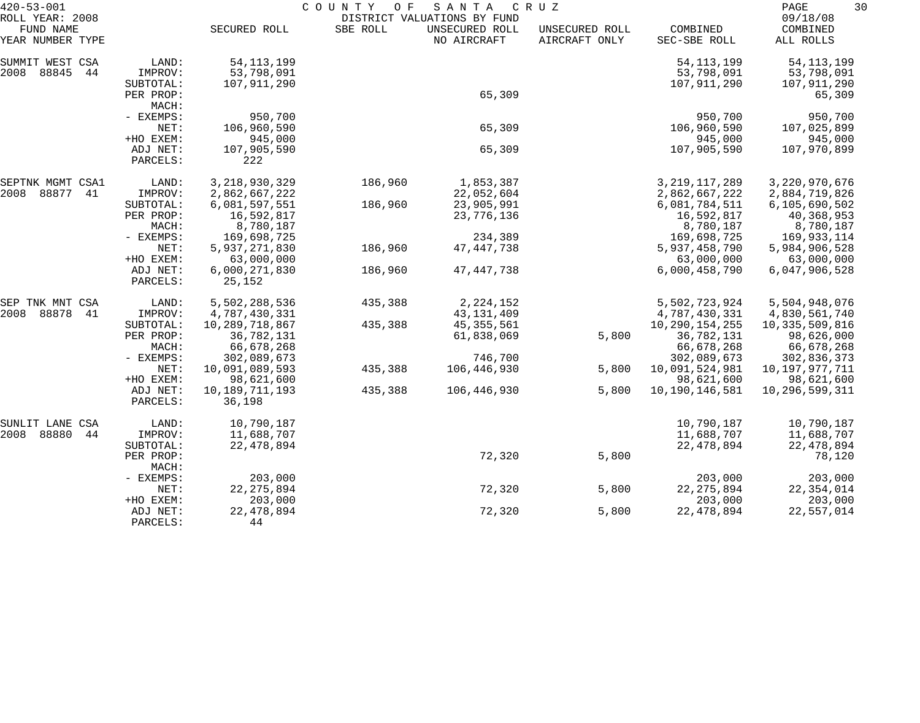| $420 - 53 - 001$               |                       |                              | COUNTY<br>O F | SANTA                         | C R U Z                         |                              | 30<br>PAGE                   |  |
|--------------------------------|-----------------------|------------------------------|---------------|-------------------------------|---------------------------------|------------------------------|------------------------------|--|
| ROLL YEAR: 2008                |                       |                              |               | DISTRICT VALUATIONS BY FUND   |                                 |                              | 09/18/08                     |  |
| FUND NAME<br>YEAR NUMBER TYPE  |                       | SECURED ROLL                 | SBE ROLL      | UNSECURED ROLL<br>NO AIRCRAFT | UNSECURED ROLL<br>AIRCRAFT ONLY | COMBINED<br>SEC-SBE ROLL     | COMBINED<br>ALL ROLLS        |  |
| SUMMIT WEST CSA                | LAND:                 | 54, 113, 199                 |               |                               |                                 | 54, 113, 199                 | 54, 113, 199                 |  |
| 2008<br>88845<br>44            | IMPROV:               | 53,798,091                   |               |                               |                                 | 53,798,091                   | 53,798,091                   |  |
|                                | SUBTOTAL:             | 107,911,290                  |               |                               |                                 | 107,911,290                  | 107,911,290                  |  |
|                                | PER PROP:             |                              |               | 65,309                        |                                 |                              | 65,309                       |  |
|                                | MACH:                 |                              |               |                               |                                 |                              |                              |  |
|                                | - EXEMPS:<br>NET:     | 950,700<br>106,960,590       |               | 65,309                        |                                 | 950,700<br>106,960,590       | 950,700<br>107,025,899       |  |
|                                | +HO EXEM:             | 945,000                      |               |                               |                                 | 945,000                      | 945,000                      |  |
|                                | ADJ NET:              | 107,905,590                  |               | 65,309                        |                                 | 107,905,590                  | 107,970,899                  |  |
|                                | PARCELS:              | 222                          |               |                               |                                 |                              |                              |  |
| SEPTNK MGMT CSA1               | LAND:                 | 3, 218, 930, 329             | 186,960       | 1,853,387                     |                                 | 3, 219, 117, 289             | 3, 220, 970, 676             |  |
| 2008<br>88877<br>41            | IMPROV:               | 2,862,667,222                |               | 22,052,604                    |                                 | 2,862,667,222                | 2,884,719,826                |  |
|                                | SUBTOTAL:             | 6,081,597,551                | 186,960       | 23,905,991                    |                                 | 6,081,784,511                | 6,105,690,502                |  |
|                                | PER PROP:             | 16,592,817                   |               | 23,776,136                    |                                 | 16,592,817                   | 40,368,953                   |  |
|                                | MACH:                 | 8,780,187                    |               |                               |                                 | 8,780,187                    | 8,780,187                    |  |
| - EXEMPS:<br>NET:<br>+HO EXEM: |                       | 169,698,725                  |               | 234,389                       |                                 | 169,698,725                  | 169,933,114                  |  |
|                                |                       | 5,937,271,830<br>63,000,000  | 186,960       | 47, 447, 738                  |                                 | 5,937,458,790<br>63,000,000  | 5,984,906,528<br>63,000,000  |  |
|                                | ADJ NET:              | 6,000,271,830                | 186,960       | 47, 447, 738                  |                                 | 6,000,458,790                | 6,047,906,528                |  |
|                                | PARCELS:              | 25,152                       |               |                               |                                 |                              |                              |  |
| SEP TNK MNT CSA                | LAND:                 | 5,502,288,536                | 435,388       | 2, 224, 152                   |                                 | 5,502,723,924                | 5,504,948,076                |  |
| 2008<br>88878<br>41            | IMPROV:               | 4,787,430,331                |               | 43, 131, 409                  |                                 | 4,787,430,331                | 4,830,561,740                |  |
|                                | SUBTOTAL:             | 10,289,718,867               | 435,388       | 45, 355, 561                  |                                 | 10, 290, 154, 255            | 10,335,509,816               |  |
|                                | PER PROP:             | 36,782,131                   |               | 61,838,069                    | 5,800                           | 36,782,131                   | 98,626,000                   |  |
|                                | MACH:                 | 66,678,268                   |               |                               |                                 | 66,678,268                   | 66,678,268                   |  |
|                                | - EXEMPS:             | 302,089,673                  |               | 746,700                       |                                 | 302,089,673                  | 302,836,373                  |  |
|                                | NET:                  | 10,091,089,593               | 435,388       | 106,446,930                   | 5,800                           | 10,091,524,981               | 10,197,977,711               |  |
|                                | +HO EXEM:<br>ADJ NET: | 98,621,600<br>10,189,711,193 | 435,388       | 106,446,930                   | 5,800                           | 98,621,600<br>10,190,146,581 | 98,621,600<br>10,296,599,311 |  |
|                                | PARCELS:              | 36,198                       |               |                               |                                 |                              |                              |  |
| SUNLIT LANE CSA                | LAND:                 | 10,790,187                   |               |                               |                                 | 10,790,187                   | 10,790,187                   |  |
| 2008<br>88880<br>44            | IMPROV:               | 11,688,707                   |               |                               |                                 | 11,688,707                   | 11,688,707                   |  |
|                                | SUBTOTAL:             | 22, 478, 894                 |               |                               |                                 | 22, 478, 894                 | 22, 478, 894                 |  |
|                                | PER PROP:<br>MACH:    |                              |               | 72,320                        | 5,800                           |                              | 78,120                       |  |
|                                | - EXEMPS:             | 203,000                      |               |                               |                                 | 203,000                      | 203,000                      |  |
|                                | NET:                  | 22, 275, 894                 |               | 72,320                        | 5,800                           | 22, 275, 894                 | 22,354,014                   |  |
|                                | +HO EXEM:             | 203,000                      |               |                               |                                 | 203,000                      | 203,000                      |  |
|                                | ADJ NET:              | 22, 478, 894                 |               | 72,320                        | 5,800                           | 22, 478, 894                 | 22,557,014                   |  |
|                                | PARCELS:              | 44                           |               |                               |                                 |                              |                              |  |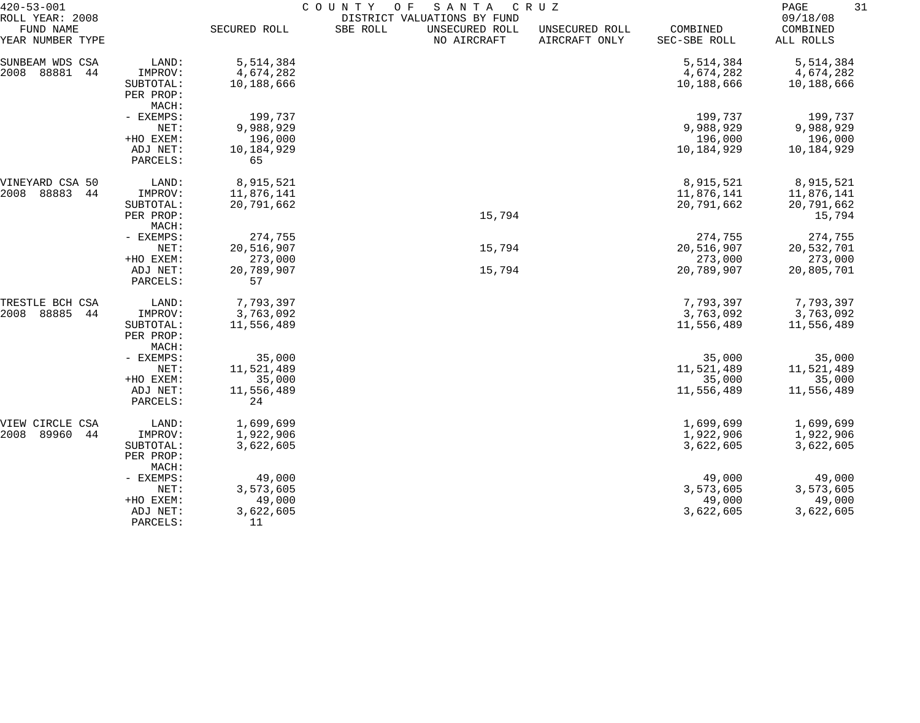| $420 - 53 - 001$                                 |                                 | COUNTY<br>O F<br>SANTA<br>C R U Z<br>DISTRICT VALUATIONS BY FUND |          |                               |                                 |                          |                                   |  |
|--------------------------------------------------|---------------------------------|------------------------------------------------------------------|----------|-------------------------------|---------------------------------|--------------------------|-----------------------------------|--|
| ROLL YEAR: 2008<br>FUND NAME<br>YEAR NUMBER TYPE |                                 | SECURED ROLL                                                     | SBE ROLL | UNSECURED ROLL<br>NO AIRCRAFT | UNSECURED ROLL<br>AIRCRAFT ONLY | COMBINED<br>SEC-SBE ROLL | 09/18/08<br>COMBINED<br>ALL ROLLS |  |
| SUNBEAM WDS CSA                                  | LAND:                           | 5,514,384                                                        |          |                               |                                 | 5,514,384                | 5,514,384                         |  |
| 88881<br>2008<br>44                              | IMPROV:                         | 4,674,282                                                        |          |                               |                                 | 4,674,282                | 4,674,282                         |  |
|                                                  | SUBTOTAL:                       | 10,188,666                                                       |          |                               |                                 | 10,188,666               | 10,188,666                        |  |
|                                                  | PER PROP:                       |                                                                  |          |                               |                                 |                          |                                   |  |
|                                                  | MACH:                           |                                                                  |          |                               |                                 |                          |                                   |  |
|                                                  | - EXEMPS:                       | 199,737                                                          |          |                               |                                 | 199,737                  | 199,737                           |  |
|                                                  | NET:                            | 9,988,929                                                        |          |                               |                                 | 9,988,929                | 9,988,929                         |  |
|                                                  | +HO EXEM:                       | 196,000                                                          |          |                               |                                 | 196,000                  | 196,000                           |  |
|                                                  | ADJ NET:                        | 10,184,929                                                       |          |                               |                                 | 10,184,929               | 10,184,929                        |  |
|                                                  | PARCELS:                        | 65                                                               |          |                               |                                 |                          |                                   |  |
| VINEYARD CSA 50                                  | LAND:                           | 8,915,521                                                        |          |                               |                                 | 8,915,521                | 8,915,521                         |  |
| 88883<br>2008<br>44                              | IMPROV:                         | 11,876,141                                                       |          |                               |                                 | 11,876,141               | 11,876,141                        |  |
|                                                  | SUBTOTAL:                       | 20,791,662                                                       |          |                               |                                 | 20,791,662               | 20,791,662                        |  |
|                                                  | PER PROP:                       |                                                                  |          | 15,794                        |                                 |                          | 15,794                            |  |
|                                                  | MACH:                           |                                                                  |          |                               |                                 |                          |                                   |  |
|                                                  | - EXEMPS:                       | 274,755                                                          |          |                               |                                 | 274,755                  | 274,755                           |  |
|                                                  | NET:                            | 20,516,907                                                       |          | 15,794                        |                                 | 20,516,907               | 20,532,701                        |  |
|                                                  | +HO EXEM:                       | 273,000                                                          |          |                               |                                 | 273,000                  | 273,000                           |  |
|                                                  | ADJ NET:<br>PARCELS:            | 20,789,907<br>57                                                 |          | 15,794                        |                                 | 20,789,907               | 20,805,701                        |  |
| TRESTLE BCH CSA                                  | LAND:                           | 7,793,397                                                        |          |                               |                                 | 7,793,397                | 7,793,397                         |  |
| 2008<br>88885<br>44                              | IMPROV:                         | 3,763,092                                                        |          |                               |                                 | 3,763,092                | 3,763,092                         |  |
|                                                  | SUBTOTAL:<br>PER PROP:<br>MACH: | 11,556,489                                                       |          |                               |                                 | 11,556,489               | 11,556,489                        |  |
|                                                  | - EXEMPS:                       | 35,000                                                           |          |                               |                                 | 35,000                   | 35,000                            |  |
|                                                  | NET:                            | 11,521,489                                                       |          |                               |                                 | 11,521,489               | 11,521,489                        |  |
|                                                  | +HO EXEM:                       | 35,000                                                           |          |                               |                                 | 35,000                   | 35,000                            |  |
|                                                  | ADJ NET:                        | 11,556,489                                                       |          |                               |                                 | 11,556,489               | 11,556,489                        |  |
|                                                  | PARCELS:                        | 24                                                               |          |                               |                                 |                          |                                   |  |
| VIEW CIRCLE CSA                                  | LAND:                           | 1,699,699                                                        |          |                               |                                 | 1,699,699                | 1,699,699                         |  |
| 89960<br>2008<br>44                              | IMPROV:                         | 1,922,906                                                        |          |                               |                                 | 1,922,906                | 1,922,906                         |  |
|                                                  | SUBTOTAL:<br>PER PROP:<br>MACH: | 3,622,605                                                        |          |                               |                                 | 3,622,605                | 3,622,605                         |  |
|                                                  | - EXEMPS:                       | 49,000                                                           |          |                               |                                 | 49,000                   | 49,000                            |  |
|                                                  | NET:                            | 3,573,605                                                        |          |                               |                                 | 3,573,605                | 3,573,605                         |  |
|                                                  | +HO EXEM:                       | 49,000                                                           |          |                               |                                 | 49,000                   | 49,000                            |  |
|                                                  | ADJ NET:                        | 3,622,605                                                        |          |                               |                                 | 3,622,605                | 3,622,605                         |  |
|                                                  | PARCELS:                        | 11                                                               |          |                               |                                 |                          |                                   |  |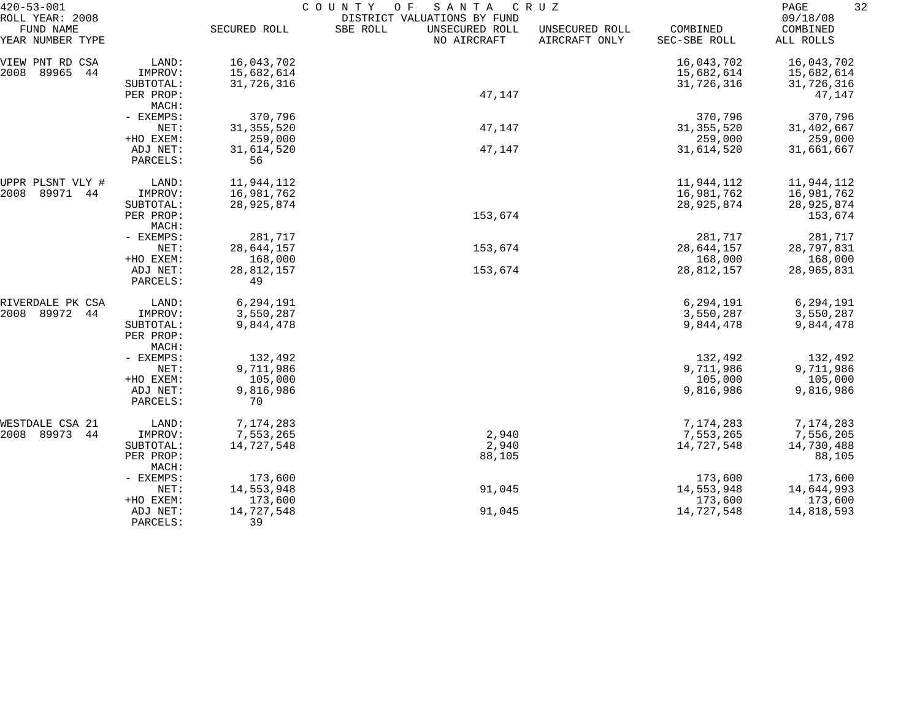| $420 - 53 - 001$<br>ROLL YEAR: 2008 |                                 | COUNTY<br>SANTA<br>O F<br>C R U Z<br>DISTRICT VALUATIONS BY FUND |                                           |                                 |                          |                                   |  |
|-------------------------------------|---------------------------------|------------------------------------------------------------------|-------------------------------------------|---------------------------------|--------------------------|-----------------------------------|--|
| FUND NAME<br>YEAR NUMBER TYPE       |                                 | SECURED ROLL                                                     | SBE ROLL<br>UNSECURED ROLL<br>NO AIRCRAFT | UNSECURED ROLL<br>AIRCRAFT ONLY | COMBINED<br>SEC-SBE ROLL | 09/18/08<br>COMBINED<br>ALL ROLLS |  |
| VIEW PNT RD CSA                     | LAND:                           | 16,043,702                                                       |                                           |                                 | 16,043,702               | 16,043,702                        |  |
| 89965<br>2008<br>44                 | IMPROV:<br>SUBTOTAL:            | 15,682,614<br>31,726,316                                         |                                           |                                 | 15,682,614<br>31,726,316 | 15,682,614<br>31,726,316          |  |
|                                     | PER PROP:<br>MACH:              |                                                                  | 47,147                                    |                                 |                          | 47,147                            |  |
|                                     | - EXEMPS:                       | 370,796                                                          |                                           |                                 | 370,796                  | 370,796                           |  |
|                                     | NET:                            | 31, 355, 520                                                     | 47,147                                    |                                 | 31, 355, 520             | 31,402,667                        |  |
|                                     | +HO EXEM:                       | 259,000                                                          |                                           |                                 | 259,000                  | 259,000                           |  |
|                                     | ADJ NET:<br>PARCELS:            | 31,614,520<br>56                                                 | 47,147                                    |                                 | 31,614,520               | 31,661,667                        |  |
| UPPR PLSNT VLY #                    | LAND:                           | 11,944,112                                                       |                                           |                                 | 11,944,112               | 11,944,112                        |  |
| 89971 44<br>2008                    | IMPROV:                         | 16,981,762                                                       |                                           |                                 | 16,981,762               | 16,981,762                        |  |
|                                     | SUBTOTAL:                       | 28,925,874                                                       | 153,674                                   |                                 | 28,925,874               | 28,925,874                        |  |
|                                     | PER PROP:<br>MACH:              |                                                                  |                                           |                                 |                          | 153,674                           |  |
|                                     | - EXEMPS:                       | 281,717                                                          |                                           |                                 | 281,717                  | 281,717                           |  |
|                                     | NET:                            | 28,644,157                                                       | 153,674                                   |                                 | 28,644,157               | 28,797,831                        |  |
|                                     | +HO EXEM:                       | 168,000                                                          |                                           |                                 | 168,000                  | 168,000                           |  |
|                                     | ADJ NET:<br>PARCELS:            | 28,812,157<br>49                                                 | 153,674                                   |                                 | 28,812,157               | 28,965,831                        |  |
| RIVERDALE PK CSA                    | LAND:                           | 6,294,191                                                        |                                           |                                 | 6,294,191                | 6,294,191                         |  |
| 89972<br>2008<br>44                 | IMPROV:                         | 3,550,287                                                        |                                           |                                 | 3,550,287                | 3,550,287                         |  |
|                                     | SUBTOTAL:<br>PER PROP:<br>MACH: | 9,844,478                                                        |                                           |                                 | 9,844,478                | 9,844,478                         |  |
|                                     | - EXEMPS:                       | 132,492                                                          |                                           |                                 | 132,492                  | 132,492                           |  |
|                                     | NET:                            | 9,711,986                                                        |                                           |                                 | 9,711,986                | 9,711,986                         |  |
|                                     | +HO EXEM:                       | 105,000                                                          |                                           |                                 | 105,000                  | 105,000                           |  |
|                                     | ADJ NET:                        | 9,816,986                                                        |                                           |                                 | 9,816,986                | 9,816,986                         |  |
|                                     | PARCELS:                        | 70                                                               |                                           |                                 |                          |                                   |  |
| WESTDALE CSA 21                     | LAND:                           | 7,174,283                                                        |                                           |                                 | 7,174,283                | 7,174,283                         |  |
| 2008 89973<br>44                    | IMPROV:                         | 7,553,265                                                        | 2,940                                     |                                 | 7,553,265                | 7,556,205                         |  |
|                                     | SUBTOTAL:                       | 14,727,548                                                       | 2,940                                     |                                 | 14,727,548               | 14,730,488                        |  |
|                                     | PER PROP:<br>MACH:              |                                                                  | 88,105                                    |                                 |                          | 88,105                            |  |
|                                     | - EXEMPS:                       | 173,600                                                          |                                           |                                 | 173,600                  | 173,600                           |  |
|                                     | NET:                            | 14,553,948                                                       | 91,045                                    |                                 | 14,553,948               | 14,644,993                        |  |
|                                     | +HO EXEM:                       | 173,600                                                          |                                           |                                 | 173,600                  | 173,600                           |  |
|                                     | ADJ NET:<br>PARCELS:            | 14,727,548<br>39                                                 | 91,045                                    |                                 | 14,727,548               | 14,818,593                        |  |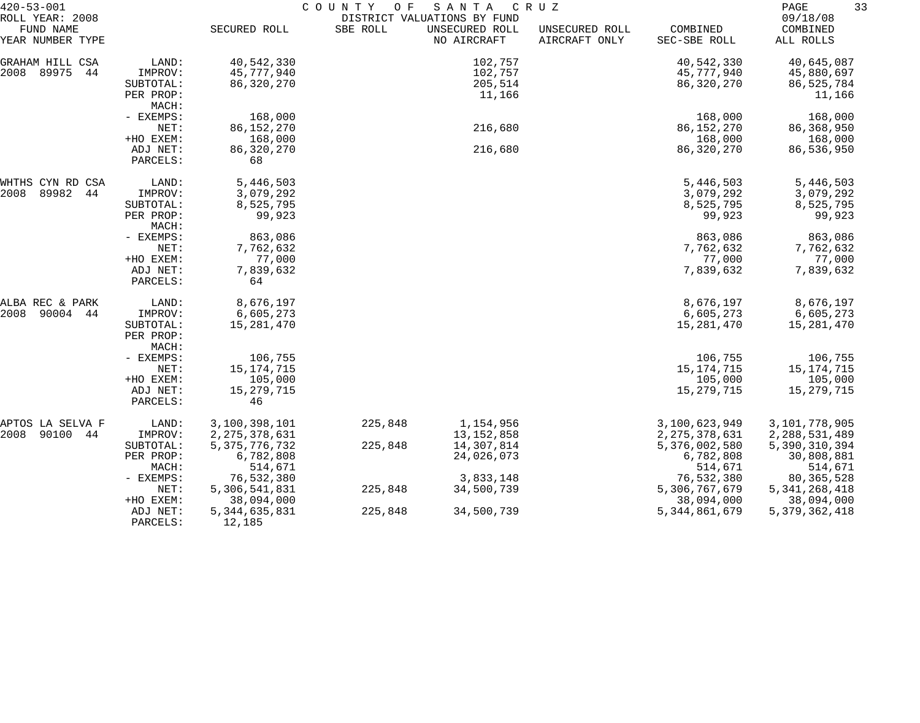| $420 - 53 - 001$                                 |                      | COUNTY<br>O F<br>SANTA<br>C R U Z<br>DISTRICT VALUATIONS BY FUND |          |                               |                                 |                          |                                   |
|--------------------------------------------------|----------------------|------------------------------------------------------------------|----------|-------------------------------|---------------------------------|--------------------------|-----------------------------------|
| ROLL YEAR: 2008<br>FUND NAME<br>YEAR NUMBER TYPE |                      | SECURED ROLL                                                     | SBE ROLL | UNSECURED ROLL<br>NO AIRCRAFT | UNSECURED ROLL<br>AIRCRAFT ONLY | COMBINED<br>SEC-SBE ROLL | 09/18/08<br>COMBINED<br>ALL ROLLS |
| GRAHAM HILL CSA                                  | LAND:                | 40,542,330                                                       |          | 102,757                       |                                 | 40,542,330               | 40,645,087                        |
| 2008<br>89975<br>44                              | IMPROV:              | 45,777,940                                                       |          | 102,757                       |                                 | 45,777,940               | 45,880,697                        |
|                                                  | SUBTOTAL:            | 86,320,270                                                       |          | 205,514                       |                                 | 86,320,270               | 86, 525, 784                      |
|                                                  | PER PROP:            |                                                                  |          | 11,166                        |                                 |                          | 11,166                            |
|                                                  | MACH:                |                                                                  |          |                               |                                 |                          |                                   |
|                                                  | - EXEMPS:            | 168,000                                                          |          |                               |                                 | 168,000                  | 168,000                           |
|                                                  | NET:                 | 86, 152, 270                                                     |          | 216,680                       |                                 | 86, 152, 270             | 86, 368, 950                      |
|                                                  | +HO EXEM:            | 168,000                                                          |          |                               |                                 | 168,000                  | 168,000                           |
|                                                  | ADJ NET:             | 86,320,270                                                       |          | 216,680                       |                                 | 86, 320, 270             | 86,536,950                        |
|                                                  | PARCELS:             | 68                                                               |          |                               |                                 |                          |                                   |
| WHTHS CYN RD CSA                                 | LAND:                | 5,446,503                                                        |          |                               |                                 | 5,446,503                | 5,446,503                         |
| 89982<br>2008<br>44                              | IMPROV:              | 3,079,292                                                        |          |                               |                                 | 3,079,292                | 3,079,292                         |
|                                                  | SUBTOTAL:            | 8,525,795                                                        |          |                               |                                 | 8,525,795                | 8,525,795                         |
|                                                  | PER PROP:<br>MACH:   | 99,923                                                           |          |                               |                                 | 99,923                   | 99,923                            |
|                                                  | - EXEMPS:            | 863,086                                                          |          |                               |                                 | 863,086                  | 863,086                           |
|                                                  | NET:                 | 7,762,632                                                        |          |                               |                                 | 7,762,632                | 7,762,632                         |
|                                                  | +HO EXEM:            | 77,000                                                           |          |                               |                                 | 77,000                   | 77,000                            |
|                                                  | ADJ NET:<br>PARCELS: | 7,839,632<br>64                                                  |          |                               |                                 | 7,839,632                | 7,839,632                         |
| ALBA REC & PARK                                  | LAND:                | 8,676,197                                                        |          |                               |                                 | 8,676,197                | 8,676,197                         |
| 2008<br>90004 44                                 | IMPROV:              | 6,605,273                                                        |          |                               |                                 | 6,605,273                | 6,605,273                         |
|                                                  | SUBTOTAL:            | 15,281,470                                                       |          |                               |                                 | 15,281,470               | 15,281,470                        |
|                                                  | PER PROP:            |                                                                  |          |                               |                                 |                          |                                   |
|                                                  | MACH:                |                                                                  |          |                               |                                 |                          |                                   |
|                                                  | - EXEMPS:            | 106,755                                                          |          |                               |                                 | 106,755                  | 106,755                           |
|                                                  | NET:                 | 15, 174, 715                                                     |          |                               |                                 | 15, 174, 715             | 15,174,715                        |
|                                                  | +HO EXEM:            | 105,000                                                          |          |                               |                                 | 105,000                  | 105,000                           |
|                                                  | ADJ NET:             | 15, 279, 715                                                     |          |                               |                                 | 15, 279, 715             | 15,279,715                        |
|                                                  | PARCELS:             | 46                                                               |          |                               |                                 |                          |                                   |
| APTOS LA SELVA F                                 | LAND:                | 3,100,398,101                                                    | 225,848  | 1,154,956                     |                                 | 3,100,623,949            | 3,101,778,905                     |
| 2008<br>90100 44                                 | IMPROV:              | 2, 275, 378, 631                                                 |          | 13, 152, 858                  |                                 | 2, 275, 378, 631         | 2,288,531,489                     |
|                                                  | SUBTOTAL:            | 5, 375, 776, 732                                                 | 225,848  | 14,307,814                    |                                 | 5,376,002,580            | 5,390,310,394                     |
|                                                  | PER PROP:            | 6,782,808                                                        |          | 24,026,073                    |                                 | 6,782,808                | 30,808,881                        |
|                                                  | MACH:                | 514,671                                                          |          |                               |                                 | 514,671                  | 514,671                           |
|                                                  | - EXEMPS:            | 76,532,380                                                       |          | 3,833,148                     |                                 | 76,532,380               | 80, 365, 528                      |
|                                                  | NET:                 | 5,306,541,831                                                    | 225,848  | 34,500,739                    |                                 | 5,306,767,679            | 5, 341, 268, 418                  |
|                                                  | +HO EXEM:            | 38,094,000                                                       |          |                               |                                 | 38,094,000               | 38,094,000                        |
|                                                  | ADJ NET:<br>PARCELS: | 5, 344, 635, 831<br>12,185                                       | 225,848  | 34,500,739                    |                                 | 5, 344, 861, 679         | 5, 379, 362, 418                  |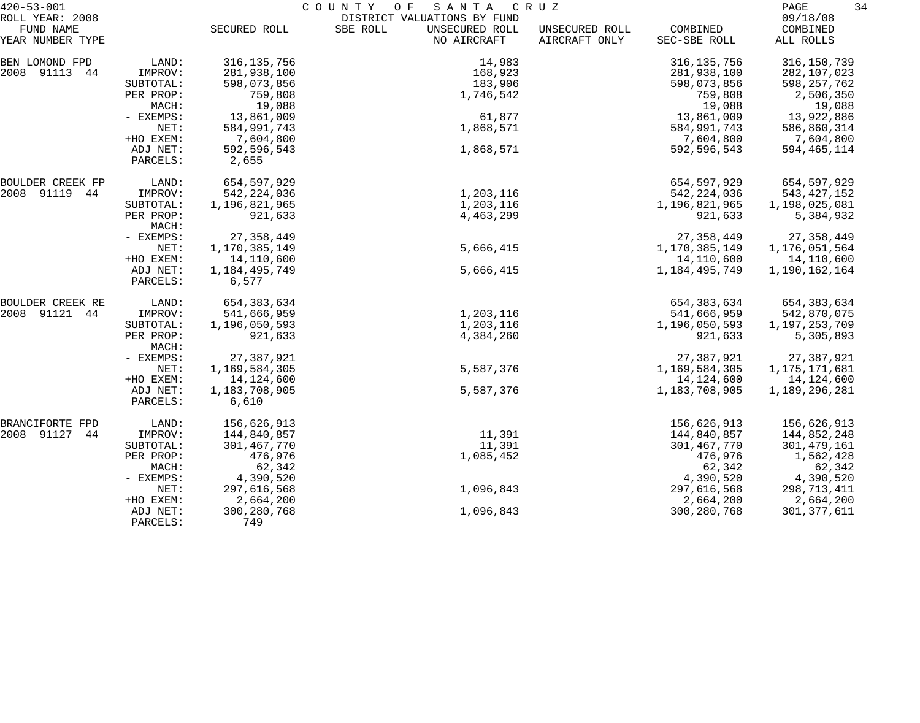| $420 - 53 - 001$                                 |                       |                            | COUNTY<br>O F<br>SANTA                                                   | C R U Z                         |                            | 34<br>PAGE                        |
|--------------------------------------------------|-----------------------|----------------------------|--------------------------------------------------------------------------|---------------------------------|----------------------------|-----------------------------------|
| ROLL YEAR: 2008<br>FUND NAME<br>YEAR NUMBER TYPE |                       | SECURED ROLL               | DISTRICT VALUATIONS BY FUND<br>SBE ROLL<br>UNSECURED ROLL<br>NO AIRCRAFT | UNSECURED ROLL<br>AIRCRAFT ONLY | COMBINED<br>SEC-SBE ROLL   | 09/18/08<br>COMBINED<br>ALL ROLLS |
|                                                  |                       |                            |                                                                          |                                 |                            |                                   |
| BEN LOMOND FPD                                   | LAND:                 | 316, 135, 756              | 14,983                                                                   |                                 | 316, 135, 756              | 316,150,739                       |
| 2008 91113 44                                    | IMPROV:<br>SUBTOTAL:  | 281,938,100<br>598,073,856 | 168,923<br>183,906                                                       |                                 | 281,938,100<br>598,073,856 | 282,107,023<br>598,257,762        |
|                                                  | PER PROP:             | 759,808                    | 1,746,542                                                                |                                 | 759,808                    | 2,506,350                         |
|                                                  | MACH:                 | 19,088                     |                                                                          |                                 | 19,088                     | 19,088                            |
|                                                  | - EXEMPS:             | 13,861,009                 | 61,877                                                                   |                                 | 13,861,009                 | 13,922,886                        |
|                                                  | NET:                  | 584,991,743                | 1,868,571                                                                |                                 | 584,991,743                | 586,860,314                       |
|                                                  | +HO EXEM:             | 7,604,800                  |                                                                          |                                 | 7,604,800                  | 7,604,800                         |
|                                                  | ADJ NET:              | 592,596,543                | 1,868,571                                                                |                                 | 592,596,543                | 594,465,114                       |
|                                                  | PARCELS:              | 2,655                      |                                                                          |                                 |                            |                                   |
| BOULDER CREEK FP                                 | LAND:                 | 654,597,929                |                                                                          |                                 | 654,597,929                | 654,597,929                       |
| 2008 91119 44                                    | IMPROV:               | 542, 224, 036              | 1,203,116                                                                |                                 | 542, 224, 036              | 543, 427, 152                     |
|                                                  | SUBTOTAL:             | 1,196,821,965              | 1,203,116                                                                |                                 | 1,196,821,965              | 1,198,025,081                     |
|                                                  | PER PROP:<br>MACH:    | 921,633                    | 4,463,299                                                                |                                 | 921,633                    | 5,384,932                         |
|                                                  | - EXEMPS:             | 27, 358, 449               |                                                                          |                                 | 27, 358, 449               | 27, 358, 449                      |
|                                                  | NET:                  | 1,170,385,149              | 5,666,415                                                                |                                 | 1,170,385,149              | 1,176,051,564                     |
|                                                  | +HO EXEM:             | 14,110,600                 |                                                                          |                                 | 14,110,600                 | 14,110,600                        |
|                                                  | ADJ NET:<br>PARCELS:  | 1, 184, 495, 749<br>6,577  | 5,666,415                                                                |                                 | 1,184,495,749              | 1,190,162,164                     |
| BOULDER CREEK RE                                 | LAND:                 | 654, 383, 634              |                                                                          |                                 | 654, 383, 634              | 654, 383, 634                     |
| 2008 91121 44                                    | IMPROV:               | 541,666,959                | 1,203,116                                                                |                                 | 541,666,959                | 542,870,075                       |
|                                                  | SUBTOTAL:             | 1,196,050,593              | 1,203,116                                                                |                                 | 1,196,050,593              | 1,197,253,709                     |
|                                                  | PER PROP:<br>MACH:    | 921,633                    | 4,384,260                                                                |                                 | 921,633                    | 5,305,893                         |
|                                                  | - EXEMPS:             | 27,387,921                 |                                                                          |                                 | 27,387,921                 | 27,387,921                        |
|                                                  | NET:                  | 1,169,584,305              | 5,587,376                                                                |                                 | 1,169,584,305              | 1, 175, 171, 681                  |
|                                                  | +HO EXEM:             | 14, 124, 600               |                                                                          |                                 | 14,124,600                 | 14,124,600                        |
|                                                  | ADJ NET:              | 1,183,708,905              | 5,587,376                                                                |                                 | 1,183,708,905              | 1,189,296,281                     |
|                                                  | PARCELS:              | 6,610                      |                                                                          |                                 |                            |                                   |
| BRANCIFORTE FPD                                  | LAND:                 | 156,626,913                |                                                                          |                                 | 156,626,913                | 156,626,913                       |
| 2008 91127<br>44                                 | IMPROV:               | 144,840,857                | 11,391                                                                   |                                 | 144,840,857                | 144,852,248                       |
|                                                  | SUBTOTAL:             | 301,467,770                | 11,391                                                                   |                                 | 301,467,770                | 301, 479, 161                     |
|                                                  | PER PROP:             | 476,976                    | 1,085,452                                                                |                                 | 476,976                    | 1,562,428                         |
|                                                  | MACH:                 | 62,342                     |                                                                          |                                 | 62,342                     | 62,342                            |
|                                                  | - EXEMPS:             | 4,390,520                  |                                                                          |                                 | 4,390,520                  | 4,390,520                         |
|                                                  | NET:                  | 297,616,568                | 1,096,843                                                                |                                 | 297,616,568                | 298,713,411                       |
|                                                  | +HO EXEM:<br>ADJ NET: | 2,664,200<br>300, 280, 768 | 1,096,843                                                                |                                 | 2,664,200<br>300,280,768   | 2,664,200<br>301, 377, 611        |
|                                                  | PARCELS:              | 749                        |                                                                          |                                 |                            |                                   |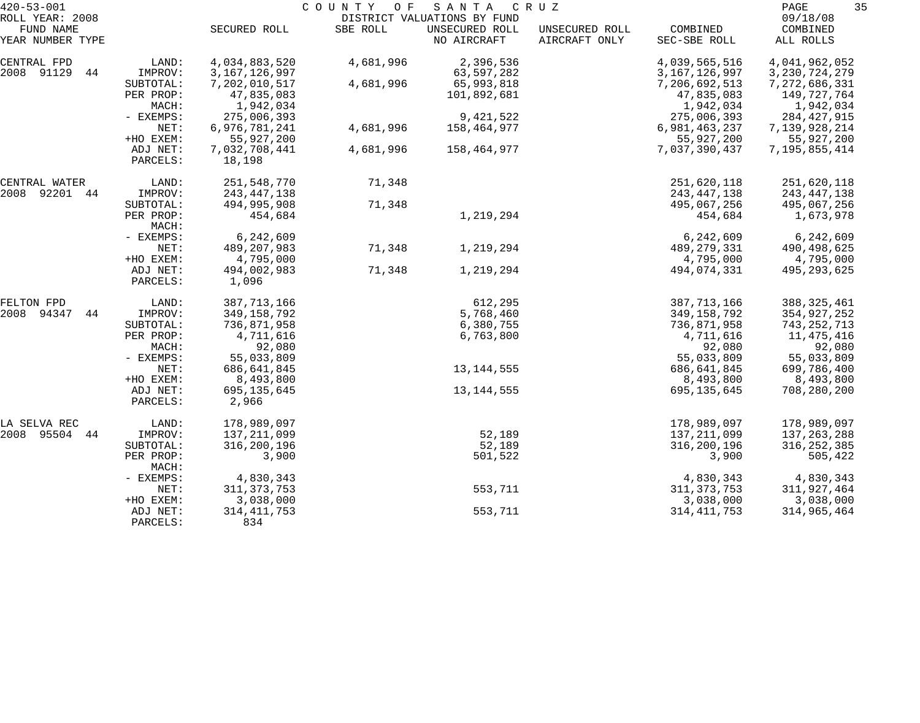| DISTRICT VALUATIONS BY FUND<br>FUND NAME<br>SBE ROLL<br>UNSECURED ROLL<br>COMBINED<br>SECURED ROLL<br>UNSECURED ROLL<br>COMBINED<br>YEAR NUMBER TYPE<br>NO AIRCRAFT<br>AIRCRAFT ONLY<br>SEC-SBE ROLL<br>ALL ROLLS<br>4,034,883,520<br>4,681,996<br>2,396,536<br>4,039,565,516<br>4,041,962,052<br>LAND:<br>2008 91129<br>3, 167, 126, 997<br>63,597,282<br>3, 167, 126, 997<br>44<br>IMPROV:<br>3, 230, 724, 279<br>7,202,010,517<br>65,993,818<br>7,206,692,513<br>7,272,686,331<br>SUBTOTAL:<br>4,681,996<br>47,835,083<br>PER PROP:<br>101,892,681<br>47,835,083<br>149,727,764<br>1,942,034<br>1,942,034<br>MACH:<br>1,942,034<br>275,006,393<br>9,421,522<br>- EXEMPS:<br>275,006,393<br>284, 427, 915<br>6,976,781,241<br>NET:<br>4,681,996<br>158,464,977<br>6,981,463,237<br>7,139,928,214<br>55,927,200<br>+HO EXEM:<br>55,927,200<br>55,927,200<br>7,032,708,441<br>7,037,390,437<br>ADJ NET:<br>4,681,996<br>158,464,977<br>7,195,855,414<br>18,198<br>PARCELS:<br>251,548,770<br>71,348<br>251,620,118<br>251,620,118<br>LAND:<br>CENTRAL WATER<br>2008 92201 44<br>243, 447, 138<br>IMPROV:<br>243, 447, 138<br>243, 447, 138<br>494,995,908<br>71,348<br>SUBTOTAL:<br>495,067,256<br>495,067,256<br>1,219,294<br>PER PROP:<br>454,684<br>1,673,978<br>454,684<br>MACH:<br>6,242,609<br>6,242,609<br>6,242,609<br>- EXEMPS:<br>71,348<br>489, 207, 983<br>1,219,294<br>489, 279, 331<br>NET:<br>490, 498, 625<br>+HO EXEM:<br>4,795,000<br>4,795,000<br>4,795,000<br>71,348<br>494,002,983<br>1,219,294<br>494,074,331<br>ADJ NET:<br>495, 293, 625<br>PARCELS:<br>1,096<br>612,295<br>387, 713, 166<br>387, 713, 166<br>LAND:<br>388, 325, 461<br>94347<br>349,158,792<br>5,768,460<br>44<br>IMPROV:<br>349,158,792<br>354,927,252<br>736,871,958<br>6,380,755<br>736,871,958<br>743,252,713<br>SUBTOTAL:<br>4,711,616<br>PER PROP:<br>6,763,800<br>4,711,616<br>11,475,416<br>92,080<br>MACH:<br>92,080<br>92,080<br>55,033,809<br>- EXEMPS:<br>55,033,809<br>55,033,809<br>13, 144, 555<br>NET:<br>686,641,845<br>686, 641, 845<br>699,786,400<br>+HO EXEM:<br>8,493,800<br>8,493,800<br>8,493,800<br>13, 144, 555<br>695, 135, 645<br>695, 135, 645<br>708,280,200<br>ADJ NET:<br>2,966<br>PARCELS:<br>LAND:<br>178,989,097<br>178,989,097<br>178,989,097<br>44<br>IMPROV:<br>137, 211, 099<br>52,189<br>137, 211, 099<br>137, 263, 288<br>316,200,196<br>52,189<br>316,200,196<br>316, 252, 385<br>SUBTOTAL:<br>3,900<br>501,522<br>3,900<br>505,422<br>PER PROP:<br>MACH:<br>4,830,343<br>4,830,343<br>4,830,343<br>- EXEMPS:<br>553,711<br>311, 373, 753<br>311, 373, 753<br>311,927,464<br>NET:<br>3,038,000<br>3,038,000<br>3,038,000<br>+HO EXEM:<br>314, 411, 753<br>553,711<br>314, 411, 753<br>314,965,464<br>ADJ NET:<br>834<br>PARCELS: | $420 - 53 - 001$ |  | SANTA | COUNTY OF<br>C R U Z |  |          |  |  |  |
|---------------------------------------------------------------------------------------------------------------------------------------------------------------------------------------------------------------------------------------------------------------------------------------------------------------------------------------------------------------------------------------------------------------------------------------------------------------------------------------------------------------------------------------------------------------------------------------------------------------------------------------------------------------------------------------------------------------------------------------------------------------------------------------------------------------------------------------------------------------------------------------------------------------------------------------------------------------------------------------------------------------------------------------------------------------------------------------------------------------------------------------------------------------------------------------------------------------------------------------------------------------------------------------------------------------------------------------------------------------------------------------------------------------------------------------------------------------------------------------------------------------------------------------------------------------------------------------------------------------------------------------------------------------------------------------------------------------------------------------------------------------------------------------------------------------------------------------------------------------------------------------------------------------------------------------------------------------------------------------------------------------------------------------------------------------------------------------------------------------------------------------------------------------------------------------------------------------------------------------------------------------------------------------------------------------------------------------------------------------------------------------------------------------------------------------------------------------------------------------------------------------------------------------------------------------------------------------------------------------------------------------------------------------------------------------------------------------------------------------------------------------------|------------------|--|-------|----------------------|--|----------|--|--|--|
|                                                                                                                                                                                                                                                                                                                                                                                                                                                                                                                                                                                                                                                                                                                                                                                                                                                                                                                                                                                                                                                                                                                                                                                                                                                                                                                                                                                                                                                                                                                                                                                                                                                                                                                                                                                                                                                                                                                                                                                                                                                                                                                                                                                                                                                                                                                                                                                                                                                                                                                                                                                                                                                                                                                                                                     | ROLL YEAR: 2008  |  |       |                      |  | 09/18/08 |  |  |  |
|                                                                                                                                                                                                                                                                                                                                                                                                                                                                                                                                                                                                                                                                                                                                                                                                                                                                                                                                                                                                                                                                                                                                                                                                                                                                                                                                                                                                                                                                                                                                                                                                                                                                                                                                                                                                                                                                                                                                                                                                                                                                                                                                                                                                                                                                                                                                                                                                                                                                                                                                                                                                                                                                                                                                                                     |                  |  |       |                      |  |          |  |  |  |
|                                                                                                                                                                                                                                                                                                                                                                                                                                                                                                                                                                                                                                                                                                                                                                                                                                                                                                                                                                                                                                                                                                                                                                                                                                                                                                                                                                                                                                                                                                                                                                                                                                                                                                                                                                                                                                                                                                                                                                                                                                                                                                                                                                                                                                                                                                                                                                                                                                                                                                                                                                                                                                                                                                                                                                     |                  |  |       |                      |  |          |  |  |  |
|                                                                                                                                                                                                                                                                                                                                                                                                                                                                                                                                                                                                                                                                                                                                                                                                                                                                                                                                                                                                                                                                                                                                                                                                                                                                                                                                                                                                                                                                                                                                                                                                                                                                                                                                                                                                                                                                                                                                                                                                                                                                                                                                                                                                                                                                                                                                                                                                                                                                                                                                                                                                                                                                                                                                                                     | CENTRAL FPD      |  |       |                      |  |          |  |  |  |
|                                                                                                                                                                                                                                                                                                                                                                                                                                                                                                                                                                                                                                                                                                                                                                                                                                                                                                                                                                                                                                                                                                                                                                                                                                                                                                                                                                                                                                                                                                                                                                                                                                                                                                                                                                                                                                                                                                                                                                                                                                                                                                                                                                                                                                                                                                                                                                                                                                                                                                                                                                                                                                                                                                                                                                     |                  |  |       |                      |  |          |  |  |  |
|                                                                                                                                                                                                                                                                                                                                                                                                                                                                                                                                                                                                                                                                                                                                                                                                                                                                                                                                                                                                                                                                                                                                                                                                                                                                                                                                                                                                                                                                                                                                                                                                                                                                                                                                                                                                                                                                                                                                                                                                                                                                                                                                                                                                                                                                                                                                                                                                                                                                                                                                                                                                                                                                                                                                                                     |                  |  |       |                      |  |          |  |  |  |
|                                                                                                                                                                                                                                                                                                                                                                                                                                                                                                                                                                                                                                                                                                                                                                                                                                                                                                                                                                                                                                                                                                                                                                                                                                                                                                                                                                                                                                                                                                                                                                                                                                                                                                                                                                                                                                                                                                                                                                                                                                                                                                                                                                                                                                                                                                                                                                                                                                                                                                                                                                                                                                                                                                                                                                     |                  |  |       |                      |  |          |  |  |  |
|                                                                                                                                                                                                                                                                                                                                                                                                                                                                                                                                                                                                                                                                                                                                                                                                                                                                                                                                                                                                                                                                                                                                                                                                                                                                                                                                                                                                                                                                                                                                                                                                                                                                                                                                                                                                                                                                                                                                                                                                                                                                                                                                                                                                                                                                                                                                                                                                                                                                                                                                                                                                                                                                                                                                                                     |                  |  |       |                      |  |          |  |  |  |
|                                                                                                                                                                                                                                                                                                                                                                                                                                                                                                                                                                                                                                                                                                                                                                                                                                                                                                                                                                                                                                                                                                                                                                                                                                                                                                                                                                                                                                                                                                                                                                                                                                                                                                                                                                                                                                                                                                                                                                                                                                                                                                                                                                                                                                                                                                                                                                                                                                                                                                                                                                                                                                                                                                                                                                     |                  |  |       |                      |  |          |  |  |  |
|                                                                                                                                                                                                                                                                                                                                                                                                                                                                                                                                                                                                                                                                                                                                                                                                                                                                                                                                                                                                                                                                                                                                                                                                                                                                                                                                                                                                                                                                                                                                                                                                                                                                                                                                                                                                                                                                                                                                                                                                                                                                                                                                                                                                                                                                                                                                                                                                                                                                                                                                                                                                                                                                                                                                                                     |                  |  |       |                      |  |          |  |  |  |
|                                                                                                                                                                                                                                                                                                                                                                                                                                                                                                                                                                                                                                                                                                                                                                                                                                                                                                                                                                                                                                                                                                                                                                                                                                                                                                                                                                                                                                                                                                                                                                                                                                                                                                                                                                                                                                                                                                                                                                                                                                                                                                                                                                                                                                                                                                                                                                                                                                                                                                                                                                                                                                                                                                                                                                     |                  |  |       |                      |  |          |  |  |  |
|                                                                                                                                                                                                                                                                                                                                                                                                                                                                                                                                                                                                                                                                                                                                                                                                                                                                                                                                                                                                                                                                                                                                                                                                                                                                                                                                                                                                                                                                                                                                                                                                                                                                                                                                                                                                                                                                                                                                                                                                                                                                                                                                                                                                                                                                                                                                                                                                                                                                                                                                                                                                                                                                                                                                                                     |                  |  |       |                      |  |          |  |  |  |
|                                                                                                                                                                                                                                                                                                                                                                                                                                                                                                                                                                                                                                                                                                                                                                                                                                                                                                                                                                                                                                                                                                                                                                                                                                                                                                                                                                                                                                                                                                                                                                                                                                                                                                                                                                                                                                                                                                                                                                                                                                                                                                                                                                                                                                                                                                                                                                                                                                                                                                                                                                                                                                                                                                                                                                     |                  |  |       |                      |  |          |  |  |  |
|                                                                                                                                                                                                                                                                                                                                                                                                                                                                                                                                                                                                                                                                                                                                                                                                                                                                                                                                                                                                                                                                                                                                                                                                                                                                                                                                                                                                                                                                                                                                                                                                                                                                                                                                                                                                                                                                                                                                                                                                                                                                                                                                                                                                                                                                                                                                                                                                                                                                                                                                                                                                                                                                                                                                                                     |                  |  |       |                      |  |          |  |  |  |
|                                                                                                                                                                                                                                                                                                                                                                                                                                                                                                                                                                                                                                                                                                                                                                                                                                                                                                                                                                                                                                                                                                                                                                                                                                                                                                                                                                                                                                                                                                                                                                                                                                                                                                                                                                                                                                                                                                                                                                                                                                                                                                                                                                                                                                                                                                                                                                                                                                                                                                                                                                                                                                                                                                                                                                     |                  |  |       |                      |  |          |  |  |  |
|                                                                                                                                                                                                                                                                                                                                                                                                                                                                                                                                                                                                                                                                                                                                                                                                                                                                                                                                                                                                                                                                                                                                                                                                                                                                                                                                                                                                                                                                                                                                                                                                                                                                                                                                                                                                                                                                                                                                                                                                                                                                                                                                                                                                                                                                                                                                                                                                                                                                                                                                                                                                                                                                                                                                                                     |                  |  |       |                      |  |          |  |  |  |
|                                                                                                                                                                                                                                                                                                                                                                                                                                                                                                                                                                                                                                                                                                                                                                                                                                                                                                                                                                                                                                                                                                                                                                                                                                                                                                                                                                                                                                                                                                                                                                                                                                                                                                                                                                                                                                                                                                                                                                                                                                                                                                                                                                                                                                                                                                                                                                                                                                                                                                                                                                                                                                                                                                                                                                     |                  |  |       |                      |  |          |  |  |  |
|                                                                                                                                                                                                                                                                                                                                                                                                                                                                                                                                                                                                                                                                                                                                                                                                                                                                                                                                                                                                                                                                                                                                                                                                                                                                                                                                                                                                                                                                                                                                                                                                                                                                                                                                                                                                                                                                                                                                                                                                                                                                                                                                                                                                                                                                                                                                                                                                                                                                                                                                                                                                                                                                                                                                                                     |                  |  |       |                      |  |          |  |  |  |
|                                                                                                                                                                                                                                                                                                                                                                                                                                                                                                                                                                                                                                                                                                                                                                                                                                                                                                                                                                                                                                                                                                                                                                                                                                                                                                                                                                                                                                                                                                                                                                                                                                                                                                                                                                                                                                                                                                                                                                                                                                                                                                                                                                                                                                                                                                                                                                                                                                                                                                                                                                                                                                                                                                                                                                     |                  |  |       |                      |  |          |  |  |  |
|                                                                                                                                                                                                                                                                                                                                                                                                                                                                                                                                                                                                                                                                                                                                                                                                                                                                                                                                                                                                                                                                                                                                                                                                                                                                                                                                                                                                                                                                                                                                                                                                                                                                                                                                                                                                                                                                                                                                                                                                                                                                                                                                                                                                                                                                                                                                                                                                                                                                                                                                                                                                                                                                                                                                                                     |                  |  |       |                      |  |          |  |  |  |
|                                                                                                                                                                                                                                                                                                                                                                                                                                                                                                                                                                                                                                                                                                                                                                                                                                                                                                                                                                                                                                                                                                                                                                                                                                                                                                                                                                                                                                                                                                                                                                                                                                                                                                                                                                                                                                                                                                                                                                                                                                                                                                                                                                                                                                                                                                                                                                                                                                                                                                                                                                                                                                                                                                                                                                     |                  |  |       |                      |  |          |  |  |  |
|                                                                                                                                                                                                                                                                                                                                                                                                                                                                                                                                                                                                                                                                                                                                                                                                                                                                                                                                                                                                                                                                                                                                                                                                                                                                                                                                                                                                                                                                                                                                                                                                                                                                                                                                                                                                                                                                                                                                                                                                                                                                                                                                                                                                                                                                                                                                                                                                                                                                                                                                                                                                                                                                                                                                                                     |                  |  |       |                      |  |          |  |  |  |
|                                                                                                                                                                                                                                                                                                                                                                                                                                                                                                                                                                                                                                                                                                                                                                                                                                                                                                                                                                                                                                                                                                                                                                                                                                                                                                                                                                                                                                                                                                                                                                                                                                                                                                                                                                                                                                                                                                                                                                                                                                                                                                                                                                                                                                                                                                                                                                                                                                                                                                                                                                                                                                                                                                                                                                     |                  |  |       |                      |  |          |  |  |  |
|                                                                                                                                                                                                                                                                                                                                                                                                                                                                                                                                                                                                                                                                                                                                                                                                                                                                                                                                                                                                                                                                                                                                                                                                                                                                                                                                                                                                                                                                                                                                                                                                                                                                                                                                                                                                                                                                                                                                                                                                                                                                                                                                                                                                                                                                                                                                                                                                                                                                                                                                                                                                                                                                                                                                                                     |                  |  |       |                      |  |          |  |  |  |
|                                                                                                                                                                                                                                                                                                                                                                                                                                                                                                                                                                                                                                                                                                                                                                                                                                                                                                                                                                                                                                                                                                                                                                                                                                                                                                                                                                                                                                                                                                                                                                                                                                                                                                                                                                                                                                                                                                                                                                                                                                                                                                                                                                                                                                                                                                                                                                                                                                                                                                                                                                                                                                                                                                                                                                     |                  |  |       |                      |  |          |  |  |  |
|                                                                                                                                                                                                                                                                                                                                                                                                                                                                                                                                                                                                                                                                                                                                                                                                                                                                                                                                                                                                                                                                                                                                                                                                                                                                                                                                                                                                                                                                                                                                                                                                                                                                                                                                                                                                                                                                                                                                                                                                                                                                                                                                                                                                                                                                                                                                                                                                                                                                                                                                                                                                                                                                                                                                                                     | FELTON FPD       |  |       |                      |  |          |  |  |  |
|                                                                                                                                                                                                                                                                                                                                                                                                                                                                                                                                                                                                                                                                                                                                                                                                                                                                                                                                                                                                                                                                                                                                                                                                                                                                                                                                                                                                                                                                                                                                                                                                                                                                                                                                                                                                                                                                                                                                                                                                                                                                                                                                                                                                                                                                                                                                                                                                                                                                                                                                                                                                                                                                                                                                                                     | 2008             |  |       |                      |  |          |  |  |  |
|                                                                                                                                                                                                                                                                                                                                                                                                                                                                                                                                                                                                                                                                                                                                                                                                                                                                                                                                                                                                                                                                                                                                                                                                                                                                                                                                                                                                                                                                                                                                                                                                                                                                                                                                                                                                                                                                                                                                                                                                                                                                                                                                                                                                                                                                                                                                                                                                                                                                                                                                                                                                                                                                                                                                                                     |                  |  |       |                      |  |          |  |  |  |
|                                                                                                                                                                                                                                                                                                                                                                                                                                                                                                                                                                                                                                                                                                                                                                                                                                                                                                                                                                                                                                                                                                                                                                                                                                                                                                                                                                                                                                                                                                                                                                                                                                                                                                                                                                                                                                                                                                                                                                                                                                                                                                                                                                                                                                                                                                                                                                                                                                                                                                                                                                                                                                                                                                                                                                     |                  |  |       |                      |  |          |  |  |  |
|                                                                                                                                                                                                                                                                                                                                                                                                                                                                                                                                                                                                                                                                                                                                                                                                                                                                                                                                                                                                                                                                                                                                                                                                                                                                                                                                                                                                                                                                                                                                                                                                                                                                                                                                                                                                                                                                                                                                                                                                                                                                                                                                                                                                                                                                                                                                                                                                                                                                                                                                                                                                                                                                                                                                                                     |                  |  |       |                      |  |          |  |  |  |
|                                                                                                                                                                                                                                                                                                                                                                                                                                                                                                                                                                                                                                                                                                                                                                                                                                                                                                                                                                                                                                                                                                                                                                                                                                                                                                                                                                                                                                                                                                                                                                                                                                                                                                                                                                                                                                                                                                                                                                                                                                                                                                                                                                                                                                                                                                                                                                                                                                                                                                                                                                                                                                                                                                                                                                     |                  |  |       |                      |  |          |  |  |  |
|                                                                                                                                                                                                                                                                                                                                                                                                                                                                                                                                                                                                                                                                                                                                                                                                                                                                                                                                                                                                                                                                                                                                                                                                                                                                                                                                                                                                                                                                                                                                                                                                                                                                                                                                                                                                                                                                                                                                                                                                                                                                                                                                                                                                                                                                                                                                                                                                                                                                                                                                                                                                                                                                                                                                                                     |                  |  |       |                      |  |          |  |  |  |
|                                                                                                                                                                                                                                                                                                                                                                                                                                                                                                                                                                                                                                                                                                                                                                                                                                                                                                                                                                                                                                                                                                                                                                                                                                                                                                                                                                                                                                                                                                                                                                                                                                                                                                                                                                                                                                                                                                                                                                                                                                                                                                                                                                                                                                                                                                                                                                                                                                                                                                                                                                                                                                                                                                                                                                     |                  |  |       |                      |  |          |  |  |  |
|                                                                                                                                                                                                                                                                                                                                                                                                                                                                                                                                                                                                                                                                                                                                                                                                                                                                                                                                                                                                                                                                                                                                                                                                                                                                                                                                                                                                                                                                                                                                                                                                                                                                                                                                                                                                                                                                                                                                                                                                                                                                                                                                                                                                                                                                                                                                                                                                                                                                                                                                                                                                                                                                                                                                                                     |                  |  |       |                      |  |          |  |  |  |
|                                                                                                                                                                                                                                                                                                                                                                                                                                                                                                                                                                                                                                                                                                                                                                                                                                                                                                                                                                                                                                                                                                                                                                                                                                                                                                                                                                                                                                                                                                                                                                                                                                                                                                                                                                                                                                                                                                                                                                                                                                                                                                                                                                                                                                                                                                                                                                                                                                                                                                                                                                                                                                                                                                                                                                     |                  |  |       |                      |  |          |  |  |  |
|                                                                                                                                                                                                                                                                                                                                                                                                                                                                                                                                                                                                                                                                                                                                                                                                                                                                                                                                                                                                                                                                                                                                                                                                                                                                                                                                                                                                                                                                                                                                                                                                                                                                                                                                                                                                                                                                                                                                                                                                                                                                                                                                                                                                                                                                                                                                                                                                                                                                                                                                                                                                                                                                                                                                                                     |                  |  |       |                      |  |          |  |  |  |
|                                                                                                                                                                                                                                                                                                                                                                                                                                                                                                                                                                                                                                                                                                                                                                                                                                                                                                                                                                                                                                                                                                                                                                                                                                                                                                                                                                                                                                                                                                                                                                                                                                                                                                                                                                                                                                                                                                                                                                                                                                                                                                                                                                                                                                                                                                                                                                                                                                                                                                                                                                                                                                                                                                                                                                     | LA SELVA REC     |  |       |                      |  |          |  |  |  |
|                                                                                                                                                                                                                                                                                                                                                                                                                                                                                                                                                                                                                                                                                                                                                                                                                                                                                                                                                                                                                                                                                                                                                                                                                                                                                                                                                                                                                                                                                                                                                                                                                                                                                                                                                                                                                                                                                                                                                                                                                                                                                                                                                                                                                                                                                                                                                                                                                                                                                                                                                                                                                                                                                                                                                                     | 2008 95504       |  |       |                      |  |          |  |  |  |
|                                                                                                                                                                                                                                                                                                                                                                                                                                                                                                                                                                                                                                                                                                                                                                                                                                                                                                                                                                                                                                                                                                                                                                                                                                                                                                                                                                                                                                                                                                                                                                                                                                                                                                                                                                                                                                                                                                                                                                                                                                                                                                                                                                                                                                                                                                                                                                                                                                                                                                                                                                                                                                                                                                                                                                     |                  |  |       |                      |  |          |  |  |  |
|                                                                                                                                                                                                                                                                                                                                                                                                                                                                                                                                                                                                                                                                                                                                                                                                                                                                                                                                                                                                                                                                                                                                                                                                                                                                                                                                                                                                                                                                                                                                                                                                                                                                                                                                                                                                                                                                                                                                                                                                                                                                                                                                                                                                                                                                                                                                                                                                                                                                                                                                                                                                                                                                                                                                                                     |                  |  |       |                      |  |          |  |  |  |
|                                                                                                                                                                                                                                                                                                                                                                                                                                                                                                                                                                                                                                                                                                                                                                                                                                                                                                                                                                                                                                                                                                                                                                                                                                                                                                                                                                                                                                                                                                                                                                                                                                                                                                                                                                                                                                                                                                                                                                                                                                                                                                                                                                                                                                                                                                                                                                                                                                                                                                                                                                                                                                                                                                                                                                     |                  |  |       |                      |  |          |  |  |  |
|                                                                                                                                                                                                                                                                                                                                                                                                                                                                                                                                                                                                                                                                                                                                                                                                                                                                                                                                                                                                                                                                                                                                                                                                                                                                                                                                                                                                                                                                                                                                                                                                                                                                                                                                                                                                                                                                                                                                                                                                                                                                                                                                                                                                                                                                                                                                                                                                                                                                                                                                                                                                                                                                                                                                                                     |                  |  |       |                      |  |          |  |  |  |
|                                                                                                                                                                                                                                                                                                                                                                                                                                                                                                                                                                                                                                                                                                                                                                                                                                                                                                                                                                                                                                                                                                                                                                                                                                                                                                                                                                                                                                                                                                                                                                                                                                                                                                                                                                                                                                                                                                                                                                                                                                                                                                                                                                                                                                                                                                                                                                                                                                                                                                                                                                                                                                                                                                                                                                     |                  |  |       |                      |  |          |  |  |  |
|                                                                                                                                                                                                                                                                                                                                                                                                                                                                                                                                                                                                                                                                                                                                                                                                                                                                                                                                                                                                                                                                                                                                                                                                                                                                                                                                                                                                                                                                                                                                                                                                                                                                                                                                                                                                                                                                                                                                                                                                                                                                                                                                                                                                                                                                                                                                                                                                                                                                                                                                                                                                                                                                                                                                                                     |                  |  |       |                      |  |          |  |  |  |
|                                                                                                                                                                                                                                                                                                                                                                                                                                                                                                                                                                                                                                                                                                                                                                                                                                                                                                                                                                                                                                                                                                                                                                                                                                                                                                                                                                                                                                                                                                                                                                                                                                                                                                                                                                                                                                                                                                                                                                                                                                                                                                                                                                                                                                                                                                                                                                                                                                                                                                                                                                                                                                                                                                                                                                     |                  |  |       |                      |  |          |  |  |  |
|                                                                                                                                                                                                                                                                                                                                                                                                                                                                                                                                                                                                                                                                                                                                                                                                                                                                                                                                                                                                                                                                                                                                                                                                                                                                                                                                                                                                                                                                                                                                                                                                                                                                                                                                                                                                                                                                                                                                                                                                                                                                                                                                                                                                                                                                                                                                                                                                                                                                                                                                                                                                                                                                                                                                                                     |                  |  |       |                      |  |          |  |  |  |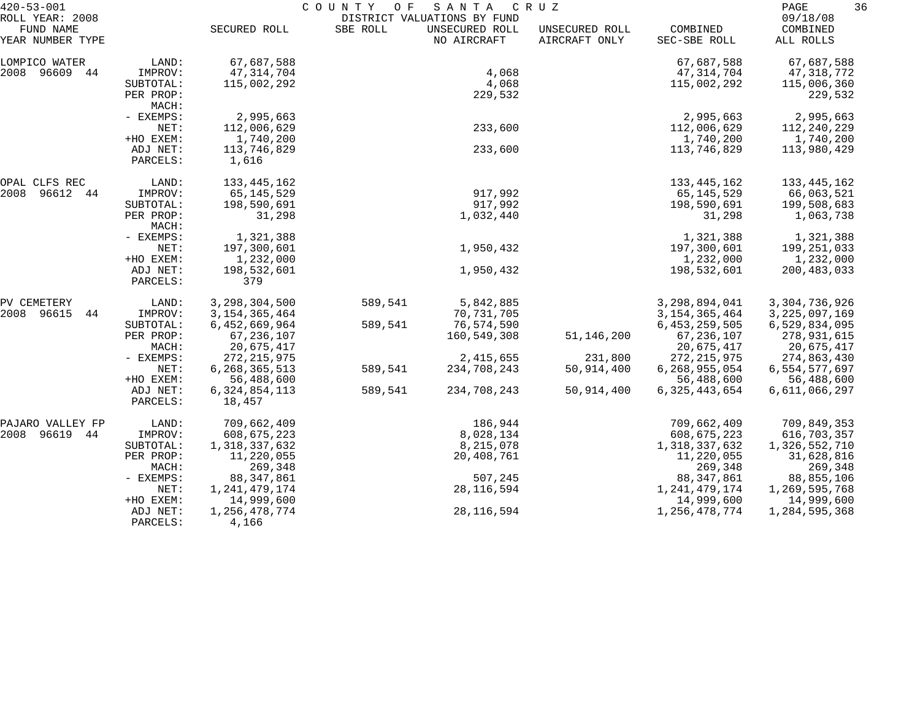| $420 - 53 - 001$              |                                 | COUNTY<br>SANTA<br>O F<br>C R U Z |          |                                               |                                 |                          |                       | 36 |
|-------------------------------|---------------------------------|-----------------------------------|----------|-----------------------------------------------|---------------------------------|--------------------------|-----------------------|----|
| ROLL YEAR: 2008               |                                 |                                   |          | DISTRICT VALUATIONS BY FUND<br>UNSECURED ROLL |                                 |                          | 09/18/08              |    |
| FUND NAME<br>YEAR NUMBER TYPE |                                 | SECURED ROLL                      | SBE ROLL | NO AIRCRAFT                                   | UNSECURED ROLL<br>AIRCRAFT ONLY | COMBINED<br>SEC-SBE ROLL | COMBINED<br>ALL ROLLS |    |
| LOMPICO WATER                 | LAND:                           | 67,687,588                        |          |                                               |                                 | 67,687,588               | 67,687,588            |    |
| 2008 96609 44                 | IMPROV:                         | 47, 314, 704                      |          | 4,068                                         |                                 | 47, 314, 704             | 47,318,772            |    |
|                               | SUBTOTAL:                       | 115,002,292                       |          | 4,068                                         |                                 | 115,002,292              | 115,006,360           |    |
|                               | PER PROP:<br>MACH:              |                                   |          | 229,532                                       |                                 |                          | 229,532               |    |
|                               | - EXEMPS:                       | 2,995,663                         |          |                                               |                                 | 2,995,663                | 2,995,663             |    |
|                               | NET:                            | 112,006,629                       |          | 233,600                                       |                                 | 112,006,629              | 112,240,229           |    |
|                               | +HO EXEM:                       | 1,740,200                         |          |                                               |                                 | 1,740,200                | 1,740,200             |    |
|                               | ADJ NET:<br>PARCELS:            | 113,746,829<br>1,616              |          | 233,600                                       |                                 | 113,746,829              | 113,980,429           |    |
| OPAL CLFS REC                 | LAND:                           | 133, 445, 162                     |          |                                               |                                 | 133, 445, 162            | 133,445,162           |    |
| 2008<br>96612 44              | IMPROV:                         | 65, 145, 529                      |          | 917,992                                       |                                 | 65,145,529               | 66,063,521            |    |
|                               | SUBTOTAL:                       | 198,590,691                       |          | 917,992                                       |                                 | 198,590,691              | 199,508,683           |    |
|                               | PER PROP:<br>MACH:<br>- EXEMPS: | 31,298                            |          | 1,032,440                                     |                                 | 31,298                   | 1,063,738             |    |
|                               |                                 | 1,321,388                         |          |                                               |                                 | 1,321,388                | 1,321,388             |    |
|                               | NET:                            | 197,300,601                       |          | 1,950,432                                     |                                 | 197,300,601              | 199,251,033           |    |
| +HO EXEM:<br>ADJ NET:         | 1,232,000                       |                                   |          |                                               | 1,232,000                       | 1,232,000                |                       |    |
|                               | PARCELS:                        | 198,532,601<br>379                |          | 1,950,432                                     |                                 | 198,532,601              | 200, 483, 033         |    |
| PV CEMETERY                   | LAND:                           | 3, 298, 304, 500                  | 589,541  | 5,842,885                                     |                                 | 3,298,894,041            | 3,304,736,926         |    |
| 2008 96615<br>44              | IMPROV:                         | 3, 154, 365, 464                  |          | 70,731,705                                    |                                 | 3, 154, 365, 464         | 3, 225, 097, 169      |    |
|                               | SUBTOTAL:                       | 6,452,669,964                     | 589,541  | 76,574,590                                    |                                 | 6, 453, 259, 505         | 6,529,834,095         |    |
|                               | PER PROP:                       | 67, 236, 107                      |          | 160,549,308                                   | 51,146,200                      | 67, 236, 107             | 278,931,615           |    |
|                               | MACH:                           | 20,675,417                        |          |                                               |                                 | 20,675,417               | 20,675,417            |    |
|                               | - EXEMPS:                       | 272, 215, 975                     |          | 2, 415, 655                                   | 231,800                         | 272, 215, 975            | 274,863,430           |    |
|                               | NET:                            | 6, 268, 365, 513                  | 589,541  | 234,708,243                                   | 50,914,400                      | 6,268,955,054            | 6,554,577,697         |    |
|                               | +HO EXEM:                       | 56,488,600                        |          |                                               |                                 | 56,488,600               | 56,488,600            |    |
|                               | ADJ NET:<br>PARCELS:            | 6, 324, 854, 113<br>18,457        | 589,541  | 234,708,243                                   | 50,914,400                      | 6, 325, 443, 654         | 6,611,066,297         |    |
| PAJARO VALLEY FP              | LAND:                           | 709,662,409                       |          | 186,944                                       |                                 | 709,662,409              | 709,849,353           |    |
| 2008<br>96619 44              | IMPROV:                         | 608,675,223                       |          | 8,028,134                                     |                                 | 608,675,223              | 616,703,357           |    |
|                               | SUBTOTAL:                       | 1,318,337,632                     |          | 8,215,078                                     |                                 | 1,318,337,632            | 1,326,552,710         |    |
|                               | PER PROP:                       | 11,220,055                        |          | 20,408,761                                    |                                 | 11,220,055               | 31,628,816            |    |
|                               | MACH:                           | 269,348                           |          |                                               |                                 | 269,348                  | 269,348               |    |
|                               | - EXEMPS:                       | 88, 347, 861                      |          | 507,245                                       |                                 | 88, 347, 861             | 88,855,106            |    |
|                               | NET:                            | 1, 241, 479, 174                  |          | 28, 116, 594                                  |                                 | 1, 241, 479, 174         | 1,269,595,768         |    |
|                               | +HO EXEM:                       | 14,999,600                        |          |                                               |                                 | 14,999,600               | 14,999,600            |    |
|                               | ADJ NET:<br>PARCELS:            | 1, 256, 478, 774<br>4,166         |          | 28, 116, 594                                  |                                 | 1,256,478,774            | 1,284,595,368         |    |
|                               |                                 |                                   |          |                                               |                                 |                          |                       |    |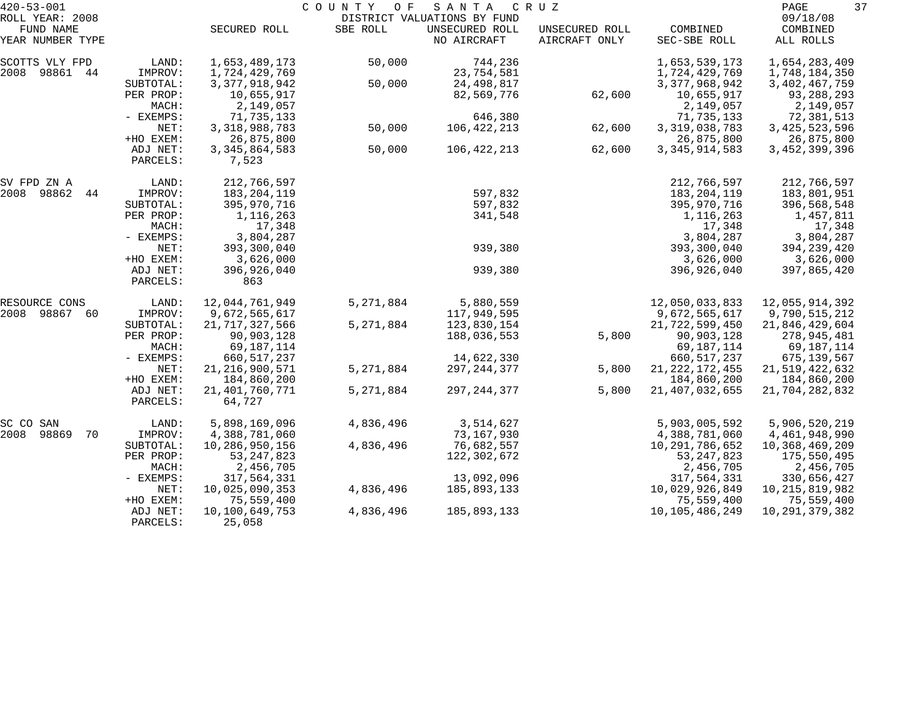| $420 - 53 - 001$              |                       |                                  | COUNTY<br>O F | SANTA                         | C R U Z                         |                                  | 37<br>PAGE                     |
|-------------------------------|-----------------------|----------------------------------|---------------|-------------------------------|---------------------------------|----------------------------------|--------------------------------|
| ROLL YEAR: 2008               |                       |                                  |               | DISTRICT VALUATIONS BY FUND   |                                 |                                  | 09/18/08                       |
| FUND NAME<br>YEAR NUMBER TYPE |                       | SECURED ROLL                     | SBE ROLL      | UNSECURED ROLL<br>NO AIRCRAFT | UNSECURED ROLL<br>AIRCRAFT ONLY | COMBINED<br>SEC-SBE ROLL         | COMBINED<br>ALL ROLLS          |
| SCOTTS VLY FPD                | LAND:                 | 1,653,489,173                    | 50,000        | 744,236                       |                                 | 1,653,539,173                    | 1,654,283,409                  |
| 2008 98861<br>44              | IMPROV:               | 1,724,429,769                    |               | 23,754,581                    |                                 | 1,724,429,769                    | 1,748,184,350                  |
|                               | SUBTOTAL:             | 3, 377, 918, 942                 | 50,000        | 24,498,817                    |                                 | 3, 377, 968, 942                 | 3, 402, 467, 759               |
|                               | PER PROP:             | 10,655,917                       |               | 82,569,776                    | 62,600                          | 10,655,917                       | 93,288,293                     |
|                               | MACH:                 | 2,149,057                        |               |                               |                                 | 2,149,057                        | 2,149,057                      |
|                               | - EXEMPS:<br>NET:     | 71,735,133<br>3, 318, 988, 783   | 50,000        | 646,380<br>106,422,213        | 62,600                          | 71,735,133<br>3, 319, 038, 783   | 72,381,513<br>3, 425, 523, 596 |
|                               | +HO EXEM:             | 26,875,800                       |               |                               |                                 | 26,875,800                       | 26,875,800                     |
|                               | ADJ NET:              | 3, 345, 864, 583                 | 50,000        | 106,422,213                   | 62,600                          | 3, 345, 914, 583                 | 3, 452, 399, 396               |
|                               | PARCELS:              | 7,523                            |               |                               |                                 |                                  |                                |
| SV FPD ZN A                   | LAND:                 | 212,766,597                      |               |                               |                                 | 212,766,597                      | 212,766,597                    |
| 2008<br>98862<br>44           | IMPROV:               | 183, 204, 119                    |               | 597,832                       |                                 | 183, 204, 119                    | 183,801,951                    |
|                               | SUBTOTAL:             | 395,970,716                      |               | 597,832                       |                                 | 395,970,716                      | 396,568,548                    |
|                               | PER PROP:             | 1,116,263                        |               | 341,548                       |                                 | 1,116,263                        | 1,457,811                      |
|                               | MACH:                 | 17,348                           |               |                               |                                 | 17,348                           | 17,348                         |
|                               | - EXEMPS:             | 3,804,287                        |               |                               |                                 | 3,804,287                        | 3,804,287                      |
|                               | NET:<br>+HO EXEM:     | 393,300,040                      |               | 939,380                       |                                 | 393,300,040                      | 394, 239, 420                  |
|                               | ADJ NET:              | 3,626,000<br>396,926,040         |               | 939,380                       |                                 | 3,626,000<br>396,926,040         | 3,626,000<br>397,865,420       |
|                               | PARCELS:              | 863                              |               |                               |                                 |                                  |                                |
| RESOURCE CONS                 | LAND:                 | 12,044,761,949                   | 5, 271, 884   | 5,880,559                     |                                 | 12,050,033,833                   | 12,055,914,392                 |
| 2008 98867<br>60              | IMPROV:               | 9,672,565,617                    |               | 117,949,595                   |                                 | 9,672,565,617                    | 9,790,515,212                  |
|                               | SUBTOTAL:             | 21, 717, 327, 566                | 5, 271, 884   | 123,830,154                   |                                 | 21,722,599,450                   | 21,846,429,604                 |
|                               | PER PROP:             | 90,903,128                       |               | 188,036,553                   | 5,800                           | 90,903,128                       | 278,945,481                    |
|                               | MACH:                 | 69,187,114                       |               |                               |                                 | 69,187,114                       | 69,187,114                     |
|                               | - EXEMPS:             | 660, 517, 237                    |               | 14,622,330                    |                                 | 660, 517, 237                    | 675,139,567                    |
|                               | NET:                  | 21, 216, 900, 571                | 5, 271, 884   | 297, 244, 377                 | 5,800                           | 21, 222, 172, 455                | 21,519,422,632                 |
|                               | +HO EXEM:<br>ADJ NET: | 184,860,200<br>21, 401, 760, 771 | 5, 271, 884   | 297, 244, 377                 | 5,800                           | 184,860,200<br>21, 407, 032, 655 | 184,860,200                    |
|                               | PARCELS:              | 64,727                           |               |                               |                                 |                                  | 21,704,282,832                 |
| SC CO<br>SAN                  | LAND:                 | 5,898,169,096                    | 4,836,496     | 3,514,627                     |                                 | 5,903,005,592                    | 5,906,520,219                  |
| 2008<br>98869<br>70           | IMPROV:               | 4,388,781,060                    |               | 73,167,930                    |                                 | 4,388,781,060                    | 4,461,948,990                  |
|                               | SUBTOTAL:             | 10,286,950,156                   | 4,836,496     | 76,682,557                    |                                 | 10,291,786,652                   | 10,368,469,209                 |
|                               | PER PROP:             | 53, 247, 823                     |               | 122,302,672                   |                                 | 53, 247, 823                     | 175,550,495                    |
|                               | MACH:                 | 2,456,705                        |               |                               |                                 | 2,456,705                        | 2,456,705                      |
|                               | - EXEMPS:             | 317,564,331                      |               | 13,092,096                    |                                 | 317,564,331                      | 330,656,427                    |
|                               | NET:                  | 10,025,090,353                   | 4,836,496     | 185,893,133                   |                                 | 10,029,926,849                   | 10, 215, 819, 982              |
|                               | +HO EXEM:             | 75,559,400                       |               |                               |                                 | 75,559,400                       | 75,559,400                     |
|                               | ADJ NET:<br>PARCELS:  | 10,100,649,753<br>25,058         | 4,836,496     | 185,893,133                   |                                 | 10, 105, 486, 249                | 10, 291, 379, 382              |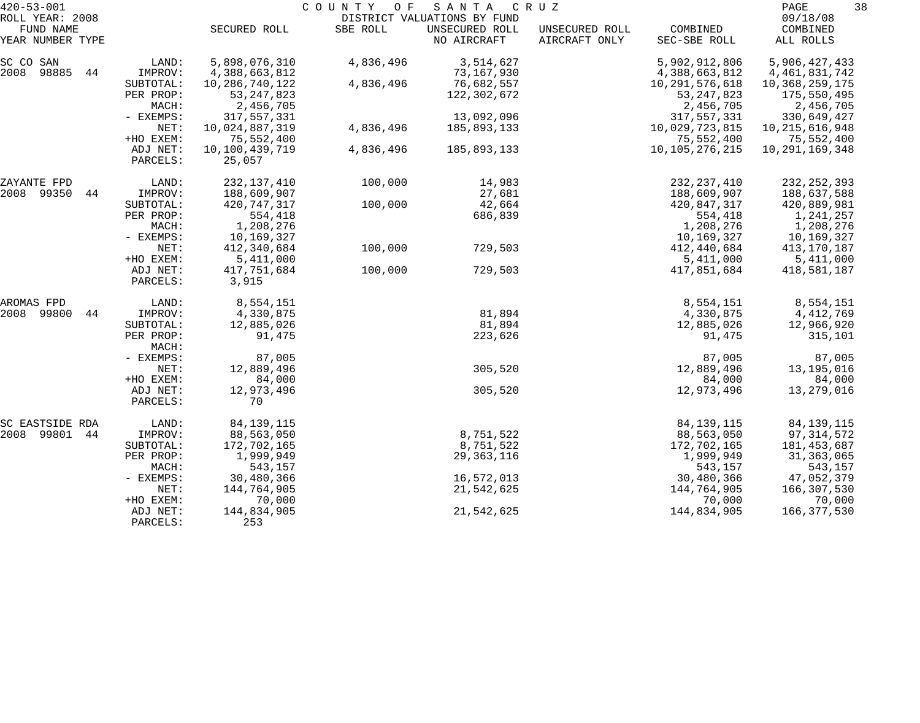| $420 - 53 - 001$<br>ROLL YEAR: 2008 |                      |                          | COUNTY<br>O F | SANTA                                                        | C R U Z                         |                          | PAGE<br>09/18/08      | 38 |
|-------------------------------------|----------------------|--------------------------|---------------|--------------------------------------------------------------|---------------------------------|--------------------------|-----------------------|----|
| FUND NAME<br>YEAR NUMBER TYPE       |                      | SECURED ROLL             | SBE ROLL      | DISTRICT VALUATIONS BY FUND<br>UNSECURED ROLL<br>NO AIRCRAFT | UNSECURED ROLL<br>AIRCRAFT ONLY | COMBINED<br>SEC-SBE ROLL | COMBINED<br>ALL ROLLS |    |
| SC CO SAN                           | LAND:                | 5,898,076,310            | 4,836,496     | 3,514,627                                                    |                                 | 5,902,912,806            | 5,906,427,433         |    |
| 2008 98885<br>44                    | IMPROV:              | 4,388,663,812            |               | 73,167,930                                                   |                                 | 4,388,663,812            | 4, 461, 831, 742      |    |
|                                     | SUBTOTAL:            | 10,286,740,122           | 4,836,496     | 76,682,557                                                   |                                 | 10, 291, 576, 618        | 10,368,259,175        |    |
|                                     | PER PROP:            | 53, 247, 823             |               | 122,302,672                                                  |                                 | 53, 247, 823             | 175,550,495           |    |
|                                     | MACH:                | 2,456,705                |               |                                                              |                                 | 2,456,705                | 2,456,705             |    |
|                                     | - EXEMPS:            | 317,557,331              |               | 13,092,096                                                   |                                 | 317,557,331              | 330,649,427           |    |
|                                     | NET:                 | 10,024,887,319           | 4,836,496     | 185,893,133                                                  |                                 | 10,029,723,815           | 10, 215, 616, 948     |    |
|                                     | +HO EXEM:            | 75,552,400               |               |                                                              |                                 | 75,552,400               | 75,552,400            |    |
|                                     | ADJ NET:<br>PARCELS: | 10,100,439,719<br>25,057 | 4,836,496     | 185,893,133                                                  |                                 | 10, 105, 276, 215        | 10, 291, 169, 348     |    |
| ZAYANTE FPD                         | LAND:                | 232,137,410              | 100,000       | 14,983                                                       |                                 | 232, 237, 410            | 232, 252, 393         |    |
| 2008 99350<br>44                    | IMPROV:              | 188,609,907              |               | 27,681                                                       |                                 | 188,609,907              | 188,637,588           |    |
|                                     | SUBTOTAL:            | 420,747,317              | 100,000       | 42,664                                                       |                                 | 420,847,317              | 420,889,981           |    |
|                                     | PER PROP:            | 554,418                  |               | 686,839                                                      |                                 | 554,418                  | 1,241,257             |    |
|                                     | MACH:                | 1,208,276                |               |                                                              |                                 | 1,208,276                | 1,208,276             |    |
|                                     | - EXEMPS:            | 10,169,327               |               |                                                              |                                 | 10,169,327               | 10,169,327            |    |
|                                     | NET:                 | 412,340,684              | 100,000       | 729,503                                                      |                                 | 412,440,684              | 413,170,187           |    |
|                                     | +HO EXEM:            | 5,411,000                |               |                                                              |                                 | 5,411,000                | 5,411,000             |    |
|                                     | ADJ NET:<br>PARCELS: | 417,751,684<br>3,915     | 100,000       | 729,503                                                      |                                 | 417,851,684              | 418,581,187           |    |
| AROMAS FPD                          | LAND:                | 8,554,151                |               |                                                              |                                 | 8,554,151                | 8,554,151             |    |
| 2008<br>99800<br>44                 | IMPROV:              | 4,330,875                |               | 81,894                                                       |                                 | 4,330,875                | 4,412,769             |    |
|                                     | SUBTOTAL:            | 12,885,026               |               | 81,894                                                       |                                 | 12,885,026               | 12,966,920            |    |
|                                     | PER PROP:<br>MACH:   | 91,475                   |               | 223,626                                                      |                                 | 91,475                   | 315,101               |    |
|                                     | - EXEMPS:            | 87,005                   |               |                                                              |                                 | 87,005                   | 87,005                |    |
|                                     | NET:                 | 12,889,496               |               | 305,520                                                      |                                 | 12,889,496               | 13,195,016            |    |
|                                     | +HO EXEM:            | 84,000                   |               |                                                              |                                 | 84,000                   | 84,000                |    |
|                                     | ADJ NET:<br>PARCELS: | 12,973,496<br>70         |               | 305,520                                                      |                                 | 12,973,496               | 13,279,016            |    |
| SC EASTSIDE RDA                     | LAND:                | 84, 139, 115             |               |                                                              |                                 | 84, 139, 115             | 84, 139, 115          |    |
| 2008 99801<br>44                    | IMPROV:              | 88,563,050               |               | 8,751,522                                                    |                                 | 88,563,050               | 97,314,572            |    |
|                                     | SUBTOTAL:            | 172,702,165              |               | 8,751,522                                                    |                                 | 172,702,165              | 181,453,687           |    |
|                                     | PER PROP:            | 1,999,949                |               | 29, 363, 116                                                 |                                 | 1,999,949                | 31,363,065            |    |
|                                     | MACH:                | 543,157                  |               |                                                              |                                 | 543,157                  | 543,157               |    |
|                                     | - EXEMPS:            | 30,480,366               |               | 16,572,013                                                   |                                 | 30,480,366               | 47,052,379            |    |
|                                     | NET:                 | 144,764,905              |               | 21,542,625                                                   |                                 | 144,764,905              | 166,307,530           |    |
|                                     | +HO EXEM:            | 70,000                   |               |                                                              |                                 | 70,000                   | 70,000                |    |
|                                     | ADJ NET:<br>PARCELS: | 144,834,905<br>253       |               | 21,542,625                                                   |                                 | 144,834,905              | 166,377,530           |    |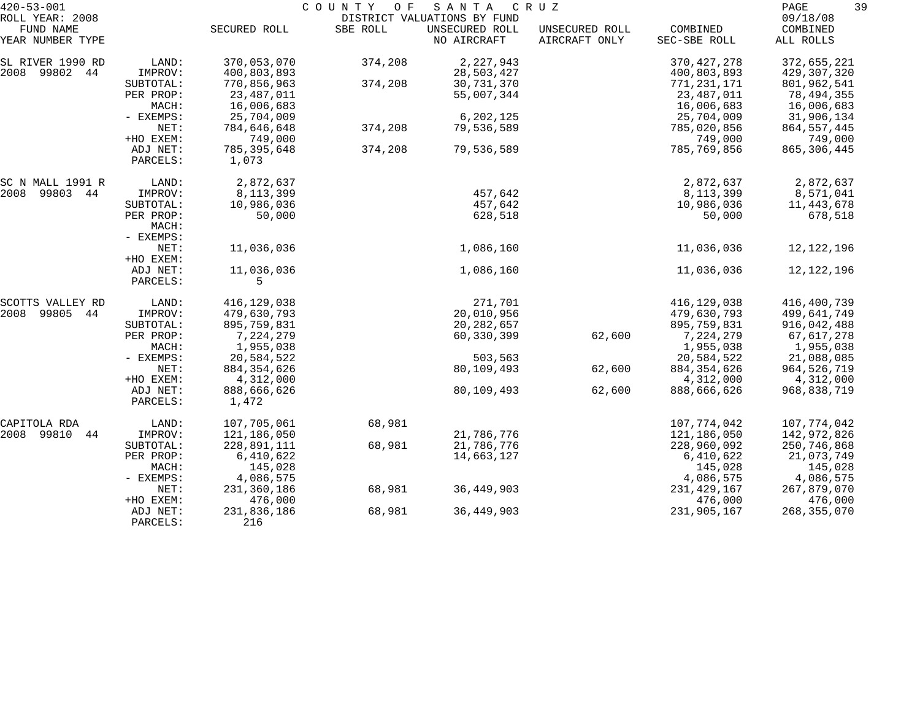| $420 - 53 - 001$              |           |               | COUNTY<br>O F | SANTA                         | C R U Z                         |                          | 39<br>PAGE            |
|-------------------------------|-----------|---------------|---------------|-------------------------------|---------------------------------|--------------------------|-----------------------|
| ROLL YEAR: 2008               |           |               |               | DISTRICT VALUATIONS BY FUND   |                                 |                          | 09/18/08              |
| FUND NAME<br>YEAR NUMBER TYPE |           | SECURED ROLL  | SBE ROLL      | UNSECURED ROLL<br>NO AIRCRAFT | UNSECURED ROLL<br>AIRCRAFT ONLY | COMBINED<br>SEC-SBE ROLL | COMBINED<br>ALL ROLLS |
| SL RIVER 1990 RD              | LAND:     | 370,053,070   | 374,208       | 2,227,943                     |                                 | 370, 427, 278            | 372,655,221           |
| 2008 99802<br>44              | IMPROV:   | 400,803,893   |               | 28,503,427                    |                                 | 400,803,893              | 429,307,320           |
|                               | SUBTOTAL: | 770,856,963   | 374,208       | 30,731,370                    |                                 | 771, 231, 171            | 801,962,541           |
|                               | PER PROP: | 23,487,011    |               | 55,007,344                    |                                 | 23,487,011               | 78,494,355            |
|                               | MACH:     | 16,006,683    |               |                               |                                 | 16,006,683               | 16,006,683            |
|                               | - EXEMPS: | 25,704,009    |               | 6,202,125                     |                                 | 25,704,009               | 31,906,134            |
|                               | NET:      | 784,646,648   | 374,208       | 79,536,589                    |                                 | 785,020,856              | 864, 557, 445         |
|                               | +HO EXEM: | 749,000       |               |                               |                                 | 749,000                  | 749,000               |
|                               | ADJ NET:  | 785, 395, 648 | 374,208       | 79,536,589                    |                                 | 785,769,856              | 865, 306, 445         |
|                               | PARCELS:  | 1,073         |               |                               |                                 |                          |                       |
| SC N MALL 1991 R              | LAND:     | 2,872,637     |               |                               |                                 | 2,872,637                | 2,872,637             |
| 2008<br>99803 44              | IMPROV:   | 8, 113, 399   |               | 457,642                       |                                 | 8, 113, 399              | 8,571,041             |
|                               | SUBTOTAL: | 10,986,036    |               | 457,642                       |                                 | 10,986,036               | 11,443,678            |
|                               | PER PROP: | 50,000        |               | 628,518                       |                                 | 50,000                   | 678,518               |
|                               | MACH:     |               |               |                               |                                 |                          |                       |
|                               | - EXEMPS: |               |               |                               |                                 |                          |                       |
|                               | NET:      | 11,036,036    |               | 1,086,160                     |                                 | 11,036,036               | 12,122,196            |
|                               | +HO EXEM: |               |               |                               |                                 |                          |                       |
|                               | ADJ NET:  | 11,036,036    |               | 1,086,160                     |                                 | 11,036,036               | 12,122,196            |
|                               | PARCELS:  | 5             |               |                               |                                 |                          |                       |
| SCOTTS VALLEY RD              | LAND:     | 416,129,038   |               | 271,701                       |                                 | 416,129,038              | 416,400,739           |
| 2008<br>99805<br>44           | IMPROV:   | 479,630,793   |               | 20,010,956                    |                                 | 479,630,793              | 499,641,749           |
|                               | SUBTOTAL: | 895,759,831   |               | 20, 282, 657                  |                                 | 895,759,831              | 916,042,488           |
|                               | PER PROP: | 7,224,279     |               | 60,330,399                    | 62,600                          | 7,224,279                | 67,617,278            |
|                               | MACH:     | 1,955,038     |               |                               |                                 | 1,955,038                | 1,955,038             |
|                               | - EXEMPS: | 20,584,522    |               | 503,563                       |                                 | 20,584,522               | 21,088,085            |
|                               | NET:      | 884, 354, 626 |               | 80,109,493                    | 62,600                          | 884, 354, 626            | 964,526,719           |
|                               | +HO EXEM: | 4,312,000     |               |                               |                                 | 4,312,000                | 4,312,000             |
|                               | ADJ NET:  | 888,666,626   |               | 80,109,493                    | 62,600                          | 888,666,626              | 968,838,719           |
|                               | PARCELS:  | 1,472         |               |                               |                                 |                          |                       |
| CAPITOLA RDA                  | LAND:     | 107,705,061   | 68,981        |                               |                                 | 107,774,042              | 107,774,042           |
| 2008 99810<br>44              | IMPROV:   | 121,186,050   |               | 21,786,776                    |                                 | 121,186,050              | 142,972,826           |
|                               | SUBTOTAL: | 228,891,111   | 68,981        | 21,786,776                    |                                 | 228,960,092              | 250,746,868           |
|                               | PER PROP: | 6,410,622     |               | 14,663,127                    |                                 | 6,410,622                | 21,073,749            |
|                               | MACH:     | 145,028       |               |                               |                                 | 145,028                  | 145,028               |
|                               | - EXEMPS: | 4,086,575     |               |                               |                                 | 4,086,575                | 4,086,575             |
|                               | NET:      | 231,360,186   | 68,981        | 36, 449, 903                  |                                 | 231, 429, 167            | 267,879,070           |
|                               | +HO EXEM: | 476,000       |               |                               |                                 | 476,000                  | 476,000               |
|                               | ADJ NET:  | 231,836,186   | 68,981        | 36, 449, 903                  |                                 | 231,905,167              | 268, 355, 070         |
|                               | PARCELS:  | 216           |               |                               |                                 |                          |                       |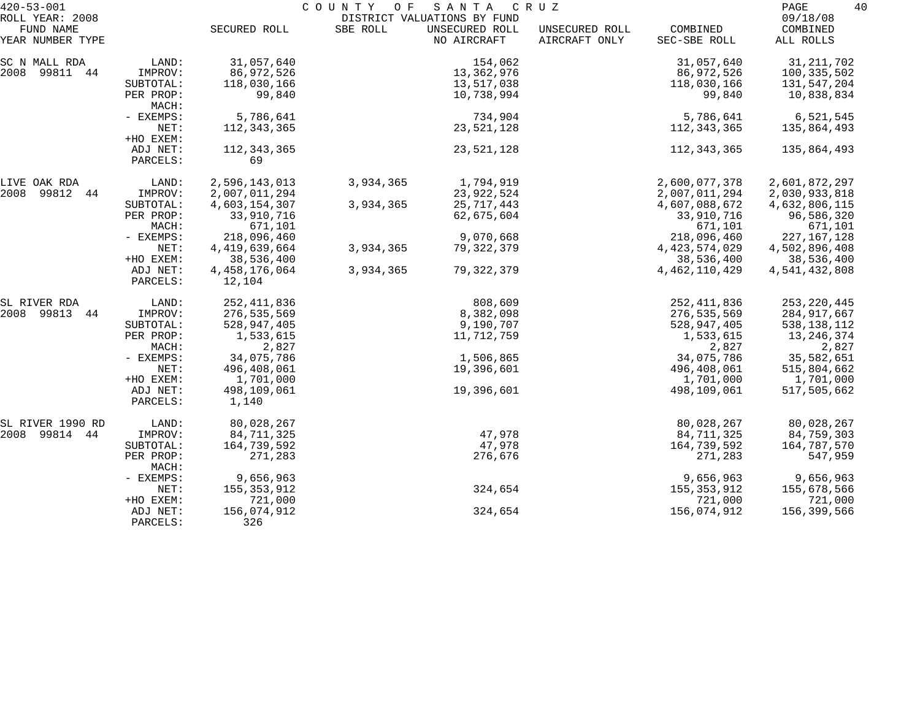| $420 - 53 - 001$             |                       |                                | C O U N T Y<br>O F | SANTA                                         | C R U Z        |                                | 40<br>PAGE                  |
|------------------------------|-----------------------|--------------------------------|--------------------|-----------------------------------------------|----------------|--------------------------------|-----------------------------|
| ROLL YEAR: 2008<br>FUND NAME |                       | SECURED ROLL                   | SBE ROLL           | DISTRICT VALUATIONS BY FUND<br>UNSECURED ROLL | UNSECURED ROLL | COMBINED                       | 09/18/08<br>COMBINED        |
| YEAR NUMBER TYPE             |                       |                                |                    | NO AIRCRAFT                                   | AIRCRAFT ONLY  | SEC-SBE ROLL                   | ALL ROLLS                   |
| SC N MALL RDA                | LAND:                 | 31,057,640                     |                    | 154,062                                       |                | 31,057,640                     | 31, 211, 702                |
| 2008<br>99811 44             | IMPROV:               | 86,972,526                     |                    | 13,362,976                                    |                | 86,972,526                     | 100,335,502                 |
|                              | SUBTOTAL:             | 118,030,166                    |                    | 13,517,038                                    |                | 118,030,166                    | 131,547,204                 |
|                              | PER PROP:<br>MACH:    | 99,840                         |                    | 10,738,994                                    |                | 99,840                         | 10,838,834                  |
|                              | - EXEMPS:             | 5,786,641                      |                    | 734,904                                       |                | 5,786,641                      | 6,521,545                   |
|                              | NET:<br>+HO EXEM:     | 112, 343, 365                  |                    | 23,521,128                                    |                | 112, 343, 365                  | 135,864,493                 |
|                              | ADJ NET:<br>PARCELS:  | 112, 343, 365<br>69            |                    | 23,521,128                                    |                | 112, 343, 365                  | 135,864,493                 |
| LIVE OAK RDA                 | LAND:                 | 2,596,143,013                  | 3,934,365          | 1,794,919                                     |                | 2,600,077,378                  | 2,601,872,297               |
| 2008 99812 44                | IMPROV:               | 2,007,011,294                  |                    | 23, 922, 524                                  |                | 2,007,011,294                  | 2,030,933,818               |
|                              | SUBTOTAL:             | 4,603,154,307                  | 3,934,365          | 25, 717, 443                                  |                | 4,607,088,672                  | 4,632,806,115               |
|                              | PER PROP:             | 33,910,716                     |                    | 62,675,604                                    |                | 33,910,716                     | 96,586,320                  |
|                              | MACH:                 | 671,101                        |                    |                                               |                | 671,101                        | 671,101                     |
|                              | - EXEMPS:             | 218,096,460                    |                    | 9,070,668                                     |                | 218,096,460                    | 227, 167, 128               |
|                              | NET:                  | 4, 419, 639, 664               | 3,934,365          | 79, 322, 379                                  |                | 4, 423, 574, 029               | 4,502,896,408               |
|                              | +HO EXEM:<br>ADJ NET: | 38,536,400<br>4, 458, 176, 064 | 3,934,365          | 79, 322, 379                                  |                | 38,536,400<br>4, 462, 110, 429 | 38,536,400<br>4,541,432,808 |
|                              | PARCELS:              | 12,104                         |                    |                                               |                |                                |                             |
| SL RIVER RDA                 | LAND:                 | 252, 411, 836                  |                    | 808,609                                       |                | 252, 411, 836                  | 253, 220, 445               |
| 2008 99813<br>44             | IMPROV:               | 276,535,569                    |                    | 8,382,098                                     |                | 276,535,569                    | 284,917,667                 |
|                              | SUBTOTAL:             | 528,947,405                    |                    | 9,190,707                                     |                | 528,947,405                    | 538, 138, 112               |
|                              | PER PROP:             | 1,533,615                      |                    | 11,712,759                                    |                | 1,533,615                      | 13,246,374                  |
|                              | MACH:                 | 2,827                          |                    |                                               |                | 2,827                          | 2,827                       |
|                              | - EXEMPS:             | 34,075,786                     |                    | 1,506,865                                     |                | 34,075,786                     | 35,582,651                  |
|                              | NET:                  | 496,408,061                    |                    | 19,396,601                                    |                | 496,408,061                    | 515,804,662                 |
|                              | +HO EXEM:             | 1,701,000                      |                    |                                               |                | 1,701,000                      | 1,701,000                   |
|                              | ADJ NET:<br>PARCELS:  | 498,109,061<br>1,140           |                    | 19,396,601                                    |                | 498,109,061                    | 517,505,662                 |
| SL RIVER 1990 RD             | LAND:                 | 80,028,267                     |                    |                                               |                | 80,028,267                     | 80,028,267                  |
| 2008 99814 44                | IMPROV:               | 84,711,325                     |                    | 47,978                                        |                | 84,711,325                     | 84,759,303                  |
|                              | SUBTOTAL:             | 164,739,592                    |                    | 47,978                                        |                | 164,739,592                    | 164,787,570                 |
|                              | PER PROP:<br>MACH:    | 271,283                        |                    | 276,676                                       |                | 271,283                        | 547,959                     |
|                              | - EXEMPS:             | 9,656,963                      |                    |                                               |                | 9,656,963                      | 9,656,963                   |
|                              | NET:                  | 155, 353, 912                  |                    | 324,654                                       |                | 155, 353, 912                  | 155,678,566                 |
|                              | +HO EXEM:             | 721,000                        |                    |                                               |                | 721,000                        | 721,000                     |
|                              | ADJ NET:<br>PARCELS:  | 156,074,912<br>326             |                    | 324,654                                       |                | 156,074,912                    | 156,399,566                 |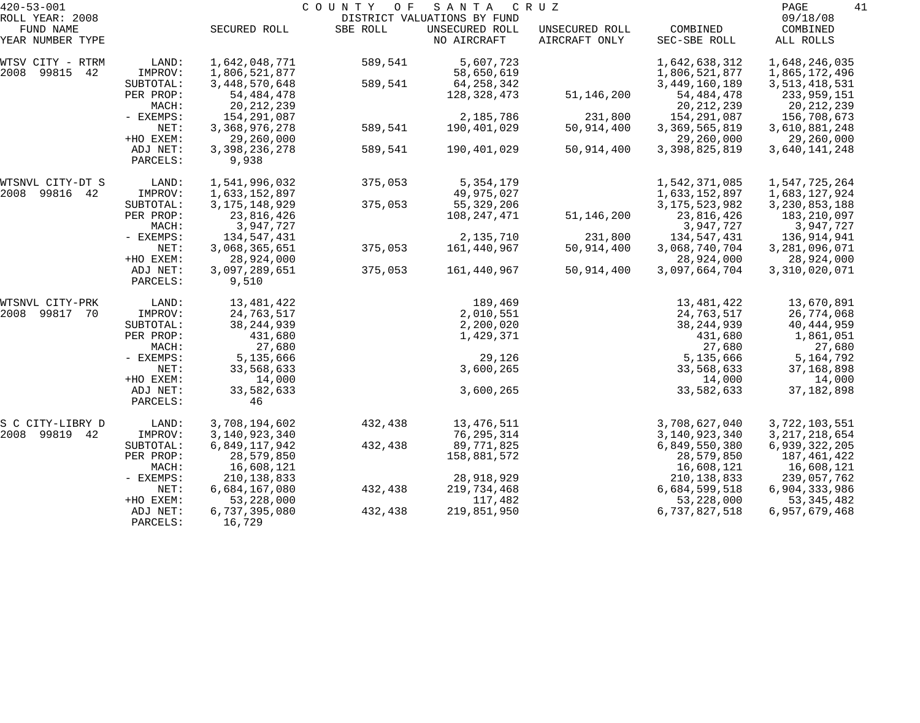| $420 - 53 - 001$              |                      |                         | COUNTY<br>O F | SANTA                         | C R U Z                         |                          | 41<br>PAGE            |
|-------------------------------|----------------------|-------------------------|---------------|-------------------------------|---------------------------------|--------------------------|-----------------------|
| ROLL YEAR: 2008               |                      |                         |               | DISTRICT VALUATIONS BY FUND   |                                 |                          | 09/18/08              |
| FUND NAME<br>YEAR NUMBER TYPE |                      | SECURED ROLL            | SBE ROLL      | UNSECURED ROLL<br>NO AIRCRAFT | UNSECURED ROLL<br>AIRCRAFT ONLY | COMBINED<br>SEC-SBE ROLL | COMBINED<br>ALL ROLLS |
| WTSV CITY - RTRM              | LAND:                | 1,642,048,771           | 589,541       | 5,607,723                     |                                 | 1,642,638,312            | 1,648,246,035         |
| 2008<br>99815<br>42           | IMPROV:              | 1,806,521,877           |               | 58,650,619                    |                                 | 1,806,521,877            | 1,865,172,496         |
|                               | SUBTOTAL:            | 3, 448, 570, 648        | 589,541       | 64, 258, 342                  |                                 | 3,449,160,189            | 3, 513, 418, 531      |
|                               | PER PROP:            | 54, 484, 478            |               | 128,328,473                   | 51,146,200                      | 54, 484, 478             | 233,959,151           |
|                               | MACH:                | 20, 212, 239            |               |                               |                                 | 20, 212, 239             | 20, 212, 239          |
|                               | - EXEMPS:            | 154,291,087             |               | 2,185,786                     | 231,800                         | 154,291,087              | 156,708,673           |
|                               | NET:                 | 3, 368, 976, 278        | 589,541       | 190,401,029                   | 50,914,400                      | 3,369,565,819            | 3,610,881,248         |
|                               | +HO EXEM:            | 29,260,000              |               |                               |                                 | 29,260,000               | 29,260,000            |
|                               | ADJ NET:             | 3, 398, 236, 278        | 589,541       | 190,401,029                   | 50,914,400                      | 3,398,825,819            | 3,640,141,248         |
|                               | PARCELS:             | 9,938                   |               |                               |                                 |                          |                       |
| WTSNVL CITY-DT S              | LAND:                | 1,541,996,032           | 375,053       | 5, 354, 179                   |                                 | 1,542,371,085            | 1,547,725,264         |
| 2008<br>99816 42              | IMPROV:              | 1,633,152,897           |               | 49,975,027                    |                                 | 1,633,152,897            | 1,683,127,924         |
|                               | SUBTOTAL:            | 3, 175, 148, 929        | 375,053       | 55, 329, 206                  |                                 | 3, 175, 523, 982         | 3, 230, 853, 188      |
|                               | PER PROP:            | 23,816,426              |               | 108,247,471                   | 51,146,200                      | 23,816,426               | 183,210,097           |
|                               | MACH:                | 3,947,727               |               |                               |                                 | 3,947,727                | 3,947,727             |
|                               | - EXEMPS:            | 134,547,431             |               | 2,135,710                     | 231,800                         | 134,547,431              | 136,914,941           |
|                               | NET:                 | 3,068,365,651           | 375,053       | 161,440,967                   | 50,914,400                      | 3,068,740,704            | 3,281,096,071         |
|                               | +HO EXEM:            | 28,924,000              |               |                               |                                 | 28,924,000               | 28,924,000            |
|                               | ADJ NET:<br>PARCELS: | 3,097,289,651<br>9,510  | 375,053       | 161,440,967                   | 50,914,400                      | 3,097,664,704            | 3,310,020,071         |
| WTSNVL CITY-PRK               | LAND:                | 13,481,422              |               | 189,469                       |                                 | 13,481,422               | 13,670,891            |
| 2008<br>99817<br>70           | IMPROV:              | 24,763,517              |               | 2,010,551                     |                                 | 24,763,517               | 26,774,068            |
|                               | SUBTOTAL:            | 38, 244, 939            |               | 2,200,020                     |                                 | 38, 244, 939             | 40,444,959            |
|                               | PER PROP:            | 431,680                 |               | 1,429,371                     |                                 | 431,680                  | 1,861,051             |
|                               | MACH:                | 27,680                  |               |                               |                                 | 27,680                   | 27,680                |
|                               | - EXEMPS:            | 5,135,666               |               | 29,126                        |                                 | 5,135,666                | 5, 164, 792           |
|                               | NET:                 | 33,568,633              |               | 3,600,265                     |                                 | 33,568,633               | 37,168,898            |
|                               | +HO EXEM:            | 14,000                  |               |                               |                                 | 14,000                   | 14,000                |
|                               | ADJ NET:             | 33,582,633              |               | 3,600,265                     |                                 | 33,582,633               | 37, 182, 898          |
|                               | PARCELS:             | 46                      |               |                               |                                 |                          |                       |
| S C CITY-LIBRY D              | LAND:                | 3,708,194,602           | 432,438       | 13, 476, 511                  |                                 | 3,708,627,040            | 3,722,103,551         |
| 2008<br>99819 42              | IMPROV:              | 3,140,923,340           |               | 76,295,314                    |                                 | 3, 140, 923, 340         | 3, 217, 218, 654      |
|                               | SUBTOTAL:            | 6,849,117,942           | 432,438       | 89,771,825                    |                                 | 6,849,550,380            | 6,939,322,205         |
|                               | PER PROP:            | 28,579,850              |               | 158,881,572                   |                                 | 28,579,850               | 187,461,422           |
|                               | MACH:                | 16,608,121              |               |                               |                                 | 16,608,121               | 16,608,121            |
|                               | $-$ EXEMPS:          | 210, 138, 833           |               | 28,918,929                    |                                 | 210, 138, 833            | 239,057,762           |
|                               | NET:                 | 6,684,167,080           | 432,438       | 219,734,468                   |                                 | 6,684,599,518            | 6,904,333,986         |
|                               | +HO EXEM:            | 53, 228, 000            |               | 117,482                       |                                 | 53, 228, 000             | 53, 345, 482          |
|                               | ADJ NET:<br>PARCELS: | 6,737,395,080<br>16,729 | 432,438       | 219,851,950                   |                                 | 6,737,827,518            | 6,957,679,468         |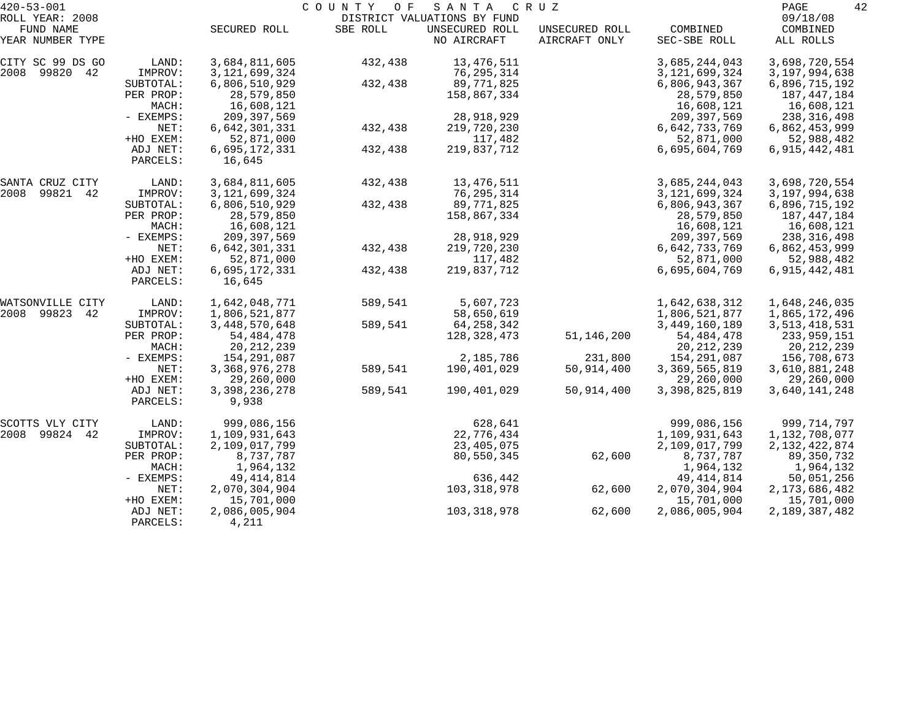| $420 - 53 - 001$              |                      |                           | COUNTY OF | SANTA                         | C R U Z                         |                          | 42<br>PAGE            |
|-------------------------------|----------------------|---------------------------|-----------|-------------------------------|---------------------------------|--------------------------|-----------------------|
| ROLL YEAR: 2008               |                      |                           |           | DISTRICT VALUATIONS BY FUND   |                                 |                          | 09/18/08              |
| FUND NAME<br>YEAR NUMBER TYPE |                      | SECURED ROLL              | SBE ROLL  | UNSECURED ROLL<br>NO AIRCRAFT | UNSECURED ROLL<br>AIRCRAFT ONLY | COMBINED<br>SEC-SBE ROLL | COMBINED<br>ALL ROLLS |
| CITY SC 99 DS GO              | LAND:                | 3,684,811,605             | 432,438   | 13, 476, 511                  |                                 | 3,685,244,043            | 3,698,720,554         |
| 99820 42<br>2008              | IMPROV:              | 3, 121, 699, 324          |           | 76, 295, 314                  |                                 | 3, 121, 699, 324         | 3, 197, 994, 638      |
|                               | SUBTOTAL:            | 6,806,510,929             | 432,438   | 89,771,825                    |                                 | 6,806,943,367            | 6,896,715,192         |
|                               | PER PROP:            | 28,579,850                |           | 158,867,334                   |                                 | 28,579,850               | 187,447,184           |
|                               | MACH:                | 16,608,121                |           |                               |                                 | 16,608,121               | 16,608,121            |
|                               | - EXEMPS:            | 209, 397, 569             |           | 28,918,929                    |                                 | 209, 397, 569            | 238, 316, 498         |
|                               | NET:                 | 6,642,301,331             | 432,438   | 219,720,230                   |                                 | 6,642,733,769            | 6,862,453,999         |
|                               | +HO EXEM:            | 52,871,000                |           | 117,482                       |                                 | 52,871,000               | 52,988,482            |
|                               | ADJ NET:<br>PARCELS: | 6,695,172,331<br>16,645   | 432,438   | 219,837,712                   |                                 | 6,695,604,769            | 6,915,442,481         |
| SANTA CRUZ CITY               | LAND:                | 3,684,811,605             | 432,438   | 13, 476, 511                  |                                 | 3,685,244,043            | 3,698,720,554         |
| 99821<br>2008<br>42           | IMPROV:              | 3, 121, 699, 324          |           | 76, 295, 314                  |                                 | 3, 121, 699, 324         | 3, 197, 994, 638      |
|                               | SUBTOTAL:            | 6,806,510,929             | 432,438   | 89,771,825                    |                                 | 6,806,943,367            | 6,896,715,192         |
|                               | PER PROP:            | 28,579,850                |           | 158,867,334                   |                                 | 28,579,850               | 187,447,184           |
|                               | MACH:                | 16,608,121                |           |                               |                                 | 16,608,121               | 16,608,121            |
|                               | - EXEMPS:            | 209, 397, 569             |           | 28,918,929                    |                                 | 209, 397, 569            | 238, 316, 498         |
|                               | NET:                 | 6,642,301,331             | 432,438   | 219,720,230                   |                                 | 6,642,733,769            | 6,862,453,999         |
|                               | +HO EXEM:            | 52,871,000                |           | 117,482                       |                                 | 52,871,000               | 52,988,482            |
|                               | ADJ NET:<br>PARCELS: | 6,695,172,331<br>16,645   | 432,438   | 219,837,712                   |                                 | 6,695,604,769            | 6,915,442,481         |
| WATSONVILLE CITY              | LAND:                | 1,642,048,771             | 589,541   | 5,607,723                     |                                 | 1,642,638,312            | 1,648,246,035         |
| 2008 99823<br>42              | IMPROV:              | 1,806,521,877             |           | 58,650,619                    |                                 | 1,806,521,877            | 1,865,172,496         |
|                               | SUBTOTAL:            | 3, 448, 570, 648          | 589,541   | 64, 258, 342                  |                                 | 3,449,160,189            | 3, 513, 418, 531      |
|                               | PER PROP:            | 54, 484, 478              |           | 128,328,473                   | 51,146,200                      | 54, 484, 478             | 233,959,151           |
|                               | MACH:                | 20, 212, 239              |           |                               |                                 | 20, 212, 239             | 20, 212, 239          |
|                               | - EXEMPS:            | 154,291,087               |           | 2,185,786                     | 231,800                         | 154, 291, 087            | 156,708,673           |
|                               | NET:                 | 3, 368, 976, 278          | 589,541   | 190,401,029                   | 50,914,400                      | 3,369,565,819            | 3,610,881,248         |
|                               | +HO EXEM:            | 29,260,000                |           |                               |                                 | 29,260,000               | 29,260,000            |
|                               | ADJ NET:<br>PARCELS: | 3, 398, 236, 278<br>9,938 | 589,541   | 190,401,029                   | 50,914,400                      | 3,398,825,819            | 3,640,141,248         |
| SCOTTS VLY CITY               | LAND:                | 999,086,156               |           | 628,641                       |                                 | 999,086,156              | 999,714,797           |
| 99824<br>2008<br>42           | IMPROV:              | 1,109,931,643             |           | 22,776,434                    |                                 | 1,109,931,643            | 1,132,708,077         |
|                               | SUBTOTAL:            | 2,109,017,799             |           | 23,405,075                    |                                 | 2,109,017,799            | 2, 132, 422, 874      |
|                               | PER PROP:            | 8,737,787                 |           | 80,550,345                    | 62,600                          | 8,737,787                | 89, 350, 732          |
|                               | MACH:                | 1,964,132                 |           |                               |                                 | 1,964,132                | 1,964,132             |
|                               | - EXEMPS:            | 49, 414, 814              |           | 636,442                       |                                 | 49, 414, 814             | 50,051,256            |
|                               | NET:                 | 2,070,304,904             |           | 103,318,978                   | 62,600                          | 2,070,304,904            | 2, 173, 686, 482      |
|                               | +HO EXEM:            | 15,701,000                |           |                               |                                 | 15,701,000               | 15,701,000            |
|                               | ADJ NET:<br>PARCELS: | 2,086,005,904<br>4,211    |           | 103, 318, 978                 | 62,600                          | 2,086,005,904            | 2,189,387,482         |
|                               |                      |                           |           |                               |                                 |                          |                       |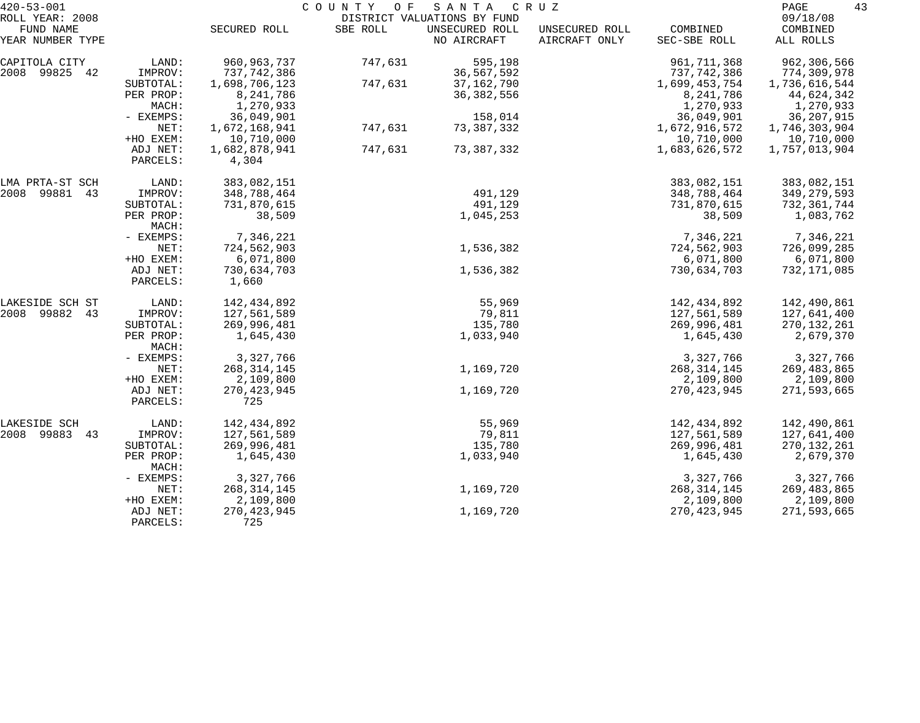| $420 - 53 - 001$                                 |                      | COUNTY<br>O F<br>SANTA<br>C R U Z |          |                                                              |                                 |                          |                                   | 43 |
|--------------------------------------------------|----------------------|-----------------------------------|----------|--------------------------------------------------------------|---------------------------------|--------------------------|-----------------------------------|----|
| ROLL YEAR: 2008<br>FUND NAME<br>YEAR NUMBER TYPE |                      | SECURED ROLL                      | SBE ROLL | DISTRICT VALUATIONS BY FUND<br>UNSECURED ROLL<br>NO AIRCRAFT | UNSECURED ROLL<br>AIRCRAFT ONLY | COMBINED<br>SEC-SBE ROLL | 09/18/08<br>COMBINED<br>ALL ROLLS |    |
|                                                  |                      |                                   |          |                                                              |                                 |                          |                                   |    |
| CAPITOLA CITY                                    | LAND:                | 960, 963, 737                     | 747,631  | 595,198                                                      |                                 | 961, 711, 368            | 962,306,566                       |    |
| 2008 99825 42                                    | IMPROV:              | 737,742,386                       |          | 36,567,592                                                   |                                 | 737,742,386              | 774,309,978                       |    |
|                                                  | SUBTOTAL:            | 1,698,706,123                     | 747,631  | 37, 162, 790                                                 |                                 | 1,699,453,754            | 1,736,616,544                     |    |
|                                                  | PER PROP:            | 8,241,786                         |          | 36, 382, 556                                                 |                                 | 8,241,786                | 44,624,342                        |    |
|                                                  | MACH:<br>- EXEMPS:   | 1,270,933<br>36,049,901           |          | 158,014                                                      |                                 | 1,270,933<br>36,049,901  | 1,270,933<br>36, 207, 915         |    |
|                                                  | NET:                 | 1,672,168,941                     | 747,631  | 73, 387, 332                                                 |                                 | 1,672,916,572            | 1,746,303,904                     |    |
|                                                  | +HO EXEM:            | 10,710,000                        |          |                                                              |                                 | 10,710,000               | 10,710,000                        |    |
|                                                  | ADJ NET:             | 1,682,878,941                     | 747,631  | 73, 387, 332                                                 |                                 | 1,683,626,572            | 1,757,013,904                     |    |
|                                                  | PARCELS:             | 4,304                             |          |                                                              |                                 |                          |                                   |    |
| LMA PRTA-ST SCH                                  | LAND:                | 383,082,151                       |          |                                                              |                                 | 383,082,151              | 383,082,151                       |    |
| 2008 99881 43                                    | IMPROV:              | 348,788,464                       |          | 491,129                                                      |                                 | 348,788,464              | 349, 279, 593                     |    |
|                                                  | SUBTOTAL:            | 731,870,615                       |          | 491,129                                                      |                                 | 731,870,615              | 732,361,744                       |    |
|                                                  | PER PROP:<br>MACH:   | 38,509                            |          | 1,045,253                                                    |                                 | 38,509                   | 1,083,762                         |    |
|                                                  | - EXEMPS:            | 7,346,221                         |          |                                                              |                                 | 7,346,221                | 7,346,221                         |    |
|                                                  | NET:                 | 724,562,903                       |          | 1,536,382                                                    |                                 | 724,562,903              | 726,099,285                       |    |
|                                                  | +HO EXEM:            | 6,071,800                         |          |                                                              |                                 | 6,071,800                | 6,071,800                         |    |
|                                                  | ADJ NET:<br>PARCELS: | 730,634,703<br>1,660              |          | 1,536,382                                                    |                                 | 730,634,703              | 732,171,085                       |    |
| LAKESIDE SCH ST                                  | LAND:                | 142,434,892                       |          | 55,969                                                       |                                 | 142,434,892              | 142,490,861                       |    |
| 2008 99882<br>43                                 | IMPROV:              | 127,561,589                       |          | 79,811                                                       |                                 | 127,561,589              | 127,641,400                       |    |
|                                                  | SUBTOTAL:            | 269,996,481                       |          | 135,780                                                      |                                 | 269,996,481              | 270, 132, 261                     |    |
|                                                  | PER PROP:<br>MACH:   | 1,645,430                         |          | 1,033,940                                                    |                                 | 1,645,430                | 2,679,370                         |    |
|                                                  | - EXEMPS:            | 3,327,766                         |          |                                                              |                                 | 3,327,766                | 3,327,766                         |    |
|                                                  | NET:                 | 268, 314, 145                     |          | 1,169,720                                                    |                                 | 268, 314, 145            | 269, 483, 865                     |    |
|                                                  | +HO EXEM:            | 2,109,800                         |          |                                                              |                                 | 2,109,800                | 2,109,800                         |    |
|                                                  | ADJ NET:<br>PARCELS: | 270, 423, 945<br>725              |          | 1,169,720                                                    |                                 | 270, 423, 945            | 271,593,665                       |    |
| LAKESIDE SCH                                     | LAND:                | 142,434,892                       |          | 55,969                                                       |                                 | 142,434,892              | 142,490,861                       |    |
| 2008 99883 43                                    | IMPROV:              | 127,561,589                       |          | 79,811                                                       |                                 | 127,561,589              | 127,641,400                       |    |
|                                                  | SUBTOTAL:            | 269,996,481                       |          | 135,780                                                      |                                 | 269,996,481              | 270, 132, 261                     |    |
|                                                  | PER PROP:<br>MACH:   | 1,645,430                         |          | 1,033,940                                                    |                                 | 1,645,430                | 2,679,370                         |    |
|                                                  | - EXEMPS:            | 3,327,766                         |          |                                                              |                                 | 3,327,766                | 3,327,766                         |    |
|                                                  | NET:                 | 268, 314, 145                     |          | 1,169,720                                                    |                                 | 268, 314, 145            | 269,483,865                       |    |
|                                                  | +HO EXEM:            | 2,109,800                         |          |                                                              |                                 | 2,109,800                | 2,109,800                         |    |
|                                                  | ADJ NET:<br>PARCELS: | 270, 423, 945<br>725              |          | 1,169,720                                                    |                                 | 270, 423, 945            | 271,593,665                       |    |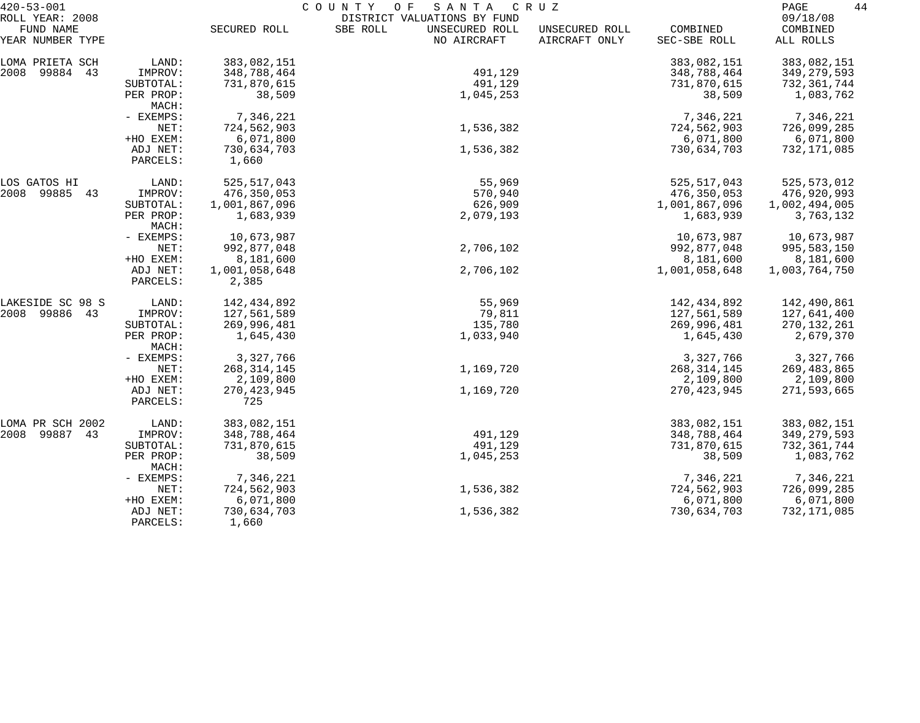| $420 - 53 - 001$             |                      |                        | COUNTY OF<br>SANTA                                        | C R U Z        |               | 44<br>PAGE           |
|------------------------------|----------------------|------------------------|-----------------------------------------------------------|----------------|---------------|----------------------|
| ROLL YEAR: 2008<br>FUND NAME |                      | SECURED ROLL           | DISTRICT VALUATIONS BY FUND<br>SBE ROLL<br>UNSECURED ROLL | UNSECURED ROLL | COMBINED      | 09/18/08<br>COMBINED |
| YEAR NUMBER TYPE             |                      |                        | NO AIRCRAFT                                               | AIRCRAFT ONLY  | SEC-SBE ROLL  | ALL ROLLS            |
| LOMA PRIETA SCH              | LAND:                | 383,082,151            |                                                           |                | 383,082,151   | 383,082,151          |
| 2008 99884 43                | IMPROV:              | 348,788,464            | 491,129                                                   |                | 348,788,464   | 349, 279, 593        |
|                              | SUBTOTAL:            | 731,870,615            | 491,129                                                   |                | 731,870,615   | 732,361,744          |
|                              | PER PROP:<br>MACH:   | 38,509                 | 1,045,253                                                 |                | 38,509        | 1,083,762            |
|                              | - EXEMPS:            | 7,346,221              |                                                           |                | 7,346,221     | 7,346,221            |
|                              | NET:                 | 724,562,903            | 1,536,382                                                 |                | 724,562,903   | 726,099,285          |
|                              | +HO EXEM:            | 6,071,800              |                                                           |                | 6,071,800     | 6,071,800            |
|                              | ADJ NET:<br>PARCELS: | 730,634,703<br>1,660   | 1,536,382                                                 |                | 730,634,703   | 732,171,085          |
| LOS GATOS HI                 | LAND:                | 525, 517, 043          | 55,969                                                    |                | 525, 517, 043 | 525, 573, 012        |
| 2008 99885 43                | IMPROV:              | 476,350,053            | 570,940                                                   |                | 476,350,053   | 476,920,993          |
|                              | SUBTOTAL:            | 1,001,867,096          | 626,909                                                   |                | 1,001,867,096 | 1,002,494,005        |
|                              | PER PROP:<br>MACH:   | 1,683,939              | 2,079,193                                                 |                | 1,683,939     | 3,763,132            |
|                              | - EXEMPS:            | 10,673,987             |                                                           |                | 10,673,987    | 10,673,987           |
|                              | NET:                 | 992,877,048            | 2,706,102                                                 |                | 992,877,048   | 995,583,150          |
|                              | +HO EXEM:            | 8,181,600              |                                                           |                | 8,181,600     | 8,181,600            |
|                              | ADJ NET:<br>PARCELS: | 1,001,058,648<br>2,385 | 2,706,102                                                 |                | 1,001,058,648 | 1,003,764,750        |
| LAKESIDE SC 98 S             | LAND:                | 142,434,892            | 55,969                                                    |                | 142,434,892   | 142,490,861          |
| 2008 99886 43                | IMPROV:              | 127,561,589            | 79,811                                                    |                | 127,561,589   | 127,641,400          |
|                              | SUBTOTAL:            | 269,996,481            | 135,780                                                   |                | 269,996,481   | 270, 132, 261        |
|                              | PER PROP:<br>MACH:   | 1,645,430              | 1,033,940                                                 |                | 1,645,430     | 2,679,370            |
|                              | - EXEMPS:            | 3,327,766              |                                                           |                | 3,327,766     | 3,327,766            |
|                              | NET:                 | 268, 314, 145          | 1,169,720                                                 |                | 268, 314, 145 | 269,483,865          |
|                              | +HO EXEM:            | 2,109,800              |                                                           |                | 2,109,800     | 2,109,800            |
|                              | ADJ NET:<br>PARCELS: | 270, 423, 945<br>725   | 1,169,720                                                 |                | 270, 423, 945 | 271,593,665          |
| LOMA PR SCH 2002             | LAND:                | 383,082,151            |                                                           |                | 383,082,151   | 383,082,151          |
| 2008<br>99887<br>43          | IMPROV:              | 348,788,464            | 491,129                                                   |                | 348,788,464   | 349, 279, 593        |
|                              | SUBTOTAL:            | 731,870,615            | 491,129                                                   |                | 731,870,615   | 732,361,744          |
|                              | PER PROP:<br>MACH:   | 38,509                 | 1,045,253                                                 |                | 38,509        | 1,083,762            |
|                              | - EXEMPS:            | 7,346,221              |                                                           |                | 7,346,221     | 7,346,221            |
|                              | NET:                 | 724,562,903            | 1,536,382                                                 |                | 724,562,903   | 726,099,285          |
|                              | +HO EXEM:            | 6,071,800              |                                                           |                | 6,071,800     | 6,071,800            |
|                              | ADJ NET:<br>PARCELS: | 730,634,703<br>1,660   | 1,536,382                                                 |                | 730,634,703   | 732,171,085          |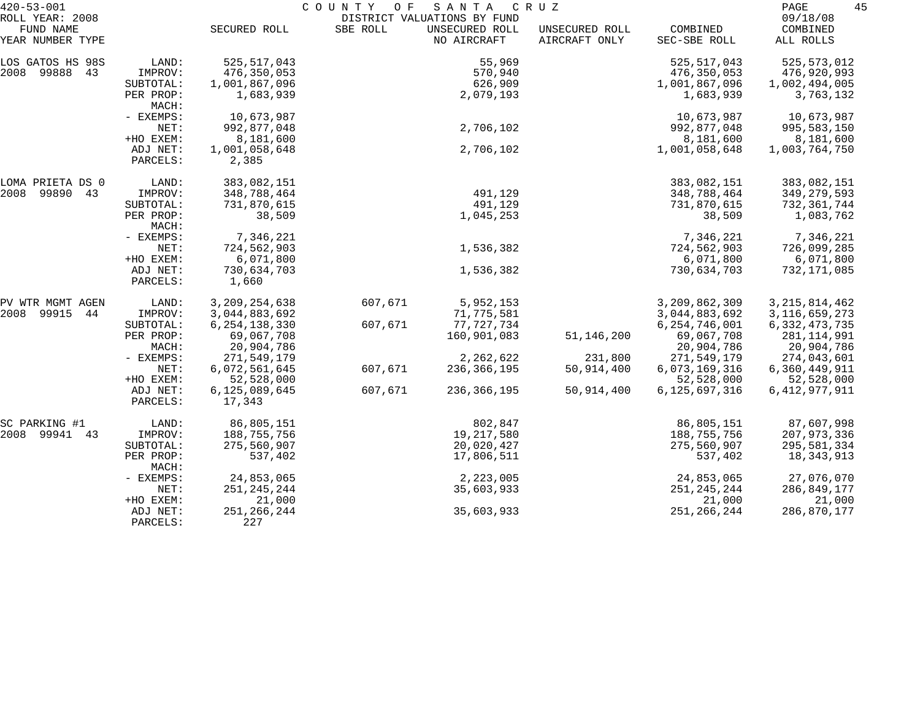| $420 - 53 - 001$                                 |                      | COUNTY<br>O F<br>SANTA<br>C R U Z |          |                                                              |                                 |                          |                                   |  |
|--------------------------------------------------|----------------------|-----------------------------------|----------|--------------------------------------------------------------|---------------------------------|--------------------------|-----------------------------------|--|
| ROLL YEAR: 2008<br>FUND NAME<br>YEAR NUMBER TYPE |                      | SECURED ROLL                      | SBE ROLL | DISTRICT VALUATIONS BY FUND<br>UNSECURED ROLL<br>NO AIRCRAFT | UNSECURED ROLL<br>AIRCRAFT ONLY | COMBINED<br>SEC-SBE ROLL | 09/18/08<br>COMBINED<br>ALL ROLLS |  |
|                                                  |                      |                                   |          |                                                              |                                 |                          |                                   |  |
| LOS GATOS HS 98S                                 | LAND:                | 525, 517, 043                     |          | 55,969                                                       |                                 | 525, 517, 043            | 525, 573, 012                     |  |
| 2008 99888 43                                    | IMPROV:              | 476, 350, 053                     |          | 570,940                                                      |                                 | 476,350,053              | 476,920,993                       |  |
|                                                  | SUBTOTAL:            | 1,001,867,096                     |          | 626,909                                                      |                                 | 1,001,867,096            | 1,002,494,005                     |  |
|                                                  | PER PROP:<br>MACH:   | 1,683,939                         |          | 2,079,193                                                    |                                 | 1,683,939                | 3,763,132                         |  |
|                                                  | - EXEMPS:            | 10,673,987                        |          |                                                              |                                 | 10,673,987               | 10,673,987                        |  |
|                                                  | NET:                 | 992,877,048                       |          | 2,706,102                                                    |                                 | 992,877,048              | 995,583,150                       |  |
|                                                  | +HO EXEM:            | 8,181,600                         |          |                                                              |                                 | 8,181,600                | 8,181,600                         |  |
|                                                  | ADJ NET:<br>PARCELS: | 1,001,058,648<br>2,385            |          | 2,706,102                                                    |                                 | 1,001,058,648            | 1,003,764,750                     |  |
| LOMA PRIETA DS 0                                 | LAND:                | 383,082,151                       |          |                                                              |                                 | 383,082,151              | 383,082,151                       |  |
| 2008<br>99890<br>43                              | IMPROV:              | 348,788,464                       |          | 491,129                                                      |                                 | 348,788,464              | 349, 279, 593                     |  |
|                                                  | SUBTOTAL:            | 731,870,615                       |          | 491,129                                                      |                                 | 731,870,615              | 732,361,744                       |  |
|                                                  | PER PROP:<br>MACH:   | 38,509                            |          | 1,045,253                                                    |                                 | 38,509                   | 1,083,762                         |  |
|                                                  | - EXEMPS:            | 7,346,221                         |          |                                                              |                                 | 7,346,221                | 7,346,221                         |  |
|                                                  | NET:                 | 724,562,903                       |          | 1,536,382                                                    |                                 | 724,562,903              | 726,099,285                       |  |
|                                                  | +HO EXEM:            | 6,071,800                         |          |                                                              |                                 | 6,071,800                | 6,071,800                         |  |
|                                                  | ADJ NET:<br>PARCELS: | 730,634,703<br>1,660              |          | 1,536,382                                                    |                                 | 730,634,703              | 732,171,085                       |  |
| PV WTR MGMT AGEN                                 | LAND:                | 3, 209, 254, 638                  | 607,671  | 5,952,153                                                    |                                 | 3,209,862,309            | 3, 215, 814, 462                  |  |
| 2008<br>99915<br>44                              | IMPROV:              | 3,044,883,692                     |          | 71,775,581                                                   |                                 | 3,044,883,692            | 3, 116, 659, 273                  |  |
|                                                  | SUBTOTAL:            | 6, 254, 138, 330                  | 607,671  | 77,727,734                                                   |                                 | 6,254,746,001            | 6, 332, 473, 735                  |  |
|                                                  | PER PROP:            | 69,067,708                        |          | 160,901,083                                                  | 51,146,200                      | 69,067,708               | 281, 114, 991                     |  |
|                                                  | MACH:                | 20,904,786                        |          |                                                              |                                 | 20,904,786               | 20,904,786                        |  |
|                                                  | - EXEMPS:            | 271,549,179                       |          | 2,262,622                                                    | 231,800                         | 271,549,179              | 274,043,601                       |  |
|                                                  | NET:                 | 6,072,561,645                     | 607,671  | 236,366,195                                                  | 50,914,400                      | 6,073,169,316            | 6,360,449,911                     |  |
|                                                  | +HO EXEM:            | 52,528,000                        |          |                                                              |                                 | 52,528,000               | 52,528,000                        |  |
|                                                  | ADJ NET:<br>PARCELS: | 6,125,089,645<br>17,343           | 607,671  | 236,366,195                                                  | 50,914,400                      | 6,125,697,316            | 6, 412, 977, 911                  |  |
| SC PARKING #1                                    | LAND:                | 86,805,151                        |          | 802,847                                                      |                                 | 86,805,151               | 87,607,998                        |  |
| 2008 99941 43                                    | IMPROV:              | 188,755,756                       |          | 19, 217, 580                                                 |                                 | 188,755,756              | 207,973,336                       |  |
|                                                  | SUBTOTAL:            | 275,560,907                       |          | 20,020,427                                                   |                                 | 275,560,907              | 295,581,334                       |  |
|                                                  | PER PROP:<br>MACH:   | 537,402                           |          | 17,806,511                                                   |                                 | 537,402                  | 18,343,913                        |  |
|                                                  | - EXEMPS:            | 24,853,065                        |          | 2,223,005                                                    |                                 | 24,853,065               | 27,076,070                        |  |
|                                                  | NET:                 | 251, 245, 244                     |          | 35,603,933                                                   |                                 | 251, 245, 244            | 286,849,177                       |  |
|                                                  | +HO EXEM:            | 21,000                            |          |                                                              |                                 | 21,000                   | 21,000                            |  |
|                                                  | ADJ NET:<br>PARCELS: | 251, 266, 244<br>227              |          | 35,603,933                                                   |                                 | 251, 266, 244            | 286,870,177                       |  |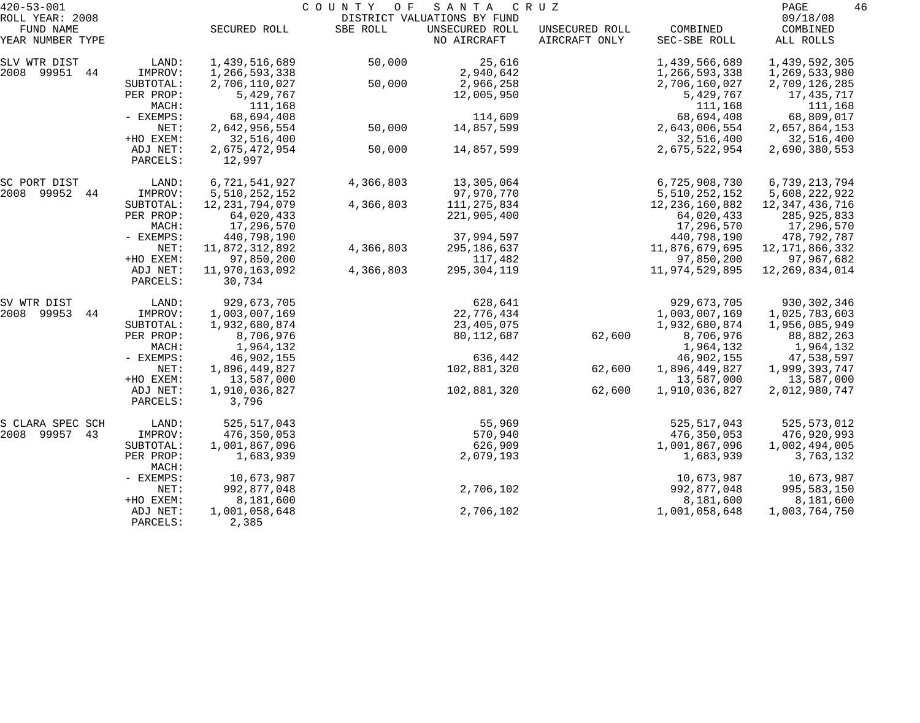| $420 - 53 - 001$             |                      |                             | COUNTY<br>O F | SANTA                                         | C R U Z        |                             | PAGE                        | 46 |
|------------------------------|----------------------|-----------------------------|---------------|-----------------------------------------------|----------------|-----------------------------|-----------------------------|----|
| ROLL YEAR: 2008<br>FUND NAME |                      | SECURED ROLL                | SBE ROLL      | DISTRICT VALUATIONS BY FUND<br>UNSECURED ROLL | UNSECURED ROLL | COMBINED                    | 09/18/08<br>COMBINED        |    |
| YEAR NUMBER TYPE             |                      |                             |               | NO AIRCRAFT                                   | AIRCRAFT ONLY  | SEC-SBE ROLL                | ALL ROLLS                   |    |
| SLV WTR DIST                 | LAND:                | 1,439,516,689               | 50,000        | 25,616                                        |                | 1,439,566,689               | 1,439,592,305               |    |
| 2008 99951 44                | IMPROV:              | 1,266,593,338               |               | 2,940,642                                     |                | 1,266,593,338               | 1,269,533,980               |    |
|                              | SUBTOTAL:            | 2,706,110,027               | 50,000        | 2,966,258                                     |                | 2,706,160,027<br>5,429,767  | 2,709,126,285               |    |
|                              | PER PROP:<br>MACH:   | 5,429,767<br>111,168        |               | 12,005,950                                    |                | 111,168                     | 17,435,717<br>111,168       |    |
|                              | - EXEMPS:            | 68,694,408                  |               | 114,609                                       |                | 68,694,408                  | 68,809,017                  |    |
|                              | NET:                 | 2,642,956,554               | 50,000        | 14,857,599                                    |                | 2,643,006,554               | 2,657,864,153               |    |
|                              | +HO EXEM:            | 32,516,400                  |               |                                               |                | 32,516,400                  | 32,516,400                  |    |
|                              | ADJ NET:<br>PARCELS: | 2,675,472,954<br>12,997     | 50,000        | 14,857,599                                    |                | 2,675,522,954               | 2,690,380,553               |    |
| SC PORT DIST                 | LAND:                | 6,721,541,927               | 4,366,803     | 13,305,064                                    |                | 6,725,908,730               | 6,739,213,794               |    |
| 2008 99952<br>44             | IMPROV:              | 5,510,252,152               |               | 97,970,770                                    |                | 5,510,252,152               | 5,608,222,922               |    |
|                              | SUBTOTAL:            | 12, 231, 794, 079           | 4,366,803     | 111, 275, 834                                 |                | 12, 236, 160, 882           | 12,347,436,716              |    |
|                              | PER PROP:            | 64,020,433                  |               | 221,905,400                                   |                | 64,020,433                  | 285,925,833                 |    |
|                              | MACH:                | 17,296,570                  |               |                                               |                | 17,296,570                  | 17,296,570                  |    |
|                              | - EXEMPS:            | 440,798,190                 |               | 37,994,597                                    |                | 440,798,190                 | 478,792,787                 |    |
|                              | NET:                 | 11,872,312,892              | 4,366,803     | 295,186,637                                   |                | 11,876,679,695              | 12, 171, 866, 332           |    |
|                              | +HO EXEM:            | 97,850,200                  |               | 117,482                                       |                | 97,850,200                  | 97,967,682                  |    |
|                              | ADJ NET:<br>PARCELS: | 11,970,163,092<br>30,734    | 4,366,803     | 295,304,119                                   |                | 11,974,529,895              | 12, 269, 834, 014           |    |
| SV WTR DIST                  | LAND:                | 929,673,705                 |               | 628,641                                       |                | 929,673,705                 | 930, 302, 346               |    |
| 2008<br>99953<br>44          | IMPROV:              | 1,003,007,169               |               | 22,776,434                                    |                | 1,003,007,169               | 1,025,783,603               |    |
|                              | SUBTOTAL:            | 1,932,680,874               |               | 23,405,075                                    |                | 1,932,680,874               | 1,956,085,949               |    |
|                              | PER PROP:            | 8,706,976                   |               | 80,112,687                                    | 62,600         | 8,706,976                   | 88,882,263                  |    |
|                              | MACH:                | 1,964,132                   |               |                                               |                | 1,964,132                   | 1,964,132                   |    |
|                              | - EXEMPS:<br>NET:    | 46,902,155                  |               | 636,442                                       |                | 46,902,155                  | 47,538,597                  |    |
|                              | +HO EXEM:            | 1,896,449,827<br>13,587,000 |               | 102,881,320                                   | 62,600         | 1,896,449,827<br>13,587,000 | 1,999,393,747<br>13,587,000 |    |
|                              | ADJ NET:             | 1,910,036,827               |               | 102,881,320                                   | 62,600         | 1,910,036,827               | 2,012,980,747               |    |
|                              | PARCELS:             | 3,796                       |               |                                               |                |                             |                             |    |
| S CLARA SPEC SCH             | LAND:                | 525, 517, 043               |               | 55,969                                        |                | 525, 517, 043               | 525,573,012                 |    |
| 99957<br>2008<br>43          | IMPROV:              | 476,350,053                 |               | 570,940                                       |                | 476,350,053                 | 476,920,993                 |    |
|                              | SUBTOTAL:            | 1,001,867,096               |               | 626,909                                       |                | 1,001,867,096               | 1,002,494,005               |    |
|                              | PER PROP:<br>MACH:   | 1,683,939                   |               | 2,079,193                                     |                | 1,683,939                   | 3,763,132                   |    |
|                              | - EXEMPS:            | 10,673,987                  |               |                                               |                | 10,673,987                  | 10,673,987                  |    |
|                              | NET:                 | 992,877,048                 |               | 2,706,102                                     |                | 992,877,048                 | 995,583,150                 |    |
|                              | +HO EXEM:            | 8,181,600                   |               |                                               |                | 8,181,600                   | 8,181,600                   |    |
|                              | ADJ NET:<br>PARCELS: | 1,001,058,648<br>2,385      |               | 2,706,102                                     |                | 1,001,058,648               | 1,003,764,750               |    |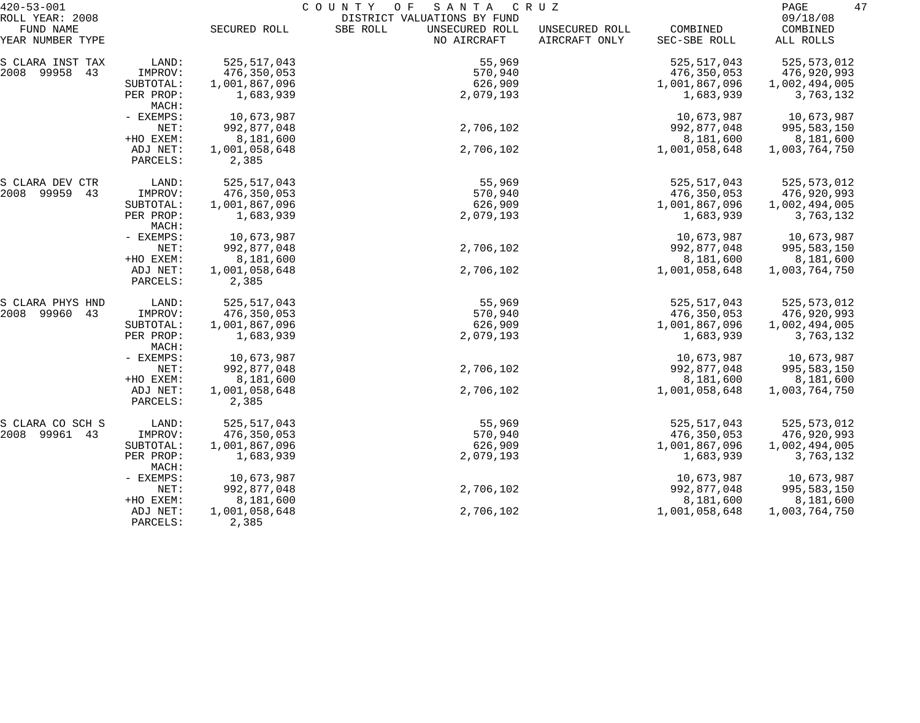| $420 - 53 - 001$    |                      |                        | COUNTY OF<br>SANTA          | C R U Z        |               | 47<br>PAGE    |
|---------------------|----------------------|------------------------|-----------------------------|----------------|---------------|---------------|
| ROLL YEAR: 2008     |                      |                        | DISTRICT VALUATIONS BY FUND |                |               | 09/18/08      |
| FUND NAME           |                      | SECURED ROLL           | SBE ROLL<br>UNSECURED ROLL  | UNSECURED ROLL | COMBINED      | COMBINED      |
| YEAR NUMBER TYPE    |                      |                        | NO AIRCRAFT                 | AIRCRAFT ONLY  | SEC-SBE ROLL  | ALL ROLLS     |
| S CLARA INST TAX    | LAND:                | 525, 517, 043          | 55,969                      |                | 525, 517, 043 | 525, 573, 012 |
| 2008 99958<br>43    | IMPROV:              | 476,350,053            | 570,940                     |                | 476,350,053   | 476,920,993   |
|                     | SUBTOTAL:            | 1,001,867,096          | 626,909                     |                | 1,001,867,096 | 1,002,494,005 |
|                     | PER PROP:<br>MACH:   | 1,683,939              | 2,079,193                   |                | 1,683,939     | 3,763,132     |
|                     | - EXEMPS:            | 10,673,987             |                             |                | 10,673,987    | 10,673,987    |
|                     | NET:                 | 992,877,048            | 2,706,102                   |                | 992,877,048   | 995,583,150   |
|                     | +HO EXEM:            | 8,181,600              |                             |                | 8,181,600     | 8,181,600     |
|                     | ADJ NET:             | 1,001,058,648          | 2,706,102                   |                | 1,001,058,648 | 1,003,764,750 |
|                     | PARCELS:             | 2,385                  |                             |                |               |               |
| S CLARA DEV CTR     | LAND:                | 525, 517, 043          | 55,969                      |                | 525, 517, 043 | 525, 573, 012 |
| 2008<br>99959<br>43 | IMPROV:              | 476,350,053            | 570,940                     |                | 476,350,053   | 476,920,993   |
|                     | SUBTOTAL:            | 1,001,867,096          | 626,909                     |                | 1,001,867,096 | 1,002,494,005 |
|                     | PER PROP:<br>MACH:   | 1,683,939              | 2,079,193                   |                | 1,683,939     | 3,763,132     |
|                     | - EXEMPS:            | 10,673,987             |                             |                | 10,673,987    | 10,673,987    |
|                     | NET:                 | 992,877,048            | 2,706,102                   |                | 992,877,048   | 995,583,150   |
|                     | +HO EXEM:            | 8,181,600              |                             |                | 8,181,600     | 8,181,600     |
|                     | ADJ NET:<br>PARCELS: | 1,001,058,648<br>2,385 | 2,706,102                   |                | 1,001,058,648 | 1,003,764,750 |
| S CLARA PHYS HND    | LAND:                | 525, 517, 043          | 55,969                      |                | 525, 517, 043 | 525, 573, 012 |
| 99960<br>2008<br>43 | IMPROV:              | 476,350,053            | 570,940                     |                | 476,350,053   | 476,920,993   |
|                     | SUBTOTAL:            | 1,001,867,096          | 626,909                     |                | 1,001,867,096 | 1,002,494,005 |
|                     | PER PROP:<br>MACH:   | 1,683,939              | 2,079,193                   |                | 1,683,939     | 3,763,132     |
|                     | - EXEMPS:            | 10,673,987             |                             |                | 10,673,987    | 10,673,987    |
|                     | NET:                 | 992,877,048            | 2,706,102                   |                | 992,877,048   | 995,583,150   |
|                     | +HO EXEM:            | 8,181,600              |                             |                | 8,181,600     | 8,181,600     |
|                     | ADJ NET:             | 1,001,058,648          | 2,706,102                   |                | 1,001,058,648 | 1,003,764,750 |
|                     | PARCELS:             | 2,385                  |                             |                |               |               |
| S CLARA CO SCH S    | LAND:                | 525, 517, 043          | 55,969                      |                | 525, 517, 043 | 525, 573, 012 |
| 2008 99961<br>43    | IMPROV:              | 476,350,053            | 570,940                     |                | 476,350,053   | 476,920,993   |
|                     | SUBTOTAL:            | 1,001,867,096          | 626,909                     |                | 1,001,867,096 | 1,002,494,005 |
|                     | PER PROP:<br>MACH:   | 1,683,939              | 2,079,193                   |                | 1,683,939     | 3,763,132     |
|                     | - EXEMPS:            | 10,673,987             |                             |                | 10,673,987    | 10,673,987    |
|                     | NET:                 | 992,877,048            | 2,706,102                   |                | 992,877,048   | 995,583,150   |
|                     | +HO EXEM:            | 8,181,600              |                             |                | 8,181,600     | 8,181,600     |
|                     | ADJ NET:<br>PARCELS: | 1,001,058,648<br>2,385 | 2,706,102                   |                | 1,001,058,648 | 1,003,764,750 |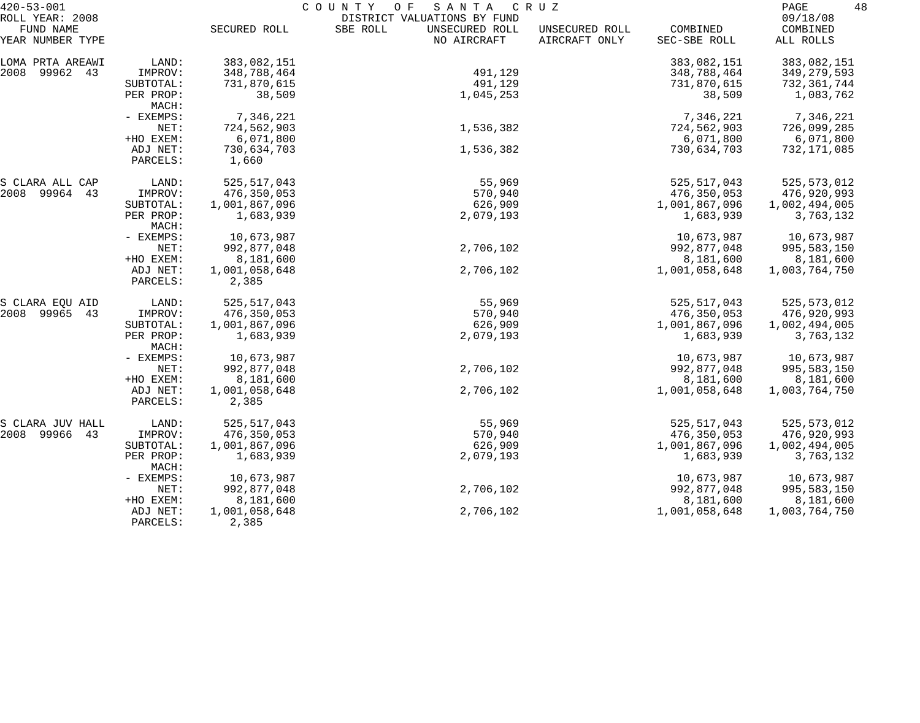| $420 - 53 - 001$             |                      |                        | COUNTY OF<br>SANTA                                        | C R U Z        |               | 48<br>PAGE           |
|------------------------------|----------------------|------------------------|-----------------------------------------------------------|----------------|---------------|----------------------|
| ROLL YEAR: 2008<br>FUND NAME |                      | SECURED ROLL           | DISTRICT VALUATIONS BY FUND<br>SBE ROLL<br>UNSECURED ROLL | UNSECURED ROLL | COMBINED      | 09/18/08<br>COMBINED |
| YEAR NUMBER TYPE             |                      |                        | NO AIRCRAFT                                               | AIRCRAFT ONLY  | SEC-SBE ROLL  | ALL ROLLS            |
| LOMA PRTA AREAWI             | LAND:                | 383,082,151            |                                                           |                | 383,082,151   | 383,082,151          |
| 2008 99962 43                | IMPROV:              | 348,788,464            | 491,129                                                   |                | 348,788,464   | 349,279,593          |
|                              | SUBTOTAL:            | 731,870,615            | 491,129                                                   |                | 731,870,615   | 732,361,744          |
|                              | PER PROP:<br>MACH:   | 38,509                 | 1,045,253                                                 |                | 38,509        | 1,083,762            |
|                              | - EXEMPS:            | 7,346,221              |                                                           |                | 7,346,221     | 7,346,221            |
|                              | NET:                 | 724,562,903            | 1,536,382                                                 |                | 724,562,903   | 726,099,285          |
|                              | +HO EXEM:            | 6,071,800              |                                                           |                | 6,071,800     | 6,071,800            |
|                              | ADJ NET:             | 730,634,703            | 1,536,382                                                 |                | 730,634,703   | 732,171,085          |
|                              | PARCELS:             | 1,660                  |                                                           |                |               |                      |
| S CLARA ALL CAP              | LAND:                | 525, 517, 043          | 55,969                                                    |                | 525, 517, 043 | 525, 573, 012        |
| 2008 99964 43                | IMPROV:              | 476,350,053            | 570,940                                                   |                | 476,350,053   | 476,920,993          |
|                              | SUBTOTAL:            | 1,001,867,096          | 626,909                                                   |                | 1,001,867,096 | 1,002,494,005        |
|                              | PER PROP:<br>MACH:   | 1,683,939              | 2,079,193                                                 |                | 1,683,939     | 3,763,132            |
|                              | - EXEMPS:            | 10,673,987             |                                                           |                | 10,673,987    | 10,673,987           |
|                              | NET:                 | 992,877,048            | 2,706,102                                                 |                | 992,877,048   | 995,583,150          |
|                              | +HO EXEM:            | 8,181,600              |                                                           |                | 8,181,600     | 8,181,600            |
|                              | ADJ NET:<br>PARCELS: | 1,001,058,648<br>2,385 | 2,706,102                                                 |                | 1,001,058,648 | 1,003,764,750        |
| S CLARA EQU AID              | LAND:                | 525, 517, 043          | 55,969                                                    |                | 525, 517, 043 | 525, 573, 012        |
| 2008 99965<br>43             | IMPROV:              | 476,350,053            | 570,940                                                   |                | 476,350,053   | 476,920,993          |
|                              | SUBTOTAL:            | 1,001,867,096          | 626,909                                                   |                | 1,001,867,096 | 1,002,494,005        |
|                              | PER PROP:<br>MACH:   | 1,683,939              | 2,079,193                                                 |                | 1,683,939     | 3,763,132            |
|                              | - EXEMPS:            | 10,673,987             |                                                           |                | 10,673,987    | 10,673,987           |
|                              | NET:                 | 992,877,048            | 2,706,102                                                 |                | 992,877,048   | 995,583,150          |
|                              | +HO EXEM:            | 8,181,600              |                                                           |                | 8,181,600     | 8,181,600            |
|                              | ADJ NET:             | 1,001,058,648          | 2,706,102                                                 |                | 1,001,058,648 | 1,003,764,750        |
|                              | PARCELS:             | 2,385                  |                                                           |                |               |                      |
| S CLARA JUV HALL             | LAND:                | 525,517,043            | 55,969                                                    |                | 525, 517, 043 | 525, 573, 012        |
| 2008 99966<br>43             | IMPROV:              | 476,350,053            | 570,940                                                   |                | 476,350,053   | 476,920,993          |
|                              | SUBTOTAL:            | 1,001,867,096          | 626,909                                                   |                | 1,001,867,096 | 1,002,494,005        |
|                              | PER PROP:<br>MACH:   | 1,683,939              | 2,079,193                                                 |                | 1,683,939     | 3,763,132            |
|                              | - EXEMPS:            | 10,673,987             |                                                           |                | 10,673,987    | 10,673,987           |
|                              | NET:                 | 992,877,048            | 2,706,102                                                 |                | 992,877,048   | 995,583,150          |
|                              | +HO EXEM:            | 8,181,600              |                                                           |                | 8,181,600     | 8,181,600            |
|                              | ADJ NET:<br>PARCELS: | 1,001,058,648<br>2,385 | 2,706,102                                                 |                | 1,001,058,648 | 1,003,764,750        |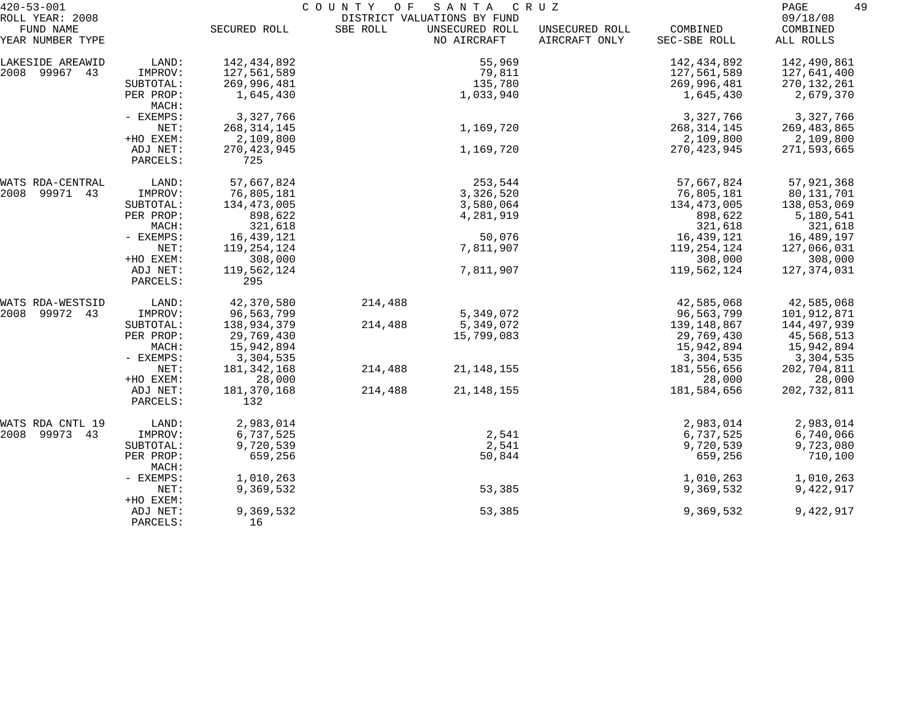| $420 - 53 - 001$              | COUNTY<br>SANTA<br>O F<br>C R U Z |                      |          |                               |                                 |                          | 49<br>PAGE            |
|-------------------------------|-----------------------------------|----------------------|----------|-------------------------------|---------------------------------|--------------------------|-----------------------|
| ROLL YEAR: 2008               |                                   |                      |          | DISTRICT VALUATIONS BY FUND   |                                 |                          | 09/18/08              |
| FUND NAME<br>YEAR NUMBER TYPE |                                   | SECURED ROLL         | SBE ROLL | UNSECURED ROLL<br>NO AIRCRAFT | UNSECURED ROLL<br>AIRCRAFT ONLY | COMBINED<br>SEC-SBE ROLL | COMBINED<br>ALL ROLLS |
| LAKESIDE AREAWID              | LAND:                             | 142,434,892          |          | 55,969                        |                                 | 142,434,892              | 142,490,861           |
| 2008 99967 43                 | IMPROV:                           | 127,561,589          |          | 79,811                        |                                 | 127,561,589              | 127,641,400           |
|                               | SUBTOTAL:                         | 269,996,481          |          | 135,780                       |                                 | 269,996,481              | 270, 132, 261         |
|                               | PER PROP:<br>MACH:                | 1,645,430            |          | 1,033,940                     |                                 | 1,645,430                | 2,679,370             |
|                               | - EXEMPS:                         | 3,327,766            |          |                               |                                 | 3,327,766                | 3,327,766             |
|                               | NET:                              | 268, 314, 145        |          | 1,169,720                     |                                 | 268, 314, 145            | 269,483,865           |
|                               | +HO EXEM:                         | 2,109,800            |          |                               |                                 | 2,109,800                | 2,109,800             |
|                               | ADJ NET:<br>PARCELS:              | 270, 423, 945<br>725 |          | 1,169,720                     |                                 | 270, 423, 945            | 271,593,665           |
| WATS RDA-CENTRAL              | LAND:                             | 57,667,824           |          | 253,544                       |                                 | 57,667,824               | 57,921,368            |
| 2008<br>99971 43              | IMPROV:                           | 76,805,181           |          | 3,326,520                     |                                 | 76,805,181               | 80,131,701            |
|                               | SUBTOTAL:                         | 134,473,005          |          | 3,580,064                     |                                 | 134,473,005              | 138,053,069           |
|                               | PER PROP:                         | 898,622              |          | 4,281,919                     |                                 | 898,622                  | 5,180,541             |
|                               | MACH:                             | 321,618              |          |                               |                                 | 321,618                  | 321,618               |
|                               | - EXEMPS:                         | 16,439,121           |          | 50,076                        |                                 | 16,439,121               | 16,489,197            |
|                               | NET:                              | 119,254,124          |          | 7,811,907                     |                                 | 119,254,124              | 127,066,031           |
|                               | +HO EXEM:                         | 308,000              |          |                               |                                 | 308,000                  | 308,000               |
|                               | ADJ NET:<br>PARCELS:              | 119,562,124<br>295   |          | 7,811,907                     |                                 | 119,562,124              | 127,374,031           |
| WATS RDA-WESTSID              | LAND:                             | 42,370,580           | 214,488  |                               |                                 | 42,585,068               | 42,585,068            |
| 2008 99972 43                 | IMPROV:                           | 96,563,799           |          | 5,349,072                     |                                 | 96,563,799               | 101,912,871           |
|                               | SUBTOTAL:                         | 138,934,379          | 214,488  | 5,349,072                     |                                 | 139,148,867              | 144,497,939           |
|                               | PER PROP:                         | 29,769,430           |          | 15,799,083                    |                                 | 29,769,430               | 45,568,513            |
|                               | MACH:                             | 15,942,894           |          |                               |                                 | 15,942,894               | 15,942,894            |
|                               | - EXEMPS:                         | 3,304,535            |          |                               |                                 | 3,304,535                | 3,304,535             |
|                               | NET:                              | 181,342,168          | 214,488  | 21, 148, 155                  |                                 | 181,556,656              | 202,704,811           |
|                               | +HO EXEM:                         | 28,000               |          |                               |                                 | 28,000                   | 28,000                |
|                               | ADJ NET:<br>PARCELS:              | 181,370,168<br>132   | 214,488  | 21, 148, 155                  |                                 | 181,584,656              | 202, 732, 811         |
| WATS RDA CNTL 19              | LAND:                             | 2,983,014            |          |                               |                                 | 2,983,014                | 2,983,014             |
| 2008 99973 43                 | IMPROV:                           | 6,737,525            |          | 2,541                         |                                 | 6,737,525                | 6,740,066             |
|                               | SUBTOTAL:                         | 9,720,539            |          | 2,541                         |                                 | 9,720,539                | 9,723,080             |
|                               | PER PROP:<br>MACH:                | 659,256              |          | 50,844                        |                                 | 659,256                  | 710,100               |
|                               | - EXEMPS:                         | 1,010,263            |          |                               |                                 | 1,010,263                | 1,010,263             |
|                               | NET:<br>+HO EXEM:                 | 9,369,532            |          | 53,385                        |                                 | 9,369,532                | 9,422,917             |
|                               | ADJ NET:<br>PARCELS:              | 9,369,532<br>16      |          | 53,385                        |                                 | 9,369,532                | 9,422,917             |